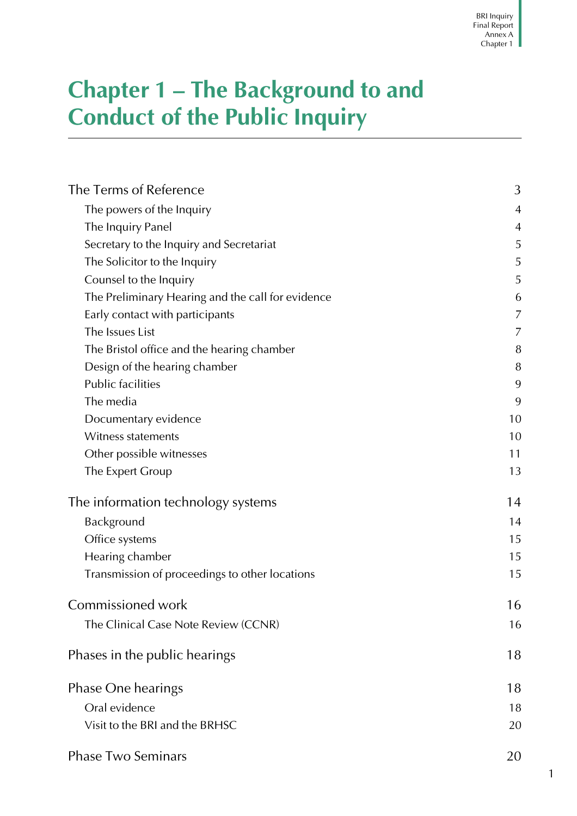# **Chapter 1 – The Background to and Conduct of the Public Inquiry**

| The Terms of Reference                            | 3              |
|---------------------------------------------------|----------------|
| The powers of the Inquiry                         | $\overline{4}$ |
| The Inquiry Panel                                 | $\overline{4}$ |
| Secretary to the Inquiry and Secretariat          | 5              |
| The Solicitor to the Inquiry                      | 5              |
| Counsel to the Inquiry                            | 5              |
| The Preliminary Hearing and the call for evidence | 6              |
| Early contact with participants                   | 7              |
| The Issues List                                   | 7              |
| The Bristol office and the hearing chamber        | 8              |
| Design of the hearing chamber                     | 8              |
| <b>Public facilities</b>                          | 9              |
| The media                                         | 9              |
| Documentary evidence                              | 10             |
| Witness statements                                | 10             |
| Other possible witnesses                          | 11             |
| The Expert Group                                  | 13             |
| The information technology systems                | 14             |
| Background                                        | 14             |
| Office systems                                    | 15             |
| Hearing chamber                                   | 15             |
| Transmission of proceedings to other locations    | 15             |
| Commissioned work                                 | 16             |
| The Clinical Case Note Review (CCNR)              | 16             |
| Phases in the public hearings                     | 18             |
| <b>Phase One hearings</b>                         | 18             |
| Oral evidence                                     | 18             |
| Visit to the BRI and the BRHSC                    | 20             |
| <b>Phase Two Seminars</b>                         | 20             |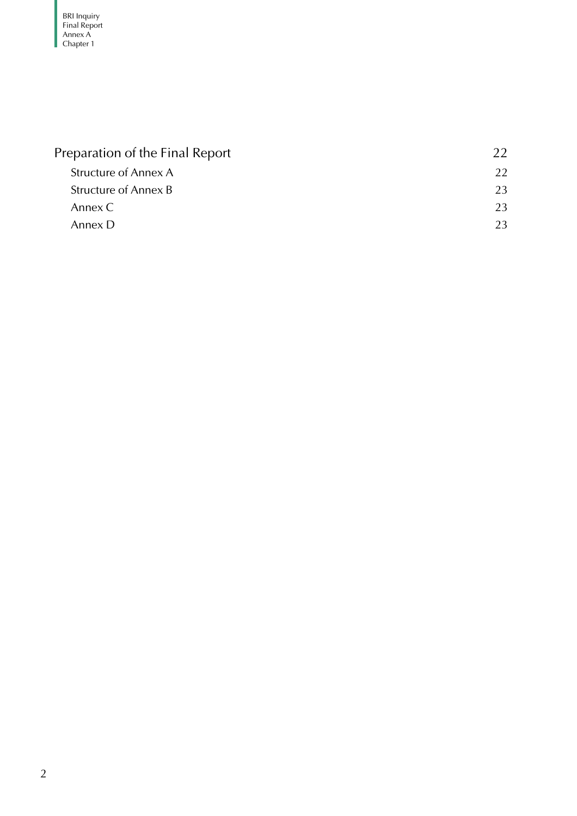| Preparation of the Final Report |              |
|---------------------------------|--------------|
| Structure of Annex A            | $22^{\circ}$ |
| Structure of Annex B            | 23           |
| Annex C                         | 23           |
| Annex D                         |              |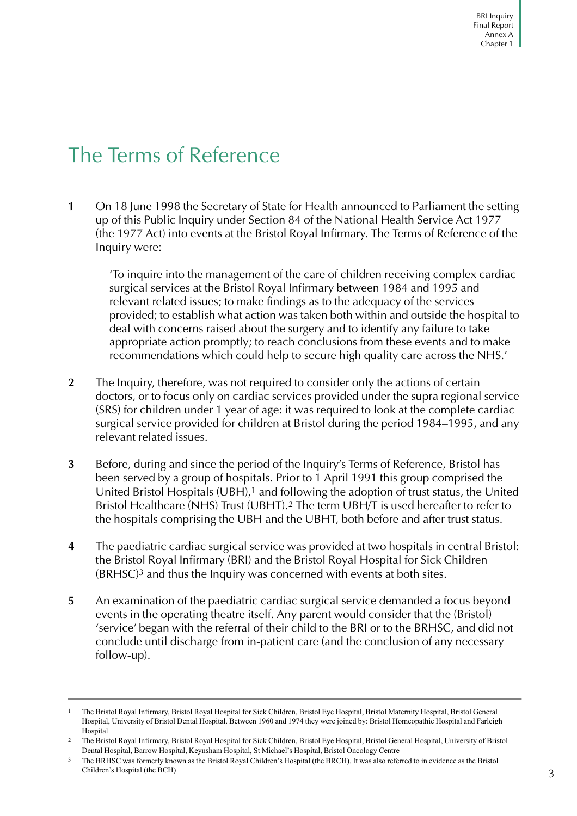## <span id="page-2-0"></span>The Terms of Reference

**1** On 18 June 1998 the Secretary of State for Health announced to Parliament the setting up of this Public Inquiry under Section 84 of the National Health Service Act 1977 (the 1977 Act) into events at the Bristol Royal Infirmary. The Terms of Reference of the Inquiry were:

'To inquire into the management of the care of children receiving complex cardiac surgical services at the Bristol Royal Infirmary between 1984 and 1995 and relevant related issues; to make findings as to the adequacy of the services provided; to establish what action was taken both within and outside the hospital to deal with concerns raised about the surgery and to identify any failure to take appropriate action promptly; to reach conclusions from these events and to make recommendations which could help to secure high quality care across the NHS.'

- **2** The Inquiry, therefore, was not required to consider only the actions of certain doctors, or to focus only on cardiac services provided under the supra regional service (SRS) for children under 1 year of age: it was required to look at the complete cardiac surgical service provided for children at Bristol during the period 1984–1995, and any relevant related issues.
- **3** Before, during and since the period of the Inquiry's Terms of Reference, Bristol has been served by a group of hospitals. Prior to 1 April 1991 this group comprised the United Bristol Hospitals (UBH),<sup>1</sup> and following the adoption of trust status, the United Bristol Healthcare (NHS) Trust (UBHT).2 The term UBH/T is used hereafter to refer to the hospitals comprising the UBH and the UBHT, both before and after trust status.
- **4** The paediatric cardiac surgical service was provided at two hospitals in central Bristol: the Bristol Royal Infirmary (BRI) and the Bristol Royal Hospital for Sick Children (BRHSC)3 and thus the Inquiry was concerned with events at both sites.
- **5** An examination of the paediatric cardiac surgical service demanded a focus beyond events in the operating theatre itself. Any parent would consider that the (Bristol) 'service' began with the referral of their child to the BRI or to the BRHSC, and did not conclude until discharge from in-patient care (and the conclusion of any necessary follow-up).

<sup>1</sup> The Bristol Royal Infirmary, Bristol Royal Hospital for Sick Children, Bristol Eye Hospital, Bristol Maternity Hospital, Bristol General Hospital, University of Bristol Dental Hospital. Between 1960 and 1974 they were joined by: Bristol Homeopathic Hospital and Farleigh Hospital

<sup>2</sup> The Bristol Royal Infirmary, Bristol Royal Hospital for Sick Children, Bristol Eye Hospital, Bristol General Hospital, University of Bristol Dental Hospital, Barrow Hospital, Keynsham Hospital, St Michael's Hospital, Bristol Oncology Centre

<sup>&</sup>lt;sup>3</sup> The BRHSC was formerly known as the Bristol Royal Children's Hospital (the BRCH). It was also referred to in evidence as the Bristol Children's Hospital (the BCH)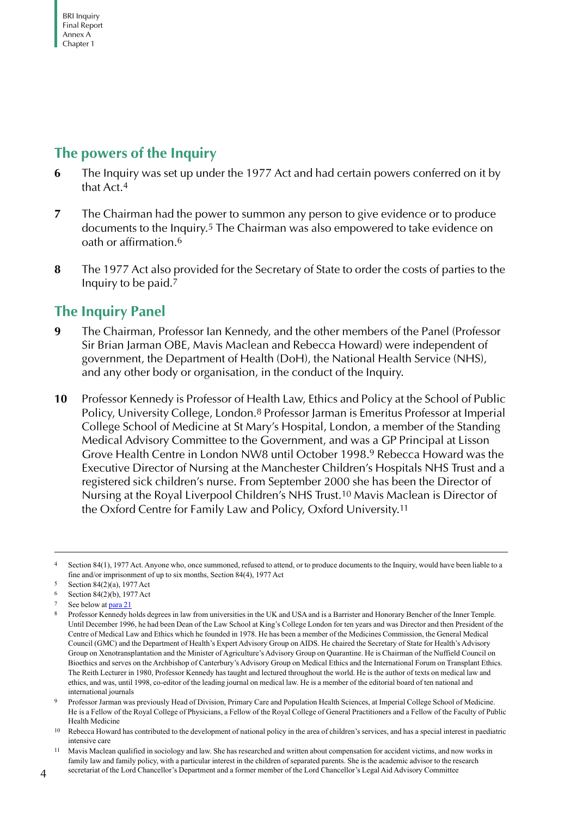### <span id="page-3-0"></span>**The powers of the Inquiry**

- **6** The Inquiry was set up under the 1977 Act and had certain powers conferred on it by that Act.4
- **7** The Chairman had the power to summon any person to give evidence or to produce documents to the Inquiry.5 The Chairman was also empowered to take evidence on oath or affirmation.6
- **8** The 1977 Act also provided for the Secretary of State to order the costs of parties to the Inquiry to be paid.7

### <span id="page-3-1"></span>**The Inquiry Panel**

- **9** The Chairman, Professor Ian Kennedy, and the other members of the Panel (Professor Sir Brian Jarman OBE, Mavis Maclean and Rebecca Howard) were independent of government, the Department of Health (DoH), the National Health Service (NHS), and any other body or organisation, in the conduct of the Inquiry.
- **10** Professor Kennedy is Professor of Health Law, Ethics and Policy at the School of Public Policy, University College, London.8 Professor Jarman is Emeritus Professor at Imperial College School of Medicine at St Mary's Hospital, London, a member of the Standing Medical Advisory Committee to the Government, and was a GP Principal at Lisson Grove Health Centre in London NW8 until October 1998.9 Rebecca Howard was the Executive Director of Nursing at the Manchester Children's Hospitals NHS Trust and a registered sick children's nurse. From September 2000 she has been the Director of Nursing at the Royal Liverpool Children's NHS Trust.10 Mavis Maclean is Director of the Oxford Centre for Family Law and Policy, Oxford University.11

<sup>4</sup> Section 84(1), 1977 Act. Anyone who, once summoned, refused to attend, or to produce documents to the Inquiry, would have been liable to a fine and/or imprisonment of up to six months, Section 84(4), 1977 Act

<sup>5</sup> Section 84(2)(a), 1977 Act

<sup>6</sup> Section 84(2)(b), 1977 Act

See below at [para 21](#page-5-1)

<sup>8</sup> Professor Kennedy holds degrees in law from universities in the UK and USA and is a Barrister and Honorary Bencher of the Inner Temple. Until December 1996, he had been Dean of the Law School at King's College London for ten years and was Director and then President of the Centre of Medical Law and Ethics which he founded in 1978. He has been a member of the Medicines Commission, the General Medical Council (GMC) and the Department of Health's Expert Advisory Group on AIDS. He chaired the Secretary of State for Health's Advisory Group on Xenotransplantation and the Minister of Agriculture's Advisory Group on Quarantine. He is Chairman of the Nuffield Council on Bioethics and serves on the Archbishop of Canterbury's Advisory Group on Medical Ethics and the International Forum on Transplant Ethics. The Reith Lecturer in 1980, Professor Kennedy has taught and lectured throughout the world. He is the author of texts on medical law and ethics, and was, until 1998, co-editor of the leading journal on medical law. He is a member of the editorial board of ten national and international journals

<sup>9</sup> Professor Jarman was previously Head of Division, Primary Care and Population Health Sciences, at Imperial College School of Medicine. He is a Fellow of the Royal College of Physicians, a Fellow of the Royal College of General Practitioners and a Fellow of the Faculty of Public Health Medicine

<sup>&</sup>lt;sup>10</sup> Rebecca Howard has contributed to the development of national policy in the area of children's services, and has a special interest in paediatric intensive care

<sup>11</sup> Mavis Maclean qualified in sociology and law. She has researched and written about compensation for accident victims, and now works in family law and family policy, with a particular interest in the children of separated parents. She is the academic advisor to the research secretariat of the Lord Chancellor's Department and a former member of the Lord Chancellor's Legal Aid Advisory Committee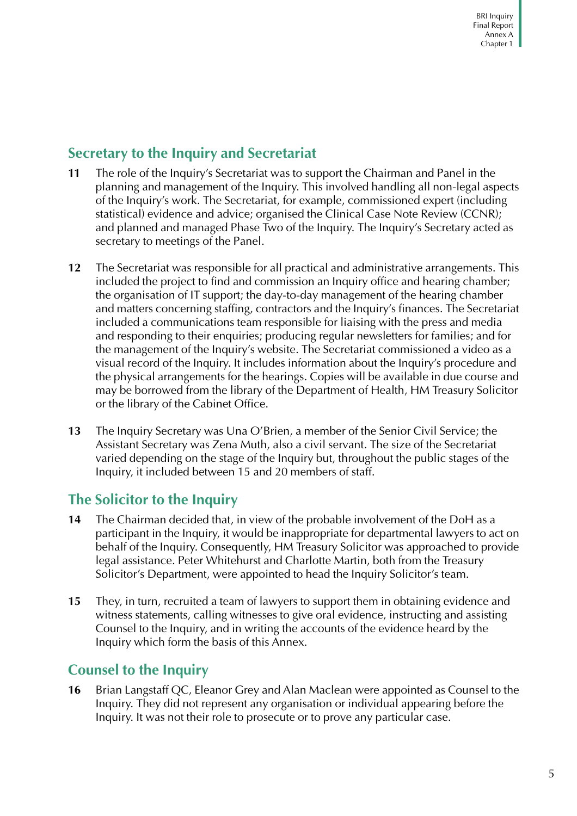### <span id="page-4-0"></span>**Secretary to the Inquiry and Secretariat**

- **11** The role of the Inquiry's Secretariat was to support the Chairman and Panel in the planning and management of the Inquiry. This involved handling all non-legal aspects of the Inquiry's work. The Secretariat, for example, commissioned expert (including statistical) evidence and advice; organised the Clinical Case Note Review (CCNR); and planned and managed Phase Two of the Inquiry. The Inquiry's Secretary acted as secretary to meetings of the Panel.
- **12** The Secretariat was responsible for all practical and administrative arrangements. This included the project to find and commission an Inquiry office and hearing chamber; the organisation of IT support; the day-to-day management of the hearing chamber and matters concerning staffing, contractors and the Inquiry's finances. The Secretariat included a communications team responsible for liaising with the press and media and responding to their enquiries; producing regular newsletters for families; and for the management of the Inquiry's website. The Secretariat commissioned a video as a visual record of the Inquiry. It includes information about the Inquiry's procedure and the physical arrangements for the hearings. Copies will be available in due course and may be borrowed from the library of the Department of Health, HM Treasury Solicitor or the library of the Cabinet Office.
- **13** The Inquiry Secretary was Una O'Brien, a member of the Senior Civil Service; the Assistant Secretary was Zena Muth, also a civil servant. The size of the Secretariat varied depending on the stage of the Inquiry but, throughout the public stages of the Inquiry, it included between 15 and 20 members of staff.

### <span id="page-4-1"></span>**The Solicitor to the Inquiry**

- **14** The Chairman decided that, in view of the probable involvement of the DoH as a participant in the Inquiry, it would be inappropriate for departmental lawyers to act on behalf of the Inquiry. Consequently, HM Treasury Solicitor was approached to provide legal assistance. Peter Whitehurst and Charlotte Martin, both from the Treasury Solicitor's Department, were appointed to head the Inquiry Solicitor's team.
- **15** They, in turn, recruited a team of lawyers to support them in obtaining evidence and witness statements, calling witnesses to give oral evidence, instructing and assisting Counsel to the Inquiry, and in writing the accounts of the evidence heard by the Inquiry which form the basis of this Annex.

### <span id="page-4-2"></span>**Counsel to the Inquiry**

**16** Brian Langstaff QC, Eleanor Grey and Alan Maclean were appointed as Counsel to the Inquiry. They did not represent any organisation or individual appearing before the Inquiry. It was not their role to prosecute or to prove any particular case.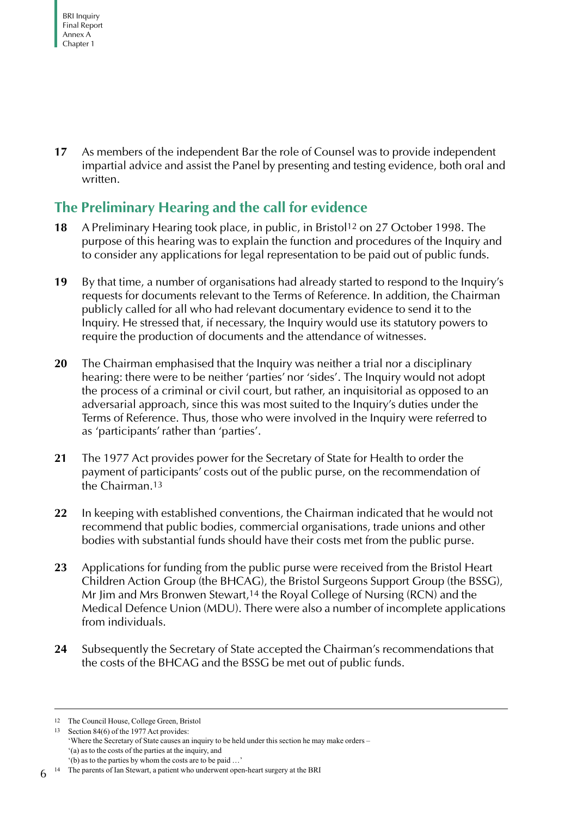**17** As members of the independent Bar the role of Counsel was to provide independent impartial advice and assist the Panel by presenting and testing evidence, both oral and written.

### <span id="page-5-0"></span>**The Preliminary Hearing and the call for evidence**

- **18** A Preliminary Hearing took place, in public, in Bristol12 on 27 October 1998. The purpose of this hearing was to explain the function and procedures of the Inquiry and to consider any applications for legal representation to be paid out of public funds.
- **19** By that time, a number of organisations had already started to respond to the Inquiry's requests for documents relevant to the Terms of Reference. In addition, the Chairman publicly called for all who had relevant documentary evidence to send it to the Inquiry. He stressed that, if necessary, the Inquiry would use its statutory powers to require the production of documents and the attendance of witnesses.
- **20** The Chairman emphasised that the Inquiry was neither a trial nor a disciplinary hearing: there were to be neither 'parties' nor 'sides'. The Inquiry would not adopt the process of a criminal or civil court, but rather, an inquisitorial as opposed to an adversarial approach, since this was most suited to the Inquiry's duties under the Terms of Reference. Thus, those who were involved in the Inquiry were referred to as 'participants' rather than 'parties'.
- <span id="page-5-1"></span>**21** The 1977 Act provides power for the Secretary of State for Health to order the payment of participants' costs out of the public purse, on the recommendation of the Chairman.13
- **22** In keeping with established conventions, the Chairman indicated that he would not recommend that public bodies, commercial organisations, trade unions and other bodies with substantial funds should have their costs met from the public purse.
- **23** Applications for funding from the public purse were received from the Bristol Heart Children Action Group (the BHCAG), the Bristol Surgeons Support Group (the BSSG), Mr Jim and Mrs Bronwen Stewart,14 the Royal College of Nursing (RCN) and the Medical Defence Union (MDU). There were also a number of incomplete applications from individuals.
- **24** Subsequently the Secretary of State accepted the Chairman's recommendations that the costs of the BHCAG and the BSSG be met out of public funds.

<sup>12</sup> The Council House, College Green, Bristol

<sup>13</sup> Section 84(6) of the 1977 Act provides: 'Where the Secretary of State causes an inquiry to be held under this section he may make orders – '(a) as to the costs of the parties at the inquiry, and

<sup>&#</sup>x27;(b) as to the parties by whom the costs are to be paid …'

<sup>14</sup> The parents of Ian Stewart, a patient who underwent open-heart surgery at the BRI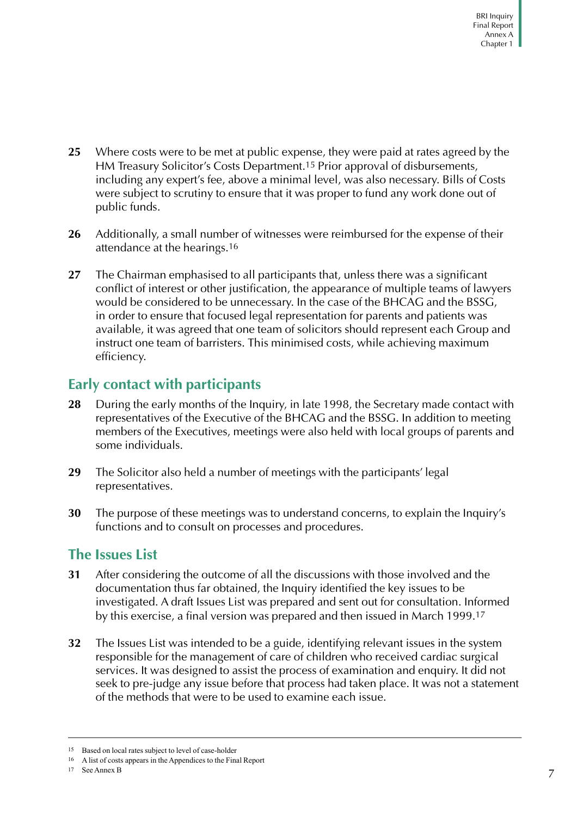- **25** Where costs were to be met at public expense, they were paid at rates agreed by the HM Treasury Solicitor's Costs Department.15 Prior approval of disbursements, including any expert's fee, above a minimal level, was also necessary. Bills of Costs were subject to scrutiny to ensure that it was proper to fund any work done out of public funds.
- **26** Additionally, a small number of witnesses were reimbursed for the expense of their attendance at the hearings.16
- **27** The Chairman emphasised to all participants that, unless there was a significant conflict of interest or other justification, the appearance of multiple teams of lawyers would be considered to be unnecessary. In the case of the BHCAG and the BSSG, in order to ensure that focused legal representation for parents and patients was available, it was agreed that one team of solicitors should represent each Group and instruct one team of barristers. This minimised costs, while achieving maximum efficiency.

### <span id="page-6-0"></span>**Early contact with participants**

- **28** During the early months of the Inquiry, in late 1998, the Secretary made contact with representatives of the Executive of the BHCAG and the BSSG. In addition to meeting members of the Executives, meetings were also held with local groups of parents and some individuals.
- **29** The Solicitor also held a number of meetings with the participants' legal representatives.
- **30** The purpose of these meetings was to understand concerns, to explain the Inquiry's functions and to consult on processes and procedures.

### <span id="page-6-1"></span>**The Issues List**

- **31** After considering the outcome of all the discussions with those involved and the documentation thus far obtained, the Inquiry identified the key issues to be investigated. A draft Issues List was prepared and sent out for consultation. Informed by this exercise, a final version was prepared and then issued in March 1999.17
- **32** The Issues List was intended to be a guide, identifying relevant issues in the system responsible for the management of care of children who received cardiac surgical services. It was designed to assist the process of examination and enquiry. It did not seek to pre-judge any issue before that process had taken place. It was not a statement of the methods that were to be used to examine each issue.

<sup>15</sup> Based on local rates subject to level of case-holder

<sup>16</sup> A list of costs appears in the Appendices to the Final Report

<sup>17</sup> See Annex B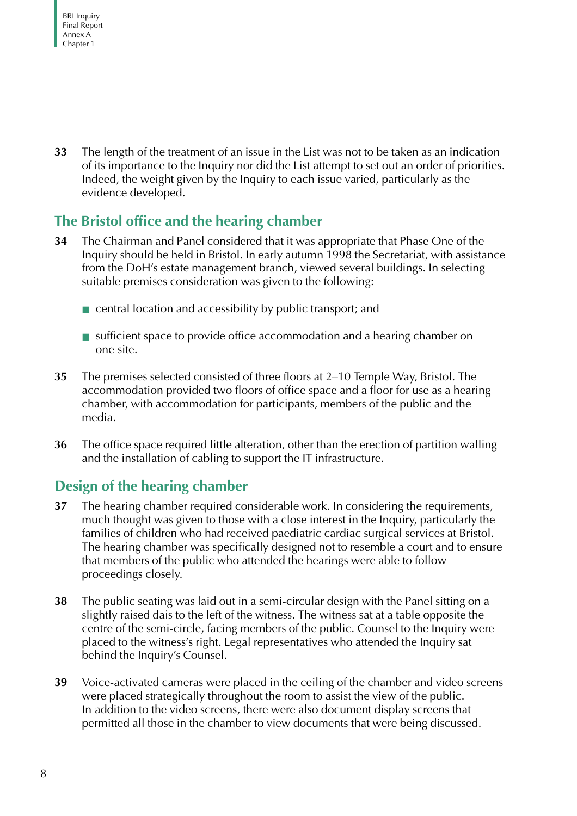**33** The length of the treatment of an issue in the List was not to be taken as an indication of its importance to the Inquiry nor did the List attempt to set out an order of priorities. Indeed, the weight given by the Inquiry to each issue varied, particularly as the evidence developed.

### <span id="page-7-0"></span>**The Bristol office and the hearing chamber**

- **34** The Chairman and Panel considered that it was appropriate that Phase One of the Inquiry should be held in Bristol. In early autumn 1998 the Secretariat, with assistance from the DoH's estate management branch, viewed several buildings. In selecting suitable premises consideration was given to the following:
	- central location and accessibility by public transport; and
	- sufficient space to provide office accommodation and a hearing chamber on one site.
- **35** The premises selected consisted of three floors at 2–10 Temple Way, Bristol. The accommodation provided two floors of office space and a floor for use as a hearing chamber, with accommodation for participants, members of the public and the media.
- **36** The office space required little alteration, other than the erection of partition walling and the installation of cabling to support the IT infrastructure.

### <span id="page-7-1"></span>**Design of the hearing chamber**

- **37** The hearing chamber required considerable work. In considering the requirements, much thought was given to those with a close interest in the Inquiry, particularly the families of children who had received paediatric cardiac surgical services at Bristol. The hearing chamber was specifically designed not to resemble a court and to ensure that members of the public who attended the hearings were able to follow proceedings closely.
- **38** The public seating was laid out in a semi-circular design with the Panel sitting on a slightly raised dais to the left of the witness. The witness sat at a table opposite the centre of the semi-circle, facing members of the public. Counsel to the Inquiry were placed to the witness's right. Legal representatives who attended the Inquiry sat behind the Inquiry's Counsel.
- **39** Voice-activated cameras were placed in the ceiling of the chamber and video screens were placed strategically throughout the room to assist the view of the public. In addition to the video screens, there were also document display screens that permitted all those in the chamber to view documents that were being discussed.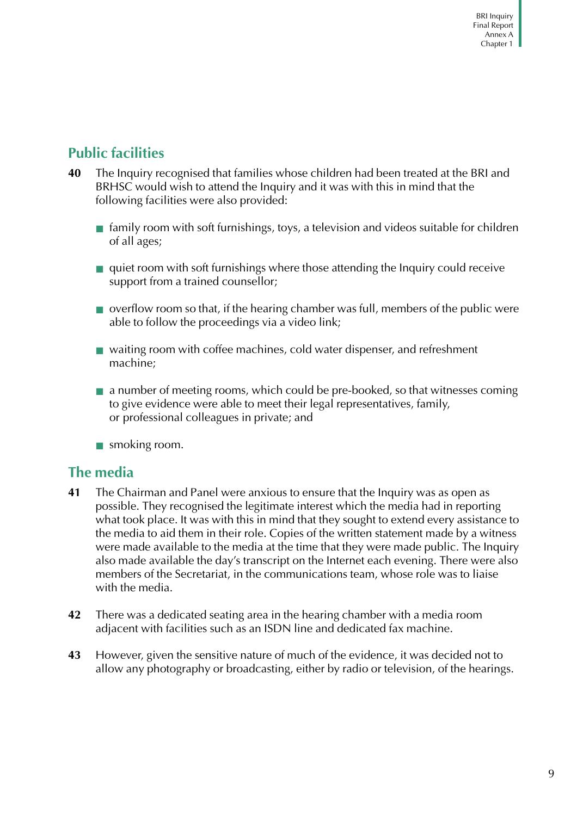### <span id="page-8-0"></span>**Public facilities**

- **40** The Inquiry recognised that families whose children had been treated at the BRI and BRHSC would wish to attend the Inquiry and it was with this in mind that the following facilities were also provided:
	- family room with soft furnishings, toys, a television and videos suitable for children of all ages;
	- $\blacksquare$  quiet room with soft furnishings where those attending the Inquiry could receive support from a trained counsellor;
	- $\blacksquare$  overflow room so that, if the hearing chamber was full, members of the public were able to follow the proceedings via a video link;
	- waiting room with coffee machines, cold water dispenser, and refreshment machine;
	- $\blacksquare$  a number of meeting rooms, which could be pre-booked, so that witnesses coming to give evidence were able to meet their legal representatives, family, or professional colleagues in private; and
	- smoking room.

### <span id="page-8-1"></span>**The media**

- **41** The Chairman and Panel were anxious to ensure that the Inquiry was as open as possible. They recognised the legitimate interest which the media had in reporting what took place. It was with this in mind that they sought to extend every assistance to the media to aid them in their role. Copies of the written statement made by a witness were made available to the media at the time that they were made public. The Inquiry also made available the day's transcript on the Internet each evening. There were also members of the Secretariat, in the communications team, whose role was to liaise with the media.
- **42** There was a dedicated seating area in the hearing chamber with a media room adjacent with facilities such as an ISDN line and dedicated fax machine.
- **43** However, given the sensitive nature of much of the evidence, it was decided not to allow any photography or broadcasting, either by radio or television, of the hearings.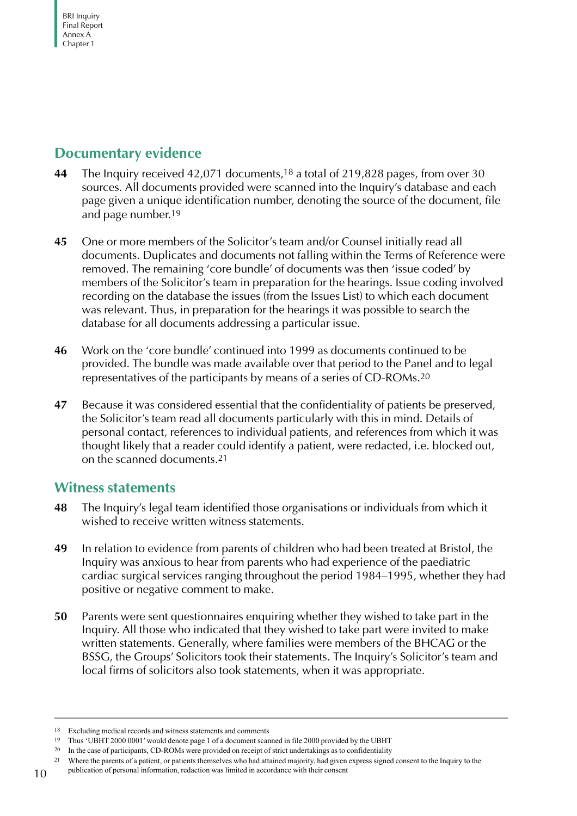### <span id="page-9-0"></span>**Documentary evidence**

- **44** The Inquiry received 42,071 documents,18 a total of 219,828 pages, from over 30 sources. All documents provided were scanned into the Inquiry's database and each page given a unique identification number, denoting the source of the document, file and page number.19
- **45** One or more members of the Solicitor's team and/or Counsel initially read all documents. Duplicates and documents not falling within the Terms of Reference were removed. The remaining 'core bundle' of documents was then 'issue coded' by members of the Solicitor's team in preparation for the hearings. Issue coding involved recording on the database the issues (from the Issues List) to which each document was relevant. Thus, in preparation for the hearings it was possible to search the database for all documents addressing a particular issue.
- **46** Work on the 'core bundle' continued into 1999 as documents continued to be provided. The bundle was made available over that period to the Panel and to legal representatives of the participants by means of a series of CD-ROMs.20
- **47** Because it was considered essential that the confidentiality of patients be preserved, the Solicitor's team read all documents particularly with this in mind. Details of personal contact, references to individual patients, and references from which it was thought likely that a reader could identify a patient, were redacted, i.e. blocked out, on the scanned documents.21

#### <span id="page-9-1"></span>**Witness statements**

- **48** The Inquiry's legal team identified those organisations or individuals from which it wished to receive written witness statements.
- **49** In relation to evidence from parents of children who had been treated at Bristol, the Inquiry was anxious to hear from parents who had experience of the paediatric cardiac surgical services ranging throughout the period 1984–1995, whether they had positive or negative comment to make.
- **50** Parents were sent questionnaires enquiring whether they wished to take part in the Inquiry. All those who indicated that they wished to take part were invited to make written statements. Generally, where families were members of the BHCAG or the BSSG, the Groups' Solicitors took their statements. The Inquiry's Solicitor's team and local firms of solicitors also took statements, when it was appropriate.

<sup>18</sup> Excluding medical records and witness statements and comments

<sup>19</sup> Thus 'UBHT 2000 0001' would denote page 1 of a document scanned in file 2000 provided by the UBHT

<sup>20</sup> In the case of participants, CD-ROMs were provided on receipt of strict undertakings as to confidentiality

<sup>21</sup> Where the parents of a patient, or patients themselves who had attained majority, had given express signed consent to the Inquiry to the

publication of personal information, redaction was limited in accordance with their consent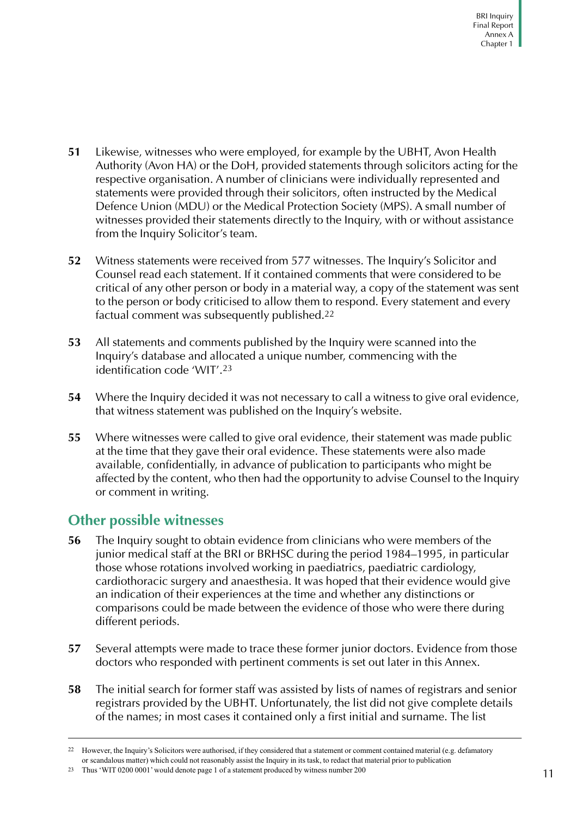- **51** Likewise, witnesses who were employed, for example by the UBHT, Avon Health Authority (Avon HA) or the DoH, provided statements through solicitors acting for the respective organisation. A number of clinicians were individually represented and statements were provided through their solicitors, often instructed by the Medical Defence Union (MDU) or the Medical Protection Society (MPS). A small number of witnesses provided their statements directly to the Inquiry, with or without assistance from the Inquiry Solicitor's team.
- **52** Witness statements were received from 577 witnesses. The Inquiry's Solicitor and Counsel read each statement. If it contained comments that were considered to be critical of any other person or body in a material way, a copy of the statement was sent to the person or body criticised to allow them to respond. Every statement and every factual comment was subsequently published.22
- **53** All statements and comments published by the Inquiry were scanned into the Inquiry's database and allocated a unique number, commencing with the identification code 'WIT'.23
- **54** Where the Inquiry decided it was not necessary to call a witness to give oral evidence, that witness statement was published on the Inquiry's website.
- **55** Where witnesses were called to give oral evidence, their statement was made public at the time that they gave their oral evidence. These statements were also made available, confidentially, in advance of publication to participants who might be affected by the content, who then had the opportunity to advise Counsel to the Inquiry or comment in writing.

### <span id="page-10-0"></span>**Other possible witnesses**

- **56** The Inquiry sought to obtain evidence from clinicians who were members of the junior medical staff at the BRI or BRHSC during the period 1984–1995, in particular those whose rotations involved working in paediatrics, paediatric cardiology, cardiothoracic surgery and anaesthesia. It was hoped that their evidence would give an indication of their experiences at the time and whether any distinctions or comparisons could be made between the evidence of those who were there during different periods.
- **57** Several attempts were made to trace these former junior doctors. Evidence from those doctors who responded with pertinent comments is set out later in this Annex.
- **58** The initial search for former staff was assisted by lists of names of registrars and senior registrars provided by the UBHT. Unfortunately, the list did not give complete details of the names; in most cases it contained only a first initial and surname. The list

<sup>22</sup> However, the Inquiry's Solicitors were authorised, if they considered that a statement or comment contained material (e.g. defamatory or scandalous matter) which could not reasonably assist the Inquiry in its task, to redact that material prior to publication

<sup>23</sup> Thus 'WIT 0200 0001' would denote page 1 of a statement produced by witness number 200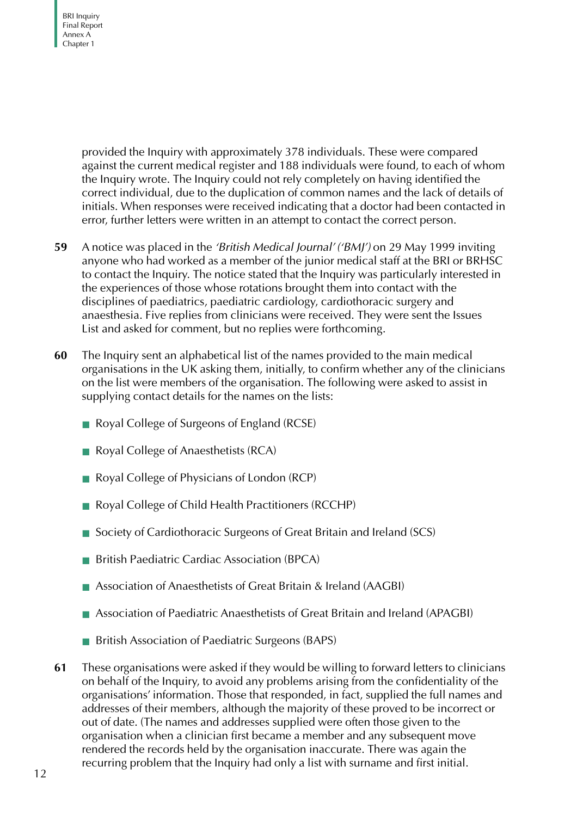BRI Inquiry Final Report Annex A Chapter 1

> provided the Inquiry with approximately 378 individuals. These were compared against the current medical register and 188 individuals were found, to each of whom the Inquiry wrote. The Inquiry could not rely completely on having identified the correct individual, due to the duplication of common names and the lack of details of initials. When responses were received indicating that a doctor had been contacted in error, further letters were written in an attempt to contact the correct person.

- **59** A notice was placed in the 'British Medical Journal' ('BMJ') on 29 May 1999 inviting anyone who had worked as a member of the junior medical staff at the BRI or BRHSC to contact the Inquiry. The notice stated that the Inquiry was particularly interested in the experiences of those whose rotations brought them into contact with the disciplines of paediatrics, paediatric cardiology, cardiothoracic surgery and anaesthesia. Five replies from clinicians were received. They were sent the Issues List and asked for comment, but no replies were forthcoming.
- **60** The Inquiry sent an alphabetical list of the names provided to the main medical organisations in the UK asking them, initially, to confirm whether any of the clinicians on the list were members of the organisation. The following were asked to assist in supplying contact details for the names on the lists:
	- Royal College of Surgeons of England (RCSE)
	- Royal College of Anaesthetists (RCA)
	- Royal College of Physicians of London (RCP)
	- Royal College of Child Health Practitioners (RCCHP)
	- Society of Cardiothoracic Surgeons of Great Britain and Ireland (SCS)
	- British Paediatric Cardiac Association (BPCA)
	- Association of Anaesthetists of Great Britain & Ireland (AAGBI)
	- Association of Paediatric Anaesthetists of Great Britain and Ireland (APAGBI)
	- British Association of Paediatric Surgeons (BAPS)
- **61** These organisations were asked if they would be willing to forward letters to clinicians on behalf of the Inquiry, to avoid any problems arising from the confidentiality of the organisations' information. Those that responded, in fact, supplied the full names and addresses of their members, although the majority of these proved to be incorrect or out of date. (The names and addresses supplied were often those given to the organisation when a clinician first became a member and any subsequent move rendered the records held by the organisation inaccurate. There was again the recurring problem that the Inquiry had only a list with surname and first initial.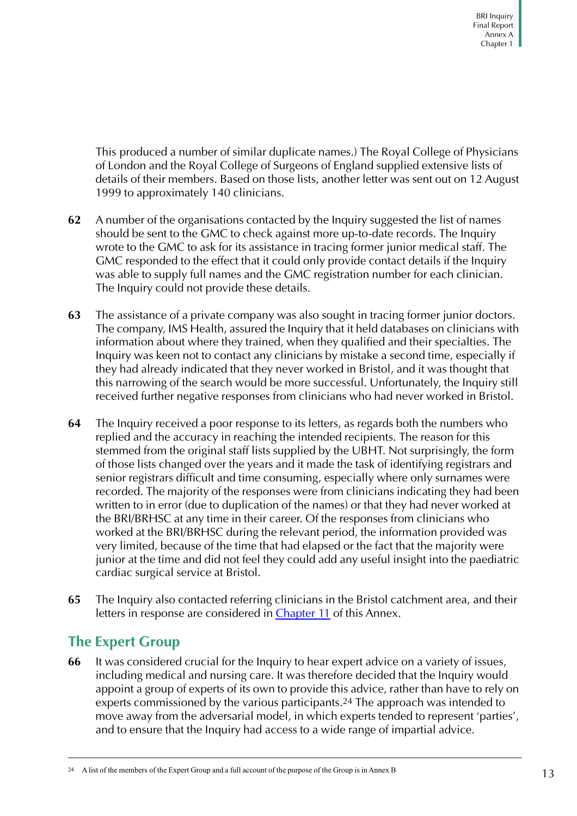This produced a number of similar duplicate names.) The Royal College of Physicians of London and the Royal College of Surgeons of England supplied extensive lists of details of their members. Based on those lists, another letter was sent out on 12 August 1999 to approximately 140 clinicians.

- **62** A number of the organisations contacted by the Inquiry suggested the list of names should be sent to the GMC to check against more up-to-date records. The Inquiry wrote to the GMC to ask for its assistance in tracing former junior medical staff. The GMC responded to the effect that it could only provide contact details if the Inquiry was able to supply full names and the GMC registration number for each clinician. The Inquiry could not provide these details.
- **63** The assistance of a private company was also sought in tracing former junior doctors. The company, IMS Health, assured the Inquiry that it held databases on clinicians with information about where they trained, when they qualified and their specialties. The Inquiry was keen not to contact any clinicians by mistake a second time, especially if they had already indicated that they never worked in Bristol, and it was thought that this narrowing of the search would be more successful. Unfortunately, the Inquiry still received further negative responses from clinicians who had never worked in Bristol.
- **64** The Inquiry received a poor response to its letters, as regards both the numbers who replied and the accuracy in reaching the intended recipients. The reason for this stemmed from the original staff lists supplied by the UBHT. Not surprisingly, the form of those lists changed over the years and it made the task of identifying registrars and senior registrars difficult and time consuming, especially where only surnames were recorded. The majority of the responses were from clinicians indicating they had been written to in error (due to duplication of the names) or that they had never worked at the BRI/BRHSC at any time in their career. Of the responses from clinicians who worked at the BRI/BRHSC during the relevant period, the information provided was very limited, because of the time that had elapsed or the fact that the majority were junior at the time and did not feel they could add any useful insight into the paediatric cardiac surgical service at Bristol.
- **65** The Inquiry also contacted referring clinicians in the Bristol catchment area, and their letters in response are considered in Chapter 11 of this Annex.

### <span id="page-12-0"></span>**The Expert Group**

**66** It was considered crucial for the Inquiry to hear expert advice on a variety of issues, including medical and nursing care. It was therefore decided that the Inquiry would appoint a group of experts of its own to provide this advice, rather than have to rely on experts commissioned by the various participants.24 The approach was intended to move away from the adversarial model, in which experts tended to represent 'parties', and to ensure that the Inquiry had access to a wide range of impartial advice.

<sup>24</sup> A list of the members of the Expert Group and a full account of the purpose of the Group is in Annex B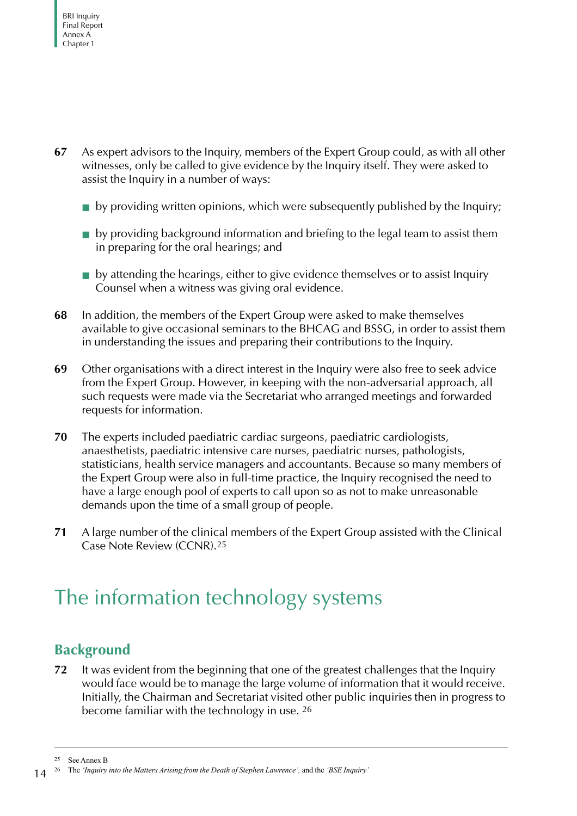- **67** As expert advisors to the Inquiry, members of the Expert Group could, as with all other witnesses, only be called to give evidence by the Inquiry itself. They were asked to assist the Inquiry in a number of ways:
	- $\blacksquare$  by providing written opinions, which were subsequently published by the Inquiry;
	- by providing background information and briefing to the legal team to assist them in preparing for the oral hearings; and
	- $\blacksquare$  by attending the hearings, either to give evidence themselves or to assist Inquiry Counsel when a witness was giving oral evidence.
- **68** In addition, the members of the Expert Group were asked to make themselves available to give occasional seminars to the BHCAG and BSSG, in order to assist them in understanding the issues and preparing their contributions to the Inquiry.
- **69** Other organisations with a direct interest in the Inquiry were also free to seek advice from the Expert Group. However, in keeping with the non-adversarial approach, all such requests were made via the Secretariat who arranged meetings and forwarded requests for information.
- **70** The experts included paediatric cardiac surgeons, paediatric cardiologists, anaesthetists, paediatric intensive care nurses, paediatric nurses, pathologists, statisticians, health service managers and accountants. Because so many members of the Expert Group were also in full-time practice, the Inquiry recognised the need to have a large enough pool of experts to call upon so as not to make unreasonable demands upon the time of a small group of people.
- **71** A large number of the clinical members of the Expert Group assisted with the Clinical Case Note Review (CCNR).25

## <span id="page-13-0"></span>The information technology systems

### <span id="page-13-1"></span>**Background**

**72** It was evident from the beginning that one of the greatest challenges that the Inquiry would face would be to manage the large volume of information that it would receive. Initially, the Chairman and Secretariat visited other public inquiries then in progress to become familiar with the technology in use. 26

<sup>25</sup> See Annex B

<sup>14</sup> 26 The *'Inquiry into the Matters Arising from the Death of Stephen Lawrence',* and the *'BSE Inquiry'*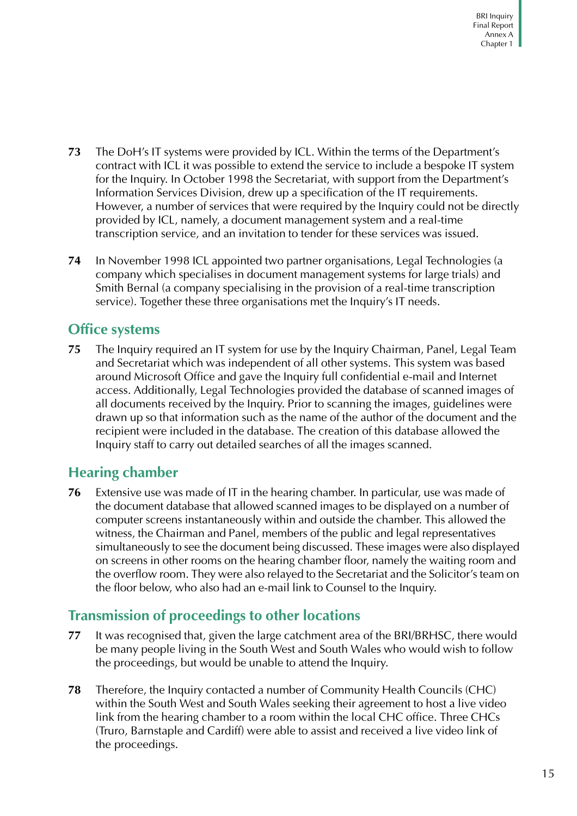- **73** The DoH's IT systems were provided by ICL. Within the terms of the Department's contract with ICL it was possible to extend the service to include a bespoke IT system for the Inquiry. In October 1998 the Secretariat, with support from the Department's Information Services Division, drew up a specification of the IT requirements. However, a number of services that were required by the Inquiry could not be directly provided by ICL, namely, a document management system and a real-time transcription service, and an invitation to tender for these services was issued.
- **74** In November 1998 ICL appointed two partner organisations, Legal Technologies (a company which specialises in document management systems for large trials) and Smith Bernal (a company specialising in the provision of a real-time transcription service). Together these three organisations met the Inquiry's IT needs.

### <span id="page-14-0"></span>**Office systems**

**75** The Inquiry required an IT system for use by the Inquiry Chairman, Panel, Legal Team and Secretariat which was independent of all other systems. This system was based around Microsoft Office and gave the Inquiry full confidential e-mail and Internet access. Additionally, Legal Technologies provided the database of scanned images of all documents received by the Inquiry. Prior to scanning the images, guidelines were drawn up so that information such as the name of the author of the document and the recipient were included in the database. The creation of this database allowed the Inquiry staff to carry out detailed searches of all the images scanned.

### <span id="page-14-1"></span>**Hearing chamber**

**76** Extensive use was made of IT in the hearing chamber. In particular, use was made of the document database that allowed scanned images to be displayed on a number of computer screens instantaneously within and outside the chamber. This allowed the witness, the Chairman and Panel, members of the public and legal representatives simultaneously to see the document being discussed. These images were also displayed on screens in other rooms on the hearing chamber floor, namely the waiting room and the overflow room. They were also relayed to the Secretariat and the Solicitor's team on the floor below, who also had an e-mail link to Counsel to the Inquiry.

#### <span id="page-14-2"></span>**Transmission of proceedings to other locations**

- **77** It was recognised that, given the large catchment area of the BRI/BRHSC, there would be many people living in the South West and South Wales who would wish to follow the proceedings, but would be unable to attend the Inquiry.
- **78** Therefore, the Inquiry contacted a number of Community Health Councils (CHC) within the South West and South Wales seeking their agreement to host a live video link from the hearing chamber to a room within the local CHC office. Three CHCs (Truro, Barnstaple and Cardiff) were able to assist and received a live video link of the proceedings.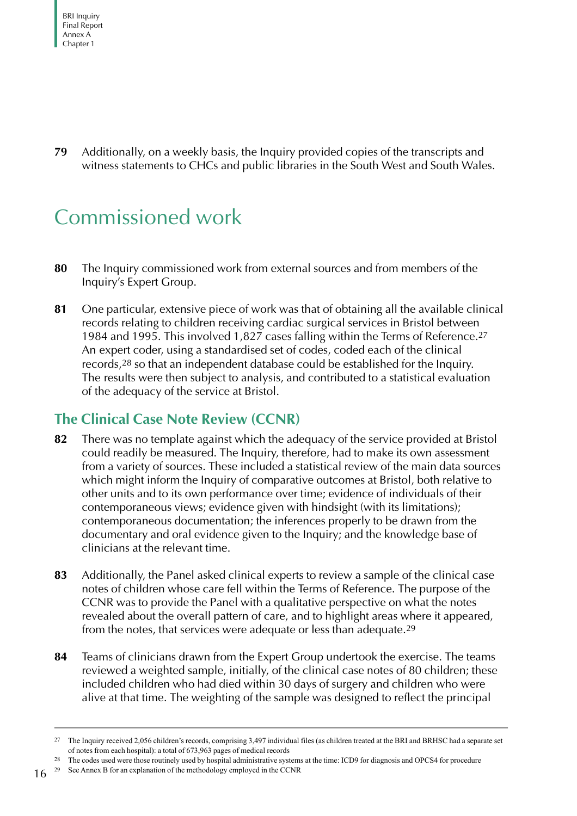**79** Additionally, on a weekly basis, the Inquiry provided copies of the transcripts and witness statements to CHCs and public libraries in the South West and South Wales.

## <span id="page-15-0"></span>Commissioned work

- **80** The Inquiry commissioned work from external sources and from members of the Inquiry's Expert Group.
- **81** One particular, extensive piece of work was that of obtaining all the available clinical records relating to children receiving cardiac surgical services in Bristol between 1984 and 1995. This involved 1,827 cases falling within the Terms of Reference.27 An expert coder, using a standardised set of codes, coded each of the clinical records,28 so that an independent database could be established for the Inquiry. The results were then subject to analysis, and contributed to a statistical evaluation of the adequacy of the service at Bristol.

### <span id="page-15-1"></span>**The Clinical Case Note Review (CCNR)**

- **82** There was no template against which the adequacy of the service provided at Bristol could readily be measured. The Inquiry, therefore, had to make its own assessment from a variety of sources. These included a statistical review of the main data sources which might inform the Inquiry of comparative outcomes at Bristol, both relative to other units and to its own performance over time; evidence of individuals of their contemporaneous views; evidence given with hindsight (with its limitations); contemporaneous documentation; the inferences properly to be drawn from the documentary and oral evidence given to the Inquiry; and the knowledge base of clinicians at the relevant time.
- **83** Additionally, the Panel asked clinical experts to review a sample of the clinical case notes of children whose care fell within the Terms of Reference. The purpose of the CCNR was to provide the Panel with a qualitative perspective on what the notes revealed about the overall pattern of care, and to highlight areas where it appeared, from the notes, that services were adequate or less than adequate.29
- **84** Teams of clinicians drawn from the Expert Group undertook the exercise. The teams reviewed a weighted sample, initially, of the clinical case notes of 80 children; these included children who had died within 30 days of surgery and children who were alive at that time. The weighting of the sample was designed to reflect the principal

28 The codes used were those routinely used by hospital administrative systems at the time: ICD9 for diagnosis and OPCS4 for procedure

<sup>27</sup> The Inquiry received 2,056 children's records, comprising 3,497 individual files (as children treated at the BRI and BRHSC had a separate set of notes from each hospital): a total of 673,963 pages of medical records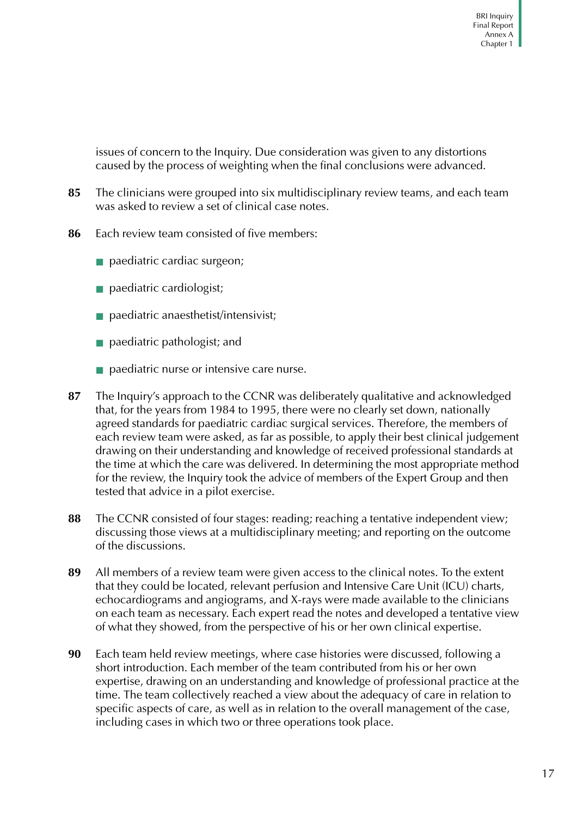issues of concern to the Inquiry. Due consideration was given to any distortions caused by the process of weighting when the final conclusions were advanced.

- **85** The clinicians were grouped into six multidisciplinary review teams, and each team was asked to review a set of clinical case notes.
- **86** Each review team consisted of five members:
	- paediatric cardiac surgeon;
	- paediatric cardiologist;
	- paediatric anaesthetist/intensivist;
	- paediatric pathologist; and
	- paediatric nurse or intensive care nurse.
- **87** The Inquiry's approach to the CCNR was deliberately qualitative and acknowledged that, for the years from 1984 to 1995, there were no clearly set down, nationally agreed standards for paediatric cardiac surgical services. Therefore, the members of each review team were asked, as far as possible, to apply their best clinical judgement drawing on their understanding and knowledge of received professional standards at the time at which the care was delivered. In determining the most appropriate method for the review, the Inquiry took the advice of members of the Expert Group and then tested that advice in a pilot exercise.
- **88** The CCNR consisted of four stages: reading; reaching a tentative independent view; discussing those views at a multidisciplinary meeting; and reporting on the outcome of the discussions.
- **89** All members of a review team were given access to the clinical notes. To the extent that they could be located, relevant perfusion and Intensive Care Unit (ICU) charts, echocardiograms and angiograms, and X-rays were made available to the clinicians on each team as necessary. Each expert read the notes and developed a tentative view of what they showed, from the perspective of his or her own clinical expertise.
- **90** Each team held review meetings, where case histories were discussed, following a short introduction. Each member of the team contributed from his or her own expertise, drawing on an understanding and knowledge of professional practice at the time. The team collectively reached a view about the adequacy of care in relation to specific aspects of care, as well as in relation to the overall management of the case, including cases in which two or three operations took place.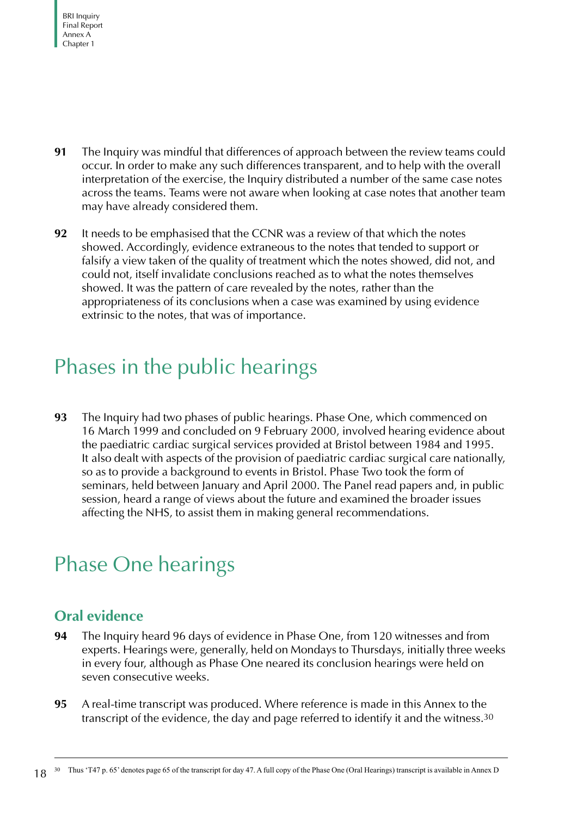- **91** The Inquiry was mindful that differences of approach between the review teams could occur. In order to make any such differences transparent, and to help with the overall interpretation of the exercise, the Inquiry distributed a number of the same case notes across the teams. Teams were not aware when looking at case notes that another team may have already considered them.
- **92** It needs to be emphasised that the CCNR was a review of that which the notes showed. Accordingly, evidence extraneous to the notes that tended to support or falsify a view taken of the quality of treatment which the notes showed, did not, and could not, itself invalidate conclusions reached as to what the notes themselves showed. It was the pattern of care revealed by the notes, rather than the appropriateness of its conclusions when a case was examined by using evidence extrinsic to the notes, that was of importance.

## <span id="page-17-0"></span>Phases in the public hearings

**93** The Inquiry had two phases of public hearings. Phase One, which commenced on 16 March 1999 and concluded on 9 February 2000, involved hearing evidence about the paediatric cardiac surgical services provided at Bristol between 1984 and 1995. It also dealt with aspects of the provision of paediatric cardiac surgical care nationally, so as to provide a background to events in Bristol. Phase Two took the form of seminars, held between January and April 2000. The Panel read papers and, in public session, heard a range of views about the future and examined the broader issues affecting the NHS, to assist them in making general recommendations.

# <span id="page-17-1"></span>Phase One hearings

### <span id="page-17-2"></span>**Oral evidence**

- **94** The Inquiry heard 96 days of evidence in Phase One, from 120 witnesses and from experts. Hearings were, generally, held on Mondays to Thursdays, initially three weeks in every four, although as Phase One neared its conclusion hearings were held on seven consecutive weeks.
- **95** A real-time transcript was produced. Where reference is made in this Annex to the transcript of the evidence, the day and page referred to identify it and the witness.30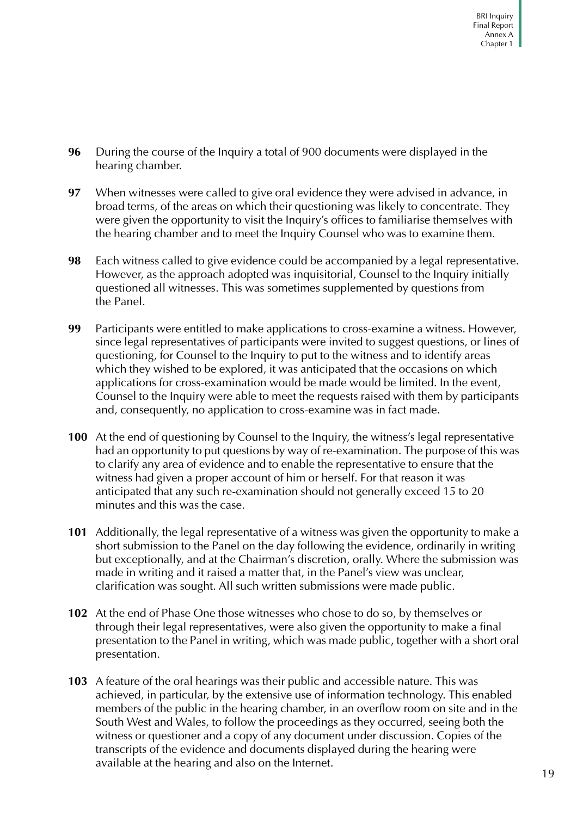- **96** During the course of the Inquiry a total of 900 documents were displayed in the hearing chamber.
- **97** When witnesses were called to give oral evidence they were advised in advance, in broad terms, of the areas on which their questioning was likely to concentrate. They were given the opportunity to visit the Inquiry's offices to familiarise themselves with the hearing chamber and to meet the Inquiry Counsel who was to examine them.
- **98** Each witness called to give evidence could be accompanied by a legal representative. However, as the approach adopted was inquisitorial, Counsel to the Inquiry initially questioned all witnesses. This was sometimes supplemented by questions from the Panel.
- **99** Participants were entitled to make applications to cross-examine a witness. However, since legal representatives of participants were invited to suggest questions, or lines of questioning, for Counsel to the Inquiry to put to the witness and to identify areas which they wished to be explored, it was anticipated that the occasions on which applications for cross-examination would be made would be limited. In the event, Counsel to the Inquiry were able to meet the requests raised with them by participants and, consequently, no application to cross-examine was in fact made.
- **100** At the end of questioning by Counsel to the Inquiry, the witness's legal representative had an opportunity to put questions by way of re-examination. The purpose of this was to clarify any area of evidence and to enable the representative to ensure that the witness had given a proper account of him or herself. For that reason it was anticipated that any such re-examination should not generally exceed 15 to 20 minutes and this was the case.
- **101** Additionally, the legal representative of a witness was given the opportunity to make a short submission to the Panel on the day following the evidence, ordinarily in writing but exceptionally, and at the Chairman's discretion, orally. Where the submission was made in writing and it raised a matter that, in the Panel's view was unclear, clarification was sought. All such written submissions were made public.
- **102** At the end of Phase One those witnesses who chose to do so, by themselves or through their legal representatives, were also given the opportunity to make a final presentation to the Panel in writing, which was made public, together with a short oral presentation.
- **103** A feature of the oral hearings was their public and accessible nature. This was achieved, in particular, by the extensive use of information technology. This enabled members of the public in the hearing chamber, in an overflow room on site and in the South West and Wales, to follow the proceedings as they occurred, seeing both the witness or questioner and a copy of any document under discussion. Copies of the transcripts of the evidence and documents displayed during the hearing were available at the hearing and also on the Internet.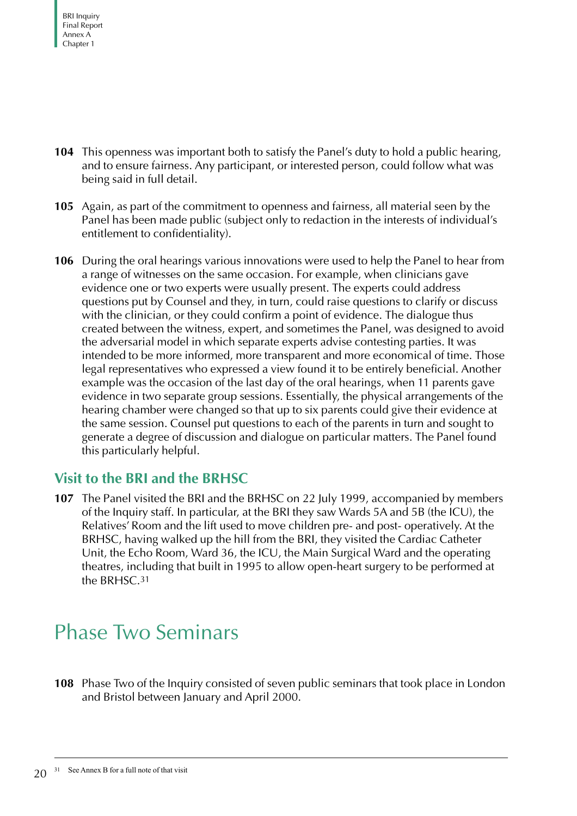- **104** This openness was important both to satisfy the Panel's duty to hold a public hearing, and to ensure fairness. Any participant, or interested person, could follow what was being said in full detail.
- **105** Again, as part of the commitment to openness and fairness, all material seen by the Panel has been made public (subject only to redaction in the interests of individual's entitlement to confidentiality).
- **106** During the oral hearings various innovations were used to help the Panel to hear from a range of witnesses on the same occasion. For example, when clinicians gave evidence one or two experts were usually present. The experts could address questions put by Counsel and they, in turn, could raise questions to clarify or discuss with the clinician, or they could confirm a point of evidence. The dialogue thus created between the witness, expert, and sometimes the Panel, was designed to avoid the adversarial model in which separate experts advise contesting parties. It was intended to be more informed, more transparent and more economical of time. Those legal representatives who expressed a view found it to be entirely beneficial. Another example was the occasion of the last day of the oral hearings, when 11 parents gave evidence in two separate group sessions. Essentially, the physical arrangements of the hearing chamber were changed so that up to six parents could give their evidence at the same session. Counsel put questions to each of the parents in turn and sought to generate a degree of discussion and dialogue on particular matters. The Panel found this particularly helpful.

### <span id="page-19-0"></span>**Visit to the BRI and the BRHSC**

**107** The Panel visited the BRI and the BRHSC on 22 July 1999, accompanied by members of the Inquiry staff. In particular, at the BRI they saw Wards 5A and 5B (the ICU), the Relatives' Room and the lift used to move children pre- and post- operatively. At the BRHSC, having walked up the hill from the BRI, they visited the Cardiac Catheter Unit, the Echo Room, Ward 36, the ICU, the Main Surgical Ward and the operating theatres, including that built in 1995 to allow open-heart surgery to be performed at the BRHSC 31

### <span id="page-19-1"></span>Phase Two Seminars

**108** Phase Two of the Inquiry consisted of seven public seminars that took place in London and Bristol between January and April 2000.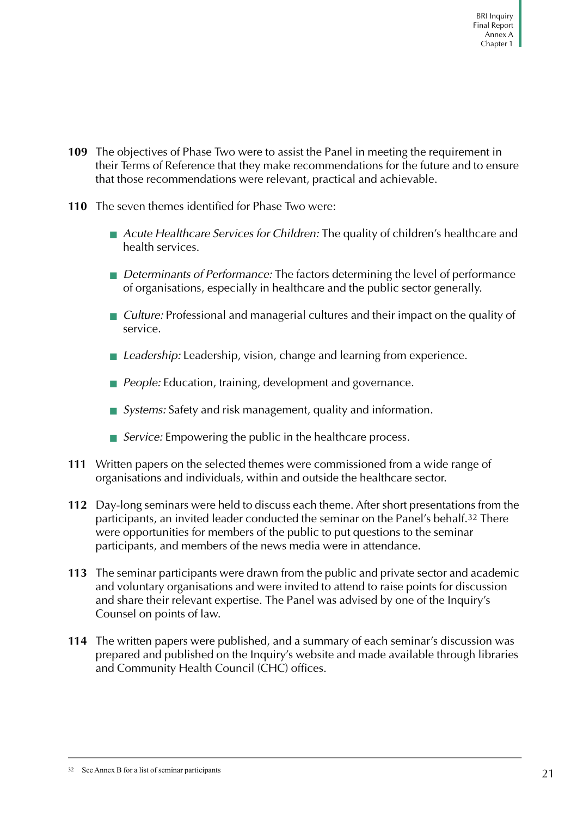- **109** The objectives of Phase Two were to assist the Panel in meeting the requirement in their Terms of Reference that they make recommendations for the future and to ensure that those recommendations were relevant, practical and achievable.
- **110** The seven themes identified for Phase Two were:
	- Acute Healthcare Services for Children: The quality of children's healthcare and health services.
	- Determinants of Performance: The factors determining the level of performance of organisations, especially in healthcare and the public sector generally.
	- *Culture:* Professional and managerial cultures and their impact on the quality of service.
	- Leadership: Leadership, vision, change and learning from experience.
	- People: Education, training, development and governance.
	- *Systems:* Safety and risk management, quality and information.
	- Service: Empowering the public in the healthcare process.
- **111** Written papers on the selected themes were commissioned from a wide range of organisations and individuals, within and outside the healthcare sector.
- **112** Day-long seminars were held to discuss each theme. After short presentations from the participants, an invited leader conducted the seminar on the Panel's behalf.32 There were opportunities for members of the public to put questions to the seminar participants, and members of the news media were in attendance.
- **113** The seminar participants were drawn from the public and private sector and academic and voluntary organisations and were invited to attend to raise points for discussion and share their relevant expertise. The Panel was advised by one of the Inquiry's Counsel on points of law.
- **114** The written papers were published, and a summary of each seminar's discussion was prepared and published on the Inquiry's website and made available through libraries and Community Health Council (CHC) offices.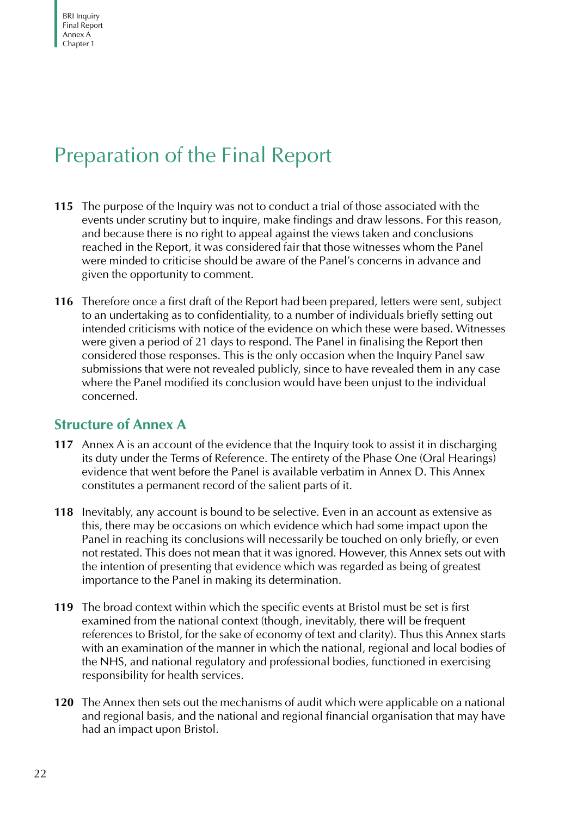### <span id="page-21-1"></span>Preparation of the Final Report

- **115** The purpose of the Inquiry was not to conduct a trial of those associated with the events under scrutiny but to inquire, make findings and draw lessons. For this reason, and because there is no right to appeal against the views taken and conclusions reached in the Report, it was considered fair that those witnesses whom the Panel were minded to criticise should be aware of the Panel's concerns in advance and given the opportunity to comment.
- **116** Therefore once a first draft of the Report had been prepared, letters were sent, subject to an undertaking as to confidentiality, to a number of individuals briefly setting out intended criticisms with notice of the evidence on which these were based. Witnesses were given a period of 21 days to respond. The Panel in finalising the Report then considered those responses. This is the only occasion when the Inquiry Panel saw submissions that were not revealed publicly, since to have revealed them in any case where the Panel modified its conclusion would have been unjust to the individual concerned.

#### <span id="page-21-0"></span>**Structure of Annex A**

- **117** Annex A is an account of the evidence that the Inquiry took to assist it in discharging its duty under the Terms of Reference. The entirety of the Phase One (Oral Hearings) evidence that went before the Panel is available verbatim in Annex D. This Annex constitutes a permanent record of the salient parts of it.
- **118** Inevitably, any account is bound to be selective. Even in an account as extensive as this, there may be occasions on which evidence which had some impact upon the Panel in reaching its conclusions will necessarily be touched on only briefly, or even not restated. This does not mean that it was ignored. However, this Annex sets out with the intention of presenting that evidence which was regarded as being of greatest importance to the Panel in making its determination.
- **119** The broad context within which the specific events at Bristol must be set is first examined from the national context (though, inevitably, there will be frequent references to Bristol, for the sake of economy of text and clarity). Thus this Annex starts with an examination of the manner in which the national, regional and local bodies of the NHS, and national regulatory and professional bodies, functioned in exercising responsibility for health services.
- **120** The Annex then sets out the mechanisms of audit which were applicable on a national and regional basis, and the national and regional financial organisation that may have had an impact upon Bristol.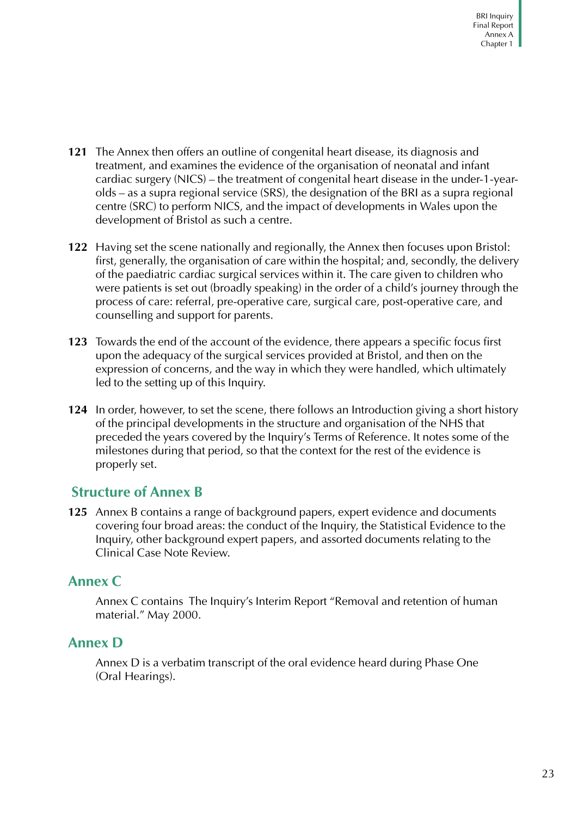- **121** The Annex then offers an outline of congenital heart disease, its diagnosis and treatment, and examines the evidence of the organisation of neonatal and infant cardiac surgery (NICS) – the treatment of congenital heart disease in the under-1-yearolds – as a supra regional service (SRS), the designation of the BRI as a supra regional centre (SRC) to perform NICS, and the impact of developments in Wales upon the development of Bristol as such a centre.
- **122** Having set the scene nationally and regionally, the Annex then focuses upon Bristol: first, generally, the organisation of care within the hospital; and, secondly, the delivery of the paediatric cardiac surgical services within it. The care given to children who were patients is set out (broadly speaking) in the order of a child's journey through the process of care: referral, pre-operative care, surgical care, post-operative care, and counselling and support for parents.
- **123** Towards the end of the account of the evidence, there appears a specific focus first upon the adequacy of the surgical services provided at Bristol, and then on the expression of concerns, and the way in which they were handled, which ultimately led to the setting up of this Inquiry.
- **124** In order, however, to set the scene, there follows an Introduction giving a short history of the principal developments in the structure and organisation of the NHS that preceded the years covered by the Inquiry's Terms of Reference. It notes some of the milestones during that period, so that the context for the rest of the evidence is properly set.

#### <span id="page-22-0"></span> **Structure of Annex B**

**125** Annex B contains a range of background papers, expert evidence and documents covering four broad areas: the conduct of the Inquiry, the Statistical Evidence to the Inquiry, other background expert papers, and assorted documents relating to the Clinical Case Note Review.

#### <span id="page-22-1"></span>**Annex C**

Annex C contains The Inquiry's Interim Report "Removal and retention of human material." May 2000.

#### <span id="page-22-2"></span>**Annex D**

Annex D is a verbatim transcript of the oral evidence heard during Phase One (Oral Hearings).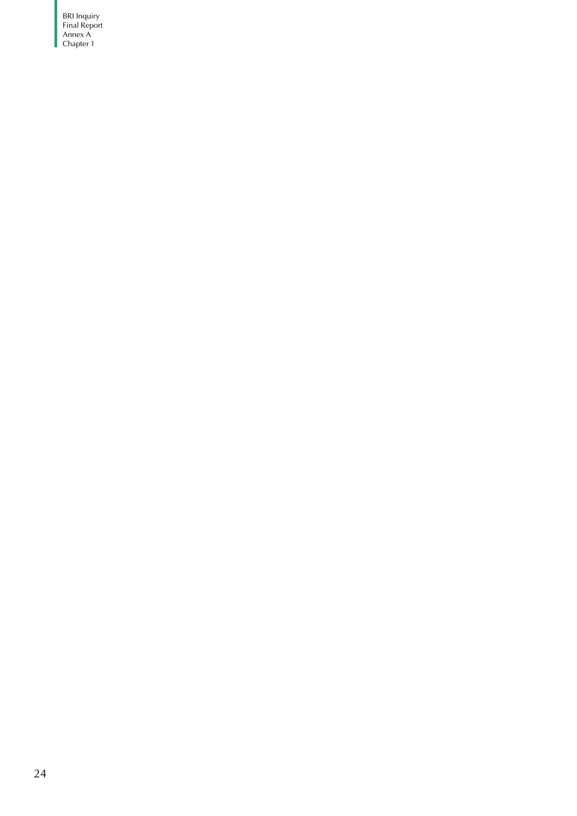BRI Inquiry Final Report Annex A Chapter 1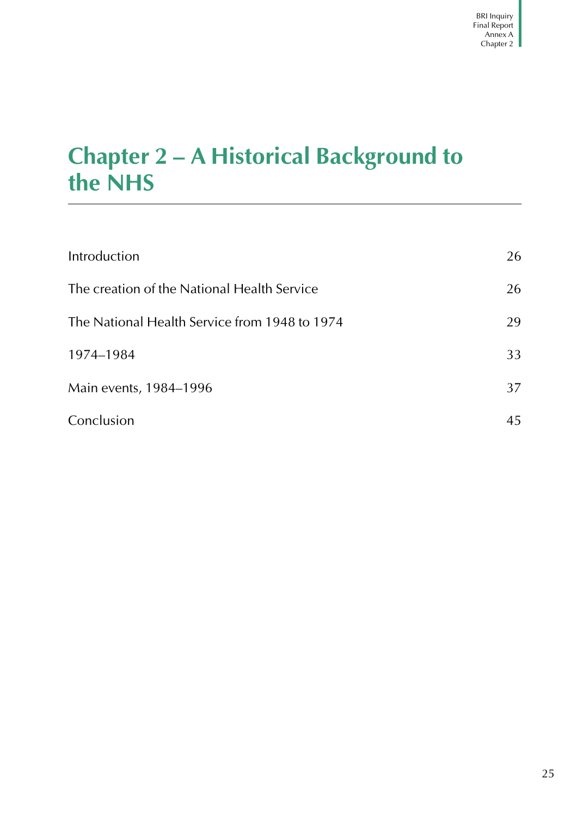# **Chapter 2 – A Historical Background to the NHS**

| Introduction                                  | 26 |
|-----------------------------------------------|----|
| The creation of the National Health Service   | 26 |
| The National Health Service from 1948 to 1974 | 29 |
| 1974-1984                                     | 33 |
| Main events, 1984–1996                        | 37 |
| Conclusion                                    | 45 |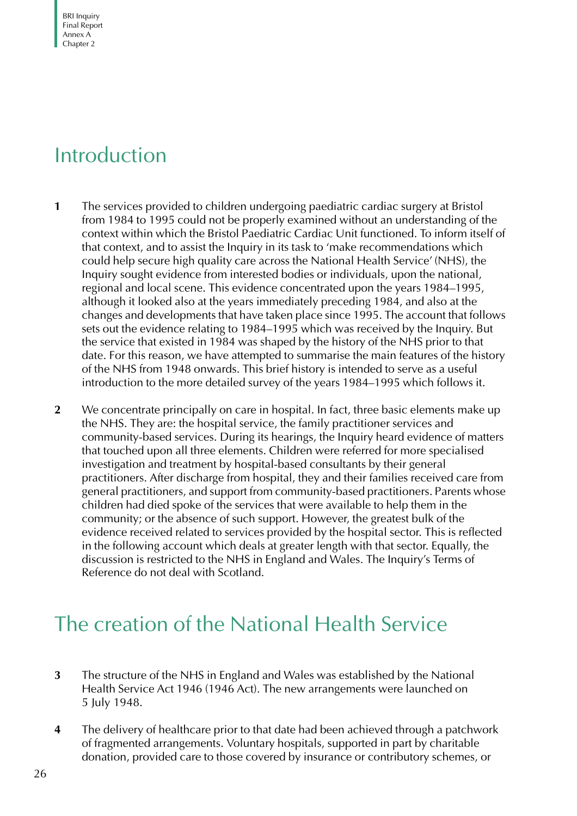BRI Inquiry Final Report Annex A Chapter 2

### <span id="page-25-0"></span>Introduction

- **1** The services provided to children undergoing paediatric cardiac surgery at Bristol from 1984 to 1995 could not be properly examined without an understanding of the context within which the Bristol Paediatric Cardiac Unit functioned. To inform itself of that context, and to assist the Inquiry in its task to 'make recommendations which could help secure high quality care across the National Health Service' (NHS), the Inquiry sought evidence from interested bodies or individuals, upon the national, regional and local scene. This evidence concentrated upon the years 1984–1995, although it looked also at the years immediately preceding 1984, and also at the changes and developments that have taken place since 1995. The account that follows sets out the evidence relating to 1984–1995 which was received by the Inquiry. But the service that existed in 1984 was shaped by the history of the NHS prior to that date. For this reason, we have attempted to summarise the main features of the history of the NHS from 1948 onwards. This brief history is intended to serve as a useful introduction to the more detailed survey of the years 1984–1995 which follows it.
- **2** We concentrate principally on care in hospital. In fact, three basic elements make up the NHS. They are: the hospital service, the family practitioner services and community-based services. During its hearings, the Inquiry heard evidence of matters that touched upon all three elements. Children were referred for more specialised investigation and treatment by hospital-based consultants by their general practitioners. After discharge from hospital, they and their families received care from general practitioners, and support from community-based practitioners. Parents whose children had died spoke of the services that were available to help them in the community; or the absence of such support. However, the greatest bulk of the evidence received related to services provided by the hospital sector. This is reflected in the following account which deals at greater length with that sector. Equally, the discussion is restricted to the NHS in England and Wales. The Inquiry's Terms of Reference do not deal with Scotland.

### <span id="page-25-1"></span>The creation of the National Health Service

- **3** The structure of the NHS in England and Wales was established by the National Health Service Act 1946 (1946 Act). The new arrangements were launched on 5 July 1948.
- **4** The delivery of healthcare prior to that date had been achieved through a patchwork of fragmented arrangements. Voluntary hospitals, supported in part by charitable donation, provided care to those covered by insurance or contributory schemes, or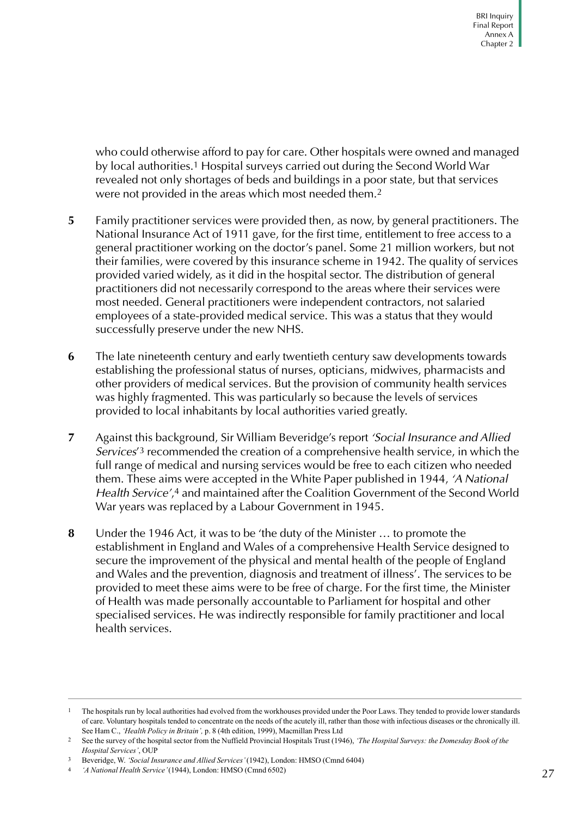who could otherwise afford to pay for care. Other hospitals were owned and managed by local authorities.1 Hospital surveys carried out during the Second World War revealed not only shortages of beds and buildings in a poor state, but that services were not provided in the areas which most needed them.2

- **5** Family practitioner services were provided then, as now, by general practitioners. The National Insurance Act of 1911 gave, for the first time, entitlement to free access to a general practitioner working on the doctor's panel. Some 21 million workers, but not their families, were covered by this insurance scheme in 1942. The quality of services provided varied widely, as it did in the hospital sector. The distribution of general practitioners did not necessarily correspond to the areas where their services were most needed. General practitioners were independent contractors, not salaried employees of a state-provided medical service. This was a status that they would successfully preserve under the new NHS.
- **6** The late nineteenth century and early twentieth century saw developments towards establishing the professional status of nurses, opticians, midwives, pharmacists and other providers of medical services. But the provision of community health services was highly fragmented. This was particularly so because the levels of services provided to local inhabitants by local authorities varied greatly.
- **7** Against this background, Sir William Beveridge's report 'Social Insurance and Allied Services'3 recommended the creation of a comprehensive health service, in which the full range of medical and nursing services would be free to each citizen who needed them. These aims were accepted in the White Paper published in 1944, 'A National Health Service',4 and maintained after the Coalition Government of the Second World War years was replaced by a Labour Government in 1945.
- **8** Under the 1946 Act, it was to be 'the duty of the Minister … to promote the establishment in England and Wales of a comprehensive Health Service designed to secure the improvement of the physical and mental health of the people of England and Wales and the prevention, diagnosis and treatment of illness'. The services to be provided to meet these aims were to be free of charge. For the first time, the Minister of Health was made personally accountable to Parliament for hospital and other specialised services. He was indirectly responsible for family practitioner and local health services.

<sup>&</sup>lt;sup>1</sup> The hospitals run by local authorities had evolved from the workhouses provided under the Poor Laws. They tended to provide lower standards of care. Voluntary hospitals tended to concentrate on the needs of the acutely ill, rather than those with infectious diseases or the chronically ill. See Ham C., *'Health Policy in Britain',* p. 8 (4th edition, 1999), Macmillan Press Ltd

<sup>2</sup> See the survey of the hospital sector from the Nuffield Provincial Hospitals Trust (1946), *'The Hospital Surveys: the Domesday Book of the Hospital Services'*, OUP

<sup>3</sup> Beveridge, W. *'Social Insurance and Allied Services'* (1942), London: HMSO (Cmnd 6404)

<sup>4</sup> *'A National Health Service'* (1944), London: HMSO (Cmnd 6502)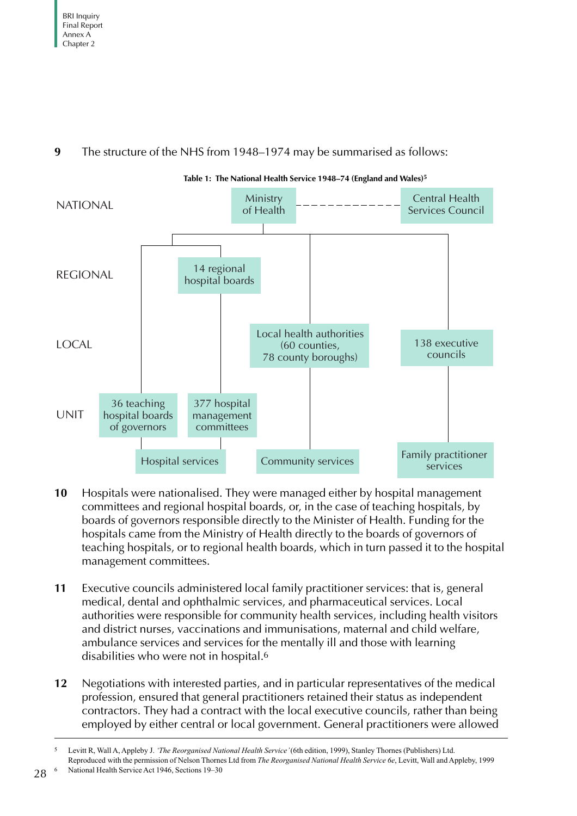#### <span id="page-27-0"></span>**9** The structure of the NHS from 1948–1974 may be summarised as follows:



#### **Table 1: The National Health Service 1948–74 (England and Wales)5**

- **10** Hospitals were nationalised. They were managed either by hospital management committees and regional hospital boards, or, in the case of teaching hospitals, by boards of governors responsible directly to the Minister of Health. Funding for the hospitals came from the Ministry of Health directly to the boards of governors of teaching hospitals, or to regional health boards, which in turn passed it to the hospital management committees.
- **11** Executive councils administered local family practitioner services: that is, general medical, dental and ophthalmic services, and pharmaceutical services. Local authorities were responsible for community health services, including health visitors and district nurses, vaccinations and immunisations, maternal and child welfare, ambulance services and services for the mentally ill and those with learning disabilities who were not in hospital.6
- **12** Negotiations with interested parties, and in particular representatives of the medical profession, ensured that general practitioners retained their status as independent contractors. They had a contract with the local executive councils, rather than being employed by either central or local government. General practitioners were allowed

<sup>5</sup> Levitt R, Wall A, Appleby J. *'The Reorganised National Health Service'* (6th edition, 1999), Stanley Thornes (Publishers) Ltd. Reproduced with the permission of Nelson Thornes Ltd from *The Reorganised National Health Service 6e*, Levitt, Wall and Appleby, 1999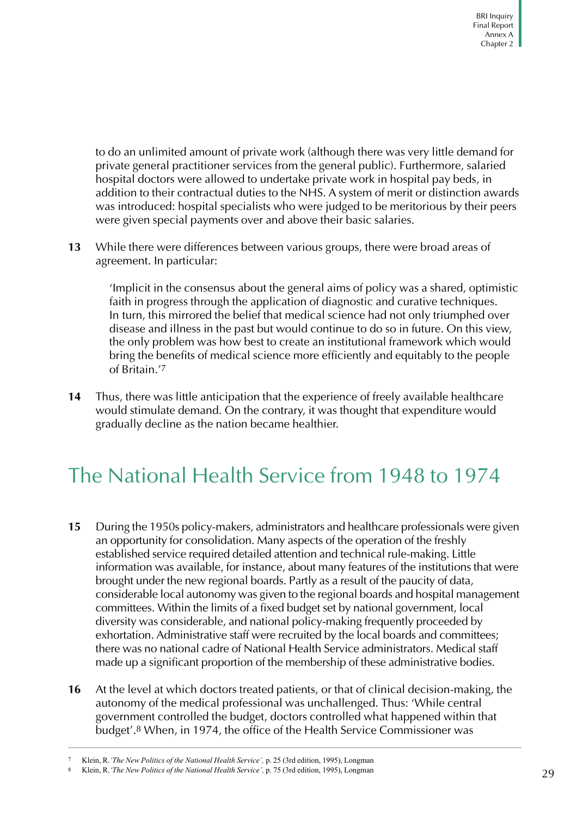to do an unlimited amount of private work (although there was very little demand for private general practitioner services from the general public). Furthermore, salaried hospital doctors were allowed to undertake private work in hospital pay beds, in addition to their contractual duties to the NHS. A system of merit or distinction awards was introduced: hospital specialists who were judged to be meritorious by their peers were given special payments over and above their basic salaries.

**13** While there were differences between various groups, there were broad areas of agreement. In particular:

'Implicit in the consensus about the general aims of policy was a shared, optimistic faith in progress through the application of diagnostic and curative techniques. In turn, this mirrored the belief that medical science had not only triumphed over disease and illness in the past but would continue to do so in future. On this view, the only problem was how best to create an institutional framework which would bring the benefits of medical science more efficiently and equitably to the people of Britain.'7

**14** Thus, there was little anticipation that the experience of freely available healthcare would stimulate demand. On the contrary, it was thought that expenditure would gradually decline as the nation became healthier.

### <span id="page-28-0"></span>The National Health Service from 1948 to 1974

- **15** During the 1950s policy-makers, administrators and healthcare professionals were given an opportunity for consolidation. Many aspects of the operation of the freshly established service required detailed attention and technical rule-making. Little information was available, for instance, about many features of the institutions that were brought under the new regional boards. Partly as a result of the paucity of data, considerable local autonomy was given to the regional boards and hospital management committees. Within the limits of a fixed budget set by national government, local diversity was considerable, and national policy-making frequently proceeded by exhortation. Administrative staff were recruited by the local boards and committees; there was no national cadre of National Health Service administrators. Medical staff made up a significant proportion of the membership of these administrative bodies.
- **16** At the level at which doctors treated patients, or that of clinical decision-making, the autonomy of the medical professional was unchallenged. Thus: 'While central government controlled the budget, doctors controlled what happened within that budget'.8 When, in 1974, the office of the Health Service Commissioner was

<sup>7</sup> Klein, R.*'The New Politics of the National Health Service',* p. 25 (3rd edition, 1995), Longman

<sup>8</sup> Klein, R.*'The New Politics of the National Health Service',* p. 75 (3rd edition, 1995), Longman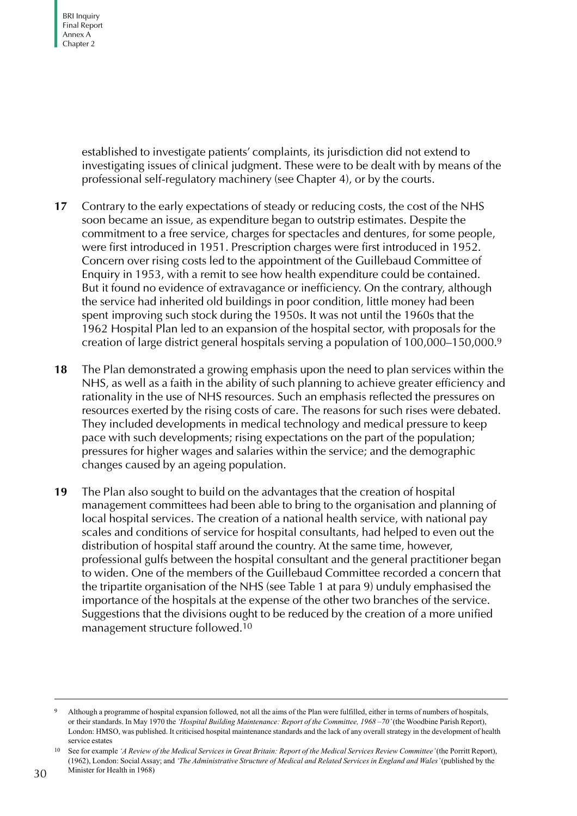established to investigate patients' complaints, its jurisdiction did not extend to investigating issues of clinical judgment. These were to be dealt with by means of the professional self-regulatory machinery (see Chapter 4), or by the courts.

- **17** Contrary to the early expectations of steady or reducing costs, the cost of the NHS soon became an issue, as expenditure began to outstrip estimates. Despite the commitment to a free service, charges for spectacles and dentures, for some people, were first introduced in 1951. Prescription charges were first introduced in 1952. Concern over rising costs led to the appointment of the Guillebaud Committee of Enquiry in 1953, with a remit to see how health expenditure could be contained. But it found no evidence of extravagance or inefficiency. On the contrary, although the service had inherited old buildings in poor condition, little money had been spent improving such stock during the 1950s. It was not until the 1960s that the 1962 Hospital Plan led to an expansion of the hospital sector, with proposals for the creation of large district general hospitals serving a population of 100,000–150,000.9
- **18** The Plan demonstrated a growing emphasis upon the need to plan services within the NHS, as well as a faith in the ability of such planning to achieve greater efficiency and rationality in the use of NHS resources. Such an emphasis reflected the pressures on resources exerted by the rising costs of care. The reasons for such rises were debated. They included developments in medical technology and medical pressure to keep pace with such developments; rising expectations on the part of the population; pressures for higher wages and salaries within the service; and the demographic changes caused by an ageing population.
- **19** The Plan also sought to build on the advantages that the creation of hospital management committees had been able to bring to the organisation and planning of local hospital services. The creation of a national health service, with national pay scales and conditions of service for hospital consultants, had helped to even out the distribution of hospital staff around the country. At the same time, however, professional gulfs between the hospital consultant and the general practitioner began to widen. One of the members of the Guillebaud Committee recorded a concern that the tripartite organisation of the NHS (see Table 1 at [para 9\)](#page-27-0) unduly emphasised the importance of the hospitals at the expense of the other two branches of the service. Suggestions that the divisions ought to be reduced by the creation of a more unified management structure followed.10

<sup>9</sup> Although a programme of hospital expansion followed, not all the aims of the Plan were fulfilled, either in terms of numbers of hospitals, or their standards. In May 1970 the *'Hospital Building Maintenance: Report of the Committee, 1968 –70'* (the Woodbine Parish Report), London: HMSO, was published. It criticised hospital maintenance standards and the lack of any overall strategy in the development of health service estates

<sup>10</sup> See for example *'A Review of the Medical Services in Great Britain: Report of the Medical Services Review Committee'* (the Porritt Report), (1962), London: Social Assay; and 'The Administrative Structure of Medical and Related Services in England and Wales' (published by the Minister for Health in 1968)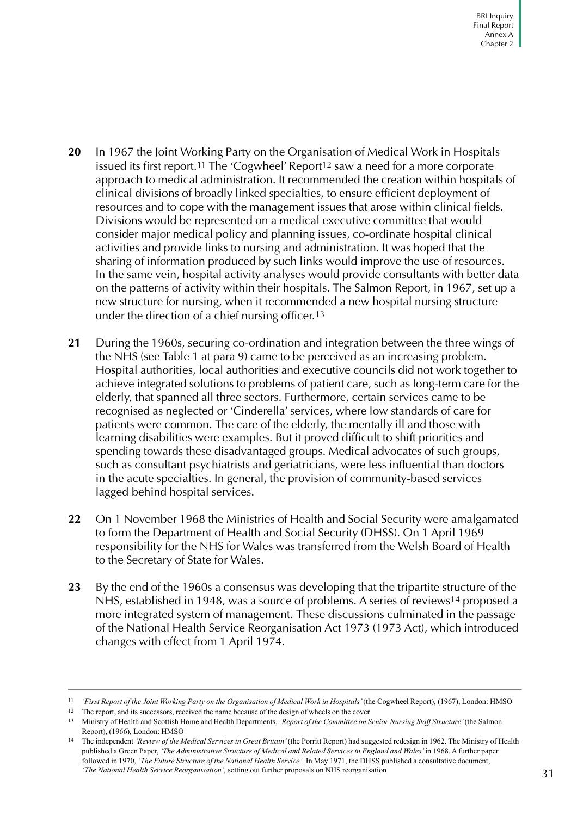- **20** In 1967 the Joint Working Party on the Organisation of Medical Work in Hospitals issued its first report.11 The 'Cogwheel' Report12 saw a need for a more corporate approach to medical administration. It recommended the creation within hospitals of clinical divisions of broadly linked specialties, to ensure efficient deployment of resources and to cope with the management issues that arose within clinical fields. Divisions would be represented on a medical executive committee that would consider major medical policy and planning issues, co-ordinate hospital clinical activities and provide links to nursing and administration. It was hoped that the sharing of information produced by such links would improve the use of resources. In the same vein, hospital activity analyses would provide consultants with better data on the patterns of activity within their hospitals. The Salmon Report, in 1967, set up a new structure for nursing, when it recommended a new hospital nursing structure under the direction of a chief nursing officer.13
- **21** During the 1960s, securing co-ordination and integration between the three wings of the NHS (see Table 1 at [para 9](#page-27-0)) came to be perceived as an increasing problem. Hospital authorities, local authorities and executive councils did not work together to achieve integrated solutions to problems of patient care, such as long-term care for the elderly, that spanned all three sectors. Furthermore, certain services came to be recognised as neglected or 'Cinderella' services, where low standards of care for patients were common. The care of the elderly, the mentally ill and those with learning disabilities were examples. But it proved difficult to shift priorities and spending towards these disadvantaged groups. Medical advocates of such groups, such as consultant psychiatrists and geriatricians, were less influential than doctors in the acute specialties. In general, the provision of community-based services lagged behind hospital services.
- **22** On 1 November 1968 the Ministries of Health and Social Security were amalgamated to form the Department of Health and Social Security (DHSS). On 1 April 1969 responsibility for the NHS for Wales was transferred from the Welsh Board of Health to the Secretary of State for Wales.
- **23** By the end of the 1960s a consensus was developing that the tripartite structure of the NHS, established in 1948, was a source of problems. A series of reviews14 proposed a more integrated system of management. These discussions culminated in the passage of the National Health Service Reorganisation Act 1973 (1973 Act), which introduced changes with effect from 1 April 1974.

<sup>11</sup> *'First Report of the Joint Working Party on the Organisation of Medical Work in Hospitals'* (the Cogwheel Report), (1967), London: HMSO

<sup>&</sup>lt;sup>12</sup> The report, and its successors, received the name because of the design of wheels on the cover

<sup>13</sup> Ministry of Health and Scottish Home and Health Departments, *'Report of the Committee on Senior Nursing Staff Structure'* (the Salmon Report), (1966), London: HMSO

<sup>14</sup> The independent *'Review of the Medical Services in Great Britain'* (the Porritt Report) had suggested redesign in 1962. The Ministry of Health published a Green Paper, *'The Administrative Structure of Medical and Related Services in England and Wales'* in 1968. A further paper followed in 1970, *'The Future Structure of the National Health Service'*. In May 1971, the DHSS published a consultative document, *'The National Health Service Reorganisation',* setting out further proposals on NHS reorganisation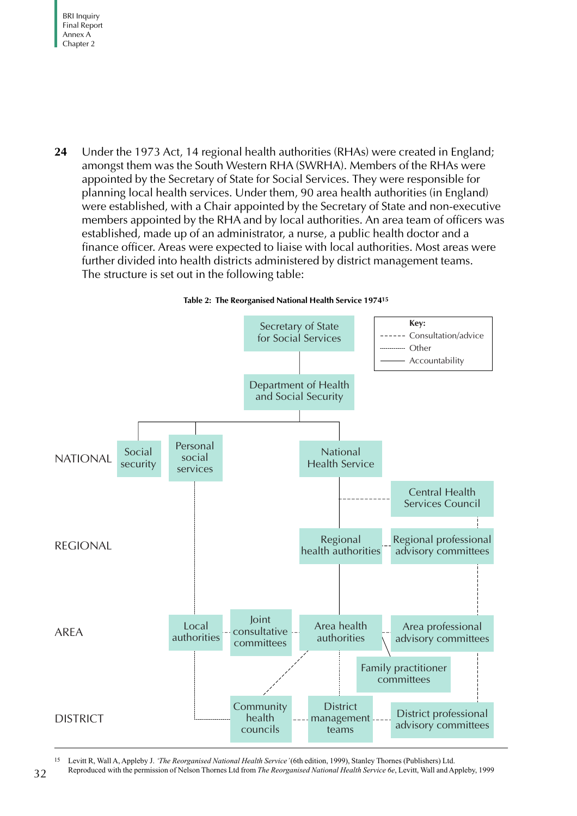**24** Under the 1973 Act, 14 regional health authorities (RHAs) were created in England; amongst them was the South Western RHA (SWRHA). Members of the RHAs were appointed by the Secretary of State for Social Services. They were responsible for planning local health services. Under them, 90 area health authorities (in England) were established, with a Chair appointed by the Secretary of State and non-executive members appointed by the RHA and by local authorities. An area team of officers was established, made up of an administrator, a nurse, a public health doctor and a finance officer. Areas were expected to liaise with local authorities. Most areas were further divided into health districts administered by district management teams. The structure is set out in the following table:



15 Levitt R, Wall A, Appleby J. *'The Reorganised National Health Service'* (6th edition, 1999), Stanley Thornes (Publishers) Ltd.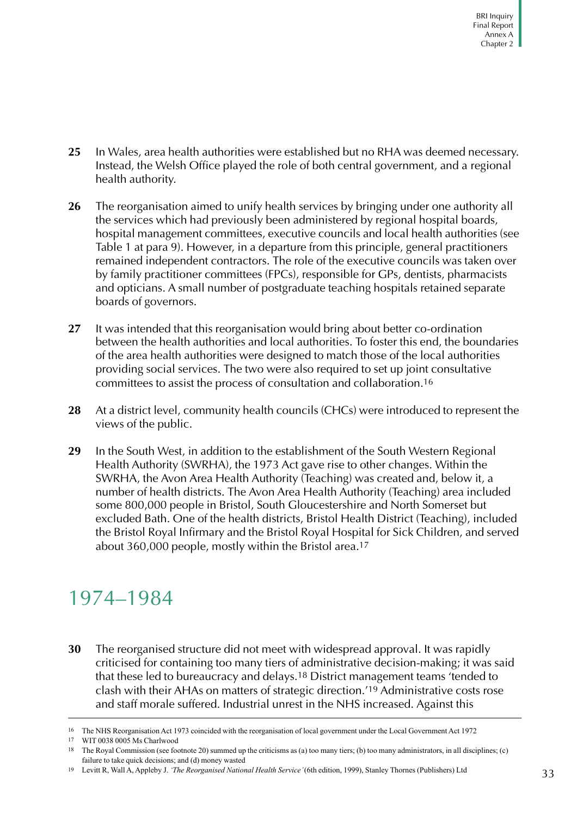- **25** In Wales, area health authorities were established but no RHA was deemed necessary. Instead, the Welsh Office played the role of both central government, and a regional health authority.
- **26** The reorganisation aimed to unify health services by bringing under one authority all the services which had previously been administered by regional hospital boards, hospital management committees, executive councils and local health authorities (see Table 1 at [para 9\)](#page-27-0). However, in a departure from this principle, general practitioners remained independent contractors. The role of the executive councils was taken over by family practitioner committees (FPCs), responsible for GPs, dentists, pharmacists and opticians. A small number of postgraduate teaching hospitals retained separate boards of governors.
- **27** It was intended that this reorganisation would bring about better co-ordination between the health authorities and local authorities. To foster this end, the boundaries of the area health authorities were designed to match those of the local authorities providing social services. The two were also required to set up joint consultative committees to assist the process of consultation and collaboration.16
- **28** At a district level, community health councils (CHCs) were introduced to represent the views of the public.
- **29** In the South West, in addition to the establishment of the South Western Regional Health Authority (SWRHA), the 1973 Act gave rise to other changes. Within the SWRHA, the Avon Area Health Authority (Teaching) was created and, below it, a number of health districts. The Avon Area Health Authority (Teaching) area included some 800,000 people in Bristol, South Gloucestershire and North Somerset but excluded Bath. One of the health districts, Bristol Health District (Teaching), included the Bristol Royal Infirmary and the Bristol Royal Hospital for Sick Children, and served about 360,000 people, mostly within the Bristol area.17

### <span id="page-32-0"></span>1974–1984

**30** The reorganised structure did not meet with widespread approval. It was rapidly criticised for containing too many tiers of administrative decision-making; it was said that these led to bureaucracy and delays.18 District management teams 'tended to clash with their AHAs on matters of strategic direction.'19 Administrative costs rose and staff morale suffered. Industrial unrest in the NHS increased. Against this

<sup>16</sup> The NHS Reorganisation Act 1973 coincided with the reorganisation of local government under the Local Government Act 1972

<sup>17</sup> WIT 0038 0005 Ms Charlwood

<sup>18</sup> The Royal Commission [\(see footnote 20](#page-33-0)) summed up the criticisms as (a) too many tiers; (b) too many administrators, in all disciplines; (c) failure to take quick decisions; and (d) money wasted

<sup>19</sup> Levitt R, Wall A, Appleby J. *'The Reorganised National Health Service'* (6th edition, 1999), Stanley Thornes (Publishers) Ltd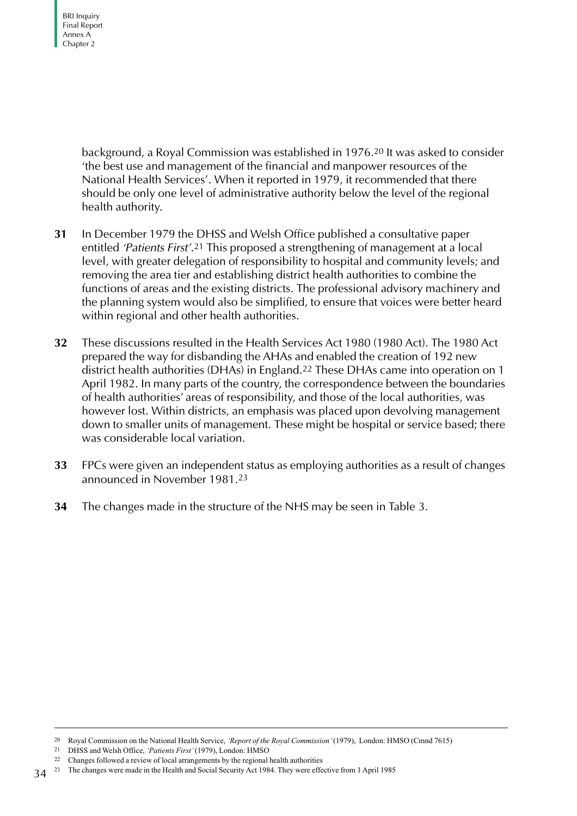background, a Royal Commission was established in 1976.20 It was asked to consider 'the best use and management of the financial and manpower resources of the National Health Services'. When it reported in 1979, it recommended that there should be only one level of administrative authority below the level of the regional health authority.

- **31** In December 1979 the DHSS and Welsh Office published a consultative paper entitled 'Patients First'.21 This proposed a strengthening of management at a local level, with greater delegation of responsibility to hospital and community levels; and removing the area tier and establishing district health authorities to combine the functions of areas and the existing districts. The professional advisory machinery and the planning system would also be simplified, to ensure that voices were better heard within regional and other health authorities.
- **32** These discussions resulted in the Health Services Act 1980 (1980 Act). The 1980 Act prepared the way for disbanding the AHAs and enabled the creation of 192 new district health authorities (DHAs) in England.22 These DHAs came into operation on 1 April 1982. In many parts of the country, the correspondence between the boundaries of health authorities' areas of responsibility, and those of the local authorities, was however lost. Within districts, an emphasis was placed upon devolving management down to smaller units of management. These might be hospital or service based; there was considerable local variation.
- **33** FPCs were given an independent status as employing authorities as a result of changes announced in November 1981.23
- **34** The changes made in the structure of the NHS may be seen in [Table 3](#page-34-0).

<span id="page-33-0"></span><sup>20</sup> Royal Commission on the National Health Service, *'Report of the Royal Commission'* (1979), London: HMSO (Cmnd 7615)

<sup>21</sup> DHSS and Welsh Office, *'Patients First'* (1979), London: HMSO

<sup>22</sup> Changes followed a review of local arrangements by the regional health authorities

<sup>23</sup> The changes were made in the Health and Social Security Act 1984. They were effective from 1 April 1985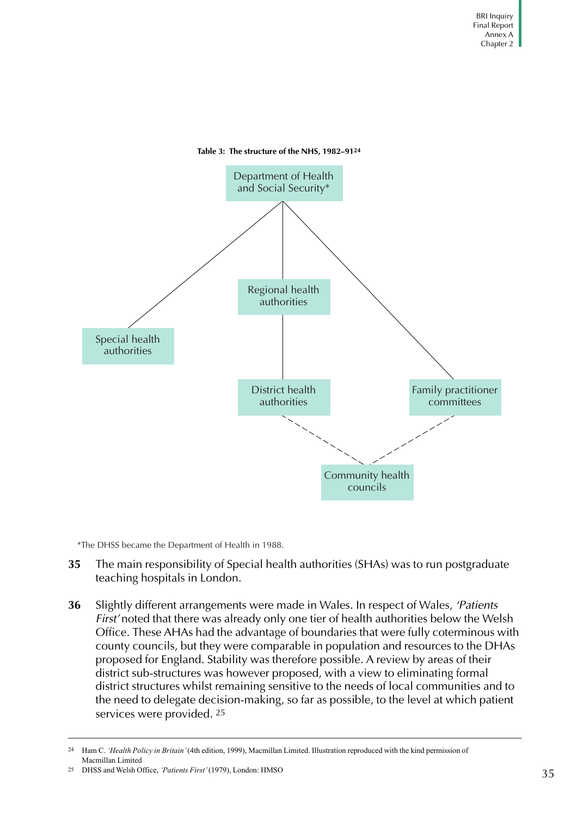

#### <span id="page-34-0"></span>**Table 3: The structure of the NHS, 1982–9124**

\*The DHSS became the Department of Health in 1988.

- **35** The main responsibility of Special health authorities (SHAs) was to run postgraduate teaching hospitals in London.
- **36** Slightly different arrangements were made in Wales. In respect of Wales, 'Patients First' noted that there was already only one tier of health authorities below the Welsh Office. These AHAs had the advantage of boundaries that were fully coterminous with county councils, but they were comparable in population and resources to the DHAs proposed for England. Stability was therefore possible. A review by areas of their district sub-structures was however proposed, with a view to eliminating formal district structures whilst remaining sensitive to the needs of local communities and to the need to delegate decision-making, so far as possible, to the level at which patient services were provided. 25

25 DHSS and Welsh Office, *'Patients First'* (1979), London: HMSO

<sup>24</sup> Ham C. *'Health Policy in Britain'* (4th edition, 1999), Macmillan Limited. Illustration reproduced with the kind permission of Macmillan Limited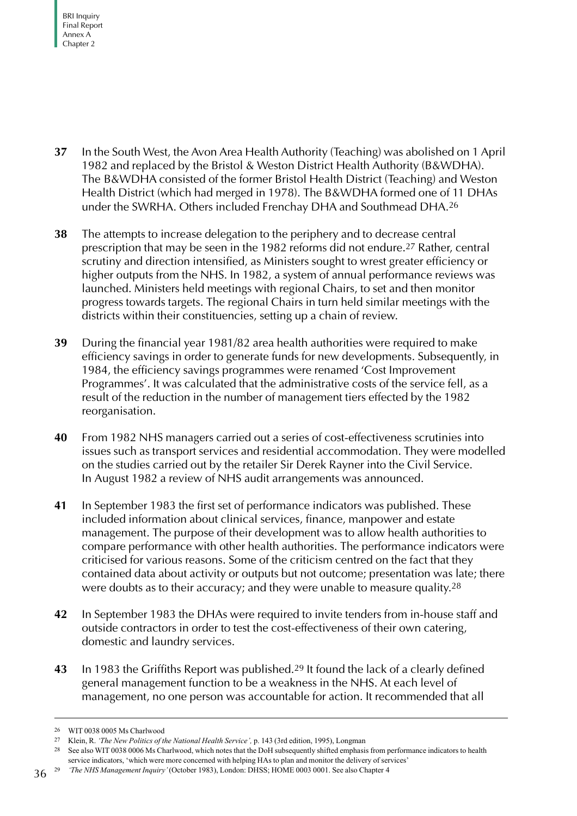- **37** In the South West, the Avon Area Health Authority (Teaching) was abolished on 1 April 1982 and replaced by the Bristol & Weston District Health Authority (B&WDHA). The B&WDHA consisted of the former Bristol Health District (Teaching) and Weston Health District (which had merged in 1978). The B&WDHA formed one of 11 DHAs under the SWRHA. Others included Frenchay DHA and Southmead DHA.26
- **38** The attempts to increase delegation to the periphery and to decrease central prescription that may be seen in the 1982 reforms did not endure.27 Rather, central scrutiny and direction intensified, as Ministers sought to wrest greater efficiency or higher outputs from the NHS. In 1982, a system of annual performance reviews was launched. Ministers held meetings with regional Chairs, to set and then monitor progress towards targets. The regional Chairs in turn held similar meetings with the districts within their constituencies, setting up a chain of review.
- **39** During the financial year 1981/82 area health authorities were required to make efficiency savings in order to generate funds for new developments. Subsequently, in 1984, the efficiency savings programmes were renamed 'Cost Improvement Programmes'. It was calculated that the administrative costs of the service fell, as a result of the reduction in the number of management tiers effected by the 1982 reorganisation.
- **40** From 1982 NHS managers carried out a series of cost-effectiveness scrutinies into issues such as transport services and residential accommodation. They were modelled on the studies carried out by the retailer Sir Derek Rayner into the Civil Service. In August 1982 a review of NHS audit arrangements was announced.
- **41** In September 1983 the first set of performance indicators was published. These included information about clinical services, finance, manpower and estate management. The purpose of their development was to allow health authorities to compare performance with other health authorities. The performance indicators were criticised for various reasons. Some of the criticism centred on the fact that they contained data about activity or outputs but not outcome; presentation was late; there were doubts as to their accuracy; and they were unable to measure quality.28
- **42** In September 1983 the DHAs were required to invite tenders from in-house staff and outside contractors in order to test the cost-effectiveness of their own catering, domestic and laundry services.
- **43** In 1983 the Griffiths Report was published.29 It found the lack of a clearly defined general management function to be a weakness in the NHS. At each level of management, no one person was accountable for action. It recommended that all

<sup>26</sup> WIT 0038 0005 Ms Charlwood

<sup>27</sup> Klein, R. *'The New Politics of the National Health Service',* p. 143 (3rd edition, 1995), Longman

<sup>&</sup>lt;sup>28</sup> See also WIT 0038 0006 Ms Charlwood, which notes that the DoH subsequently shifted emphasis from performance indicators to health service indicators, 'which were more concerned with helping HAs to plan and monitor the delivery of services'

<sup>29</sup> *'The NHS Management Inquiry'* (October 1983), London: DHSS; HOME 0003 0001. See also Chapter 4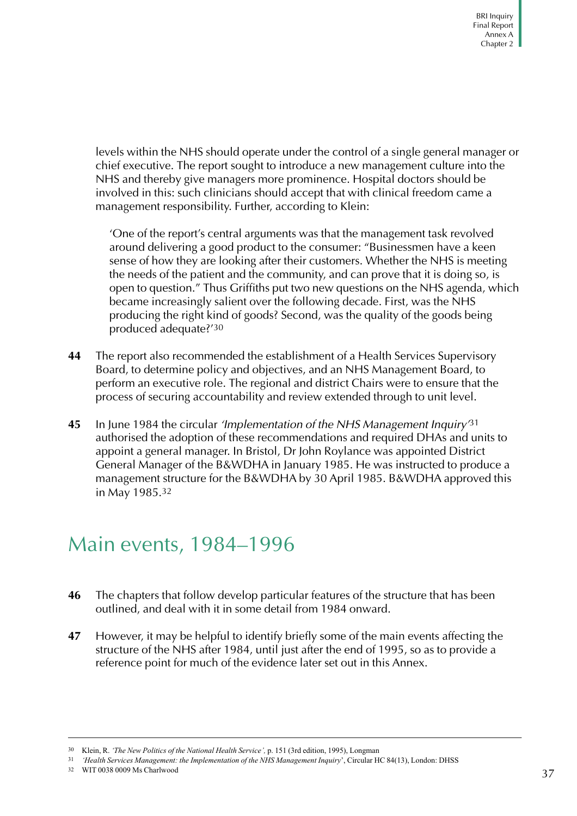levels within the NHS should operate under the control of a single general manager or chief executive. The report sought to introduce a new management culture into the NHS and thereby give managers more prominence. Hospital doctors should be involved in this: such clinicians should accept that with clinical freedom came a management responsibility. Further, according to Klein:

'One of the report's central arguments was that the management task revolved around delivering a good product to the consumer: "Businessmen have a keen sense of how they are looking after their customers. Whether the NHS is meeting the needs of the patient and the community, and can prove that it is doing so, is open to question." Thus Griffiths put two new questions on the NHS agenda, which became increasingly salient over the following decade. First, was the NHS producing the right kind of goods? Second, was the quality of the goods being produced adequate?'30

- **44** The report also recommended the establishment of a Health Services Supervisory Board, to determine policy and objectives, and an NHS Management Board, to perform an executive role. The regional and district Chairs were to ensure that the process of securing accountability and review extended through to unit level.
- **45** In June 1984 the circular 'Implementation of the NHS Management Inquiry'31 authorised the adoption of these recommendations and required DHAs and units to appoint a general manager. In Bristol, Dr John Roylance was appointed District General Manager of the B&WDHA in January 1985. He was instructed to produce a management structure for the B&WDHA by 30 April 1985. B&WDHA approved this in May 1985.32

## Main events, 1984–1996

- **46** The chapters that follow develop particular features of the structure that has been outlined, and deal with it in some detail from 1984 onward.
- **47** However, it may be helpful to identify briefly some of the main events affecting the structure of the NHS after 1984, until just after the end of 1995, so as to provide a reference point for much of the evidence later set out in this Annex.

31 *'Health Services Management: the Implementation of the NHS Management Inquiry*', Circular HC 84(13), London: DHSS

<sup>30</sup> Klein, R. *'The New Politics of the National Health Service',* p. 151 (3rd edition, 1995), Longman

<sup>32</sup> WIT 0038 0009 Ms Charlwood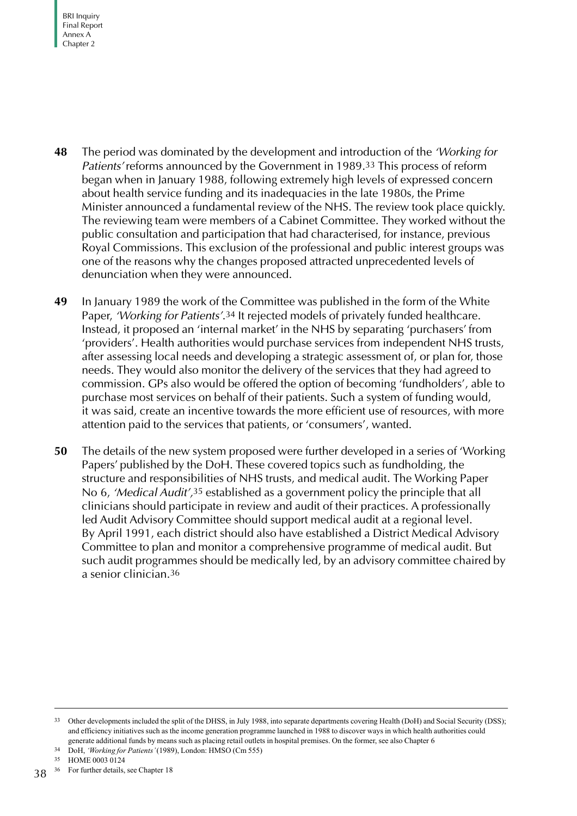- **48** The period was dominated by the development and introduction of the 'Working for Patients' reforms announced by the Government in 1989.33 This process of reform began when in January 1988, following extremely high levels of expressed concern about health service funding and its inadequacies in the late 1980s, the Prime Minister announced a fundamental review of the NHS. The review took place quickly. The reviewing team were members of a Cabinet Committee. They worked without the public consultation and participation that had characterised, for instance, previous Royal Commissions. This exclusion of the professional and public interest groups was one of the reasons why the changes proposed attracted unprecedented levels of denunciation when they were announced.
- **49** In January 1989 the work of the Committee was published in the form of the White Paper, 'Working for Patients'.<sup>34</sup> It rejected models of privately funded healthcare. Instead, it proposed an 'internal market' in the NHS by separating 'purchasers' from 'providers'. Health authorities would purchase services from independent NHS trusts, after assessing local needs and developing a strategic assessment of, or plan for, those needs. They would also monitor the delivery of the services that they had agreed to commission. GPs also would be offered the option of becoming 'fundholders', able to purchase most services on behalf of their patients. Such a system of funding would, it was said, create an incentive towards the more efficient use of resources, with more attention paid to the services that patients, or 'consumers', wanted.
- **50** The details of the new system proposed were further developed in a series of 'Working Papers' published by the DoH. These covered topics such as fundholding, the structure and responsibilities of NHS trusts, and medical audit. The Working Paper No 6, 'Medical Audit',35 established as a government policy the principle that all clinicians should participate in review and audit of their practices. A professionally led Audit Advisory Committee should support medical audit at a regional level. By April 1991, each district should also have established a District Medical Advisory Committee to plan and monitor a comprehensive programme of medical audit. But such audit programmes should be medically led, by an advisory committee chaired by a senior clinician.36

35 HOME 0003 0124

<sup>33</sup> Other developments included the split of the DHSS, in July 1988, into separate departments covering Health (DoH) and Social Security (DSS); and efficiency initiatives such as the income generation programme launched in 1988 to discover ways in which health authorities could generate additional funds by means such as placing retail outlets in hospital premises. On the former, see also Chapter 6

<sup>34</sup> DoH, *'Working for Patients'* (1989), London: HMSO (Cm 555)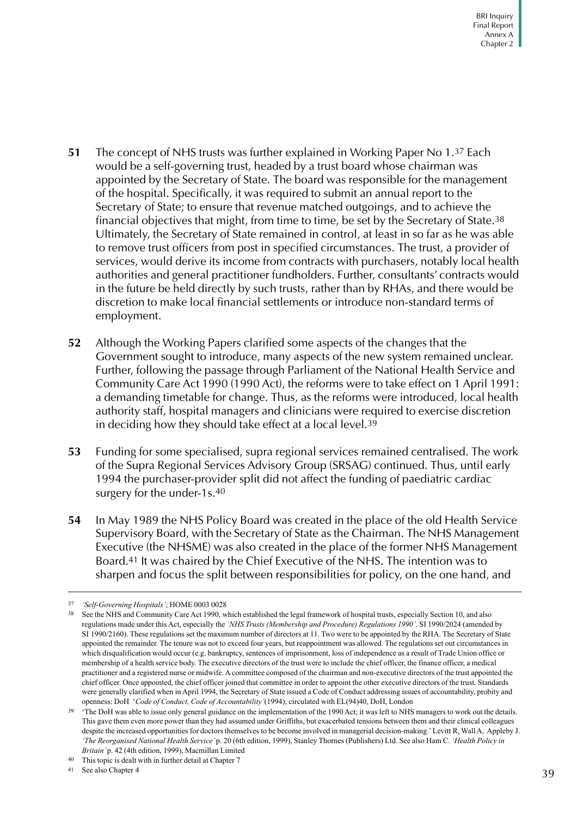- **51** The concept of NHS trusts was further explained in Working Paper No 1.37 Each would be a self-governing trust, headed by a trust board whose chairman was appointed by the Secretary of State. The board was responsible for the management of the hospital. Specifically, it was required to submit an annual report to the Secretary of State; to ensure that revenue matched outgoings, and to achieve the financial objectives that might, from time to time, be set by the Secretary of State.38 Ultimately, the Secretary of State remained in control, at least in so far as he was able to remove trust officers from post in specified circumstances. The trust, a provider of services, would derive its income from contracts with purchasers, notably local health authorities and general practitioner fundholders. Further, consultants' contracts would in the future be held directly by such trusts, rather than by RHAs, and there would be discretion to make local financial settlements or introduce non-standard terms of employment.
- **52** Although the Working Papers clarified some aspects of the changes that the Government sought to introduce, many aspects of the new system remained unclear. Further, following the passage through Parliament of the National Health Service and Community Care Act 1990 (1990 Act), the reforms were to take effect on 1 April 1991: a demanding timetable for change. Thus, as the reforms were introduced, local health authority staff, hospital managers and clinicians were required to exercise discretion in deciding how they should take effect at a local level.39
- **53** Funding for some specialised, supra regional services remained centralised. The work of the Supra Regional Services Advisory Group (SRSAG) continued. Thus, until early 1994 the purchaser-provider split did not affect the funding of paediatric cardiac surgery for the under-1s.40
- **54** In May 1989 the NHS Policy Board was created in the place of the old Health Service Supervisory Board, with the Secretary of State as the Chairman. The NHS Management Executive (the NHSME) was also created in the place of the former NHS Management Board.41 It was chaired by the Chief Executive of the NHS. The intention was to sharpen and focus the split between responsibilities for policy, on the one hand, and

41 See also Chapter 4

<sup>37</sup> *'Self-Governing Hospitals'*; HOME 0003 0028

<sup>&</sup>lt;sup>38</sup> See the NHS and Community Care Act 1990, which established the legal framework of hospital trusts, especially Section 10, and also regulations made under this Act, especially the *'NHS Trusts (Membership and Procedure) Regulations 1990',* SI 1990/2024 (amended by SI 1990/2160). These regulations set the maximum number of directors at 11. Two were to be appointed by the RHA. The Secretary of State appointed the remainder. The tenure was not to exceed four years, but reappointment was allowed. The regulations set out circumstances in which disqualification would occur (e.g. bankruptcy, sentences of imprisonment, loss of independence as a result of Trade Union office or membership of a health service body. The executive directors of the trust were to include the chief officer, the finance officer, a medical practitioner and a registered nurse or midwife. A committee composed of the chairman and non-executive directors of the trust appointed the chief officer. Once appointed, the chief officer joined that committee in order to appoint the other executive directors of the trust. Standards were generally clarified when in April 1994, the Secretary of State issued a Code of Conduct addressing issues of accountability, probity and openness: DoH '*Code of Conduct, Code of Accountability'*(1994); circulated with EL(94)40, DoH, London

<sup>&</sup>lt;sup>39</sup> 'The DoH was able to issue only general guidance on the implementation of the 1990 Act; it was left to NHS managers to work out the details. This gave them even more power than they had assumed under Griffiths, but exacerbated tensions between them and their clinical colleagues despite the increased opportunities for doctors themselves to be become involved in managerial decision-making.' Levitt R, Wall A, Appleby J. *'The Reorganised National Health Service'* p. 20 (6th edition, 1999), Stanley Thornes (Publishers) Ltd. See also Ham C. *'Health Policy in Britain'* p. 42 (4th edition, 1999), Macmillan Limited

<sup>40</sup> This topic is dealt with in further detail at Chapter 7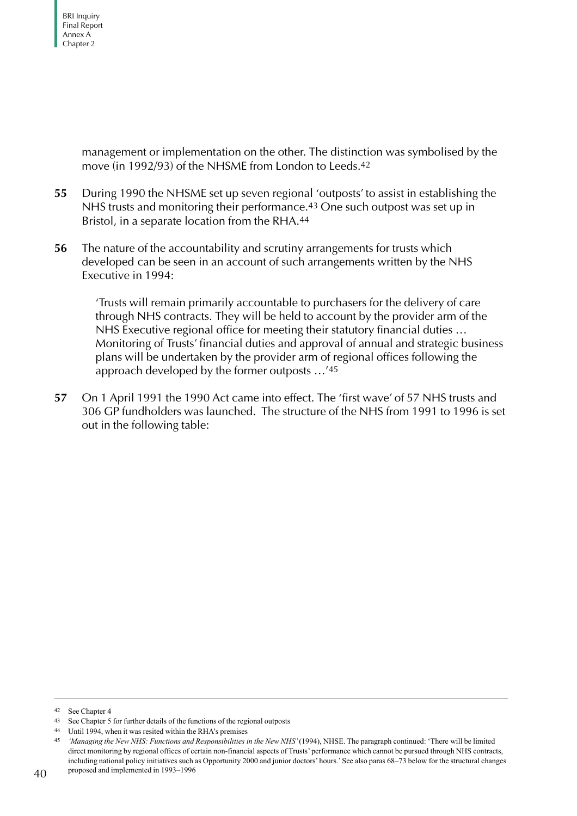management or implementation on the other. The distinction was symbolised by the move (in 1992/93) of the NHSME from London to Leeds.42

- **55** During 1990 the NHSME set up seven regional 'outposts' to assist in establishing the NHS trusts and monitoring their performance.43 One such outpost was set up in Bristol, in a separate location from the RHA.44
- **56** The nature of the accountability and scrutiny arrangements for trusts which developed can be seen in an account of such arrangements written by the NHS Executive in 1994:

'Trusts will remain primarily accountable to purchasers for the delivery of care through NHS contracts. They will be held to account by the provider arm of the NHS Executive regional office for meeting their statutory financial duties … Monitoring of Trusts' financial duties and approval of annual and strategic business plans will be undertaken by the provider arm of regional offices following the approach developed by the former outposts …'45

**57** On 1 April 1991 the 1990 Act came into effect. The 'first wave' of 57 NHS trusts and 306 GP fundholders was launched. The structure of the NHS from 1991 to 1996 is set out in the following table:

<sup>42</sup> See Chapter 4

<sup>43</sup> See Chapter 5 for further details of the functions of the regional outposts

<sup>44</sup> Until 1994, when it was resited within the RHA's premises

<sup>45</sup> *'Managing the New NHS: Functions and Responsibilities in the New NHS'* (1994), NHSE. The paragraph continued: 'There will be limited direct monitoring by regional offices of certain non-financial aspects of Trusts' performance which cannot be pursued through NHS contracts, including national policy initiatives such as Opportunity 2000 and junior doctors' hours.' See also [paras 68](#page-42-0)–73 below for the structural changes proposed and implemented in 1993–1996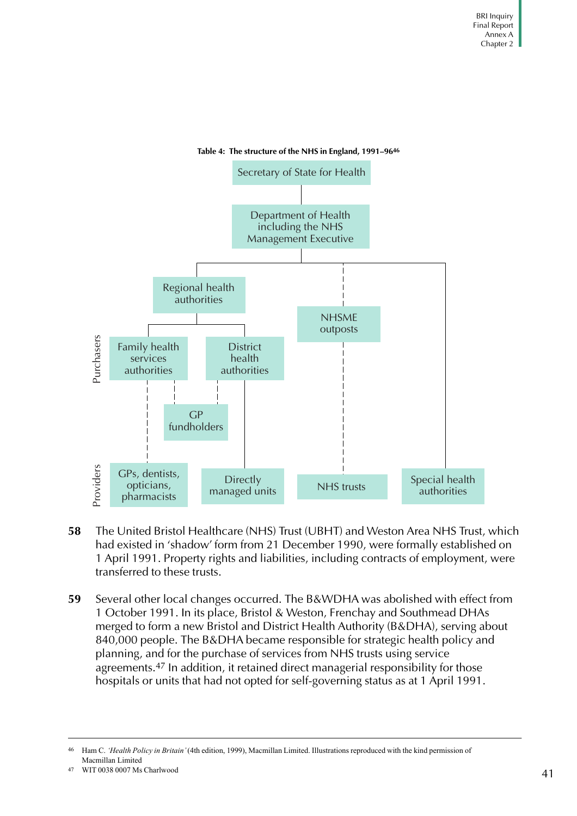

#### **Table 4: The structure of the NHS in England, 1991–9646**

- **58** The United Bristol Healthcare (NHS) Trust (UBHT) and Weston Area NHS Trust, which had existed in 'shadow' form from 21 December 1990, were formally established on 1 April 1991. Property rights and liabilities, including contracts of employment, were transferred to these trusts.
- **59** Several other local changes occurred. The B&WDHA was abolished with effect from 1 October 1991. In its place, Bristol & Weston, Frenchay and Southmead DHAs merged to form a new Bristol and District Health Authority (B&DHA), serving about 840,000 people. The B&DHA became responsible for strategic health policy and planning, and for the purchase of services from NHS trusts using service agreements.47 In addition, it retained direct managerial responsibility for those hospitals or units that had not opted for self-governing status as at 1 April 1991.

<sup>46</sup> Ham C. *'Health Policy in Britain'* (4th edition, 1999), Macmillan Limited. Illustrations reproduced with the kind permission of Macmillan Limited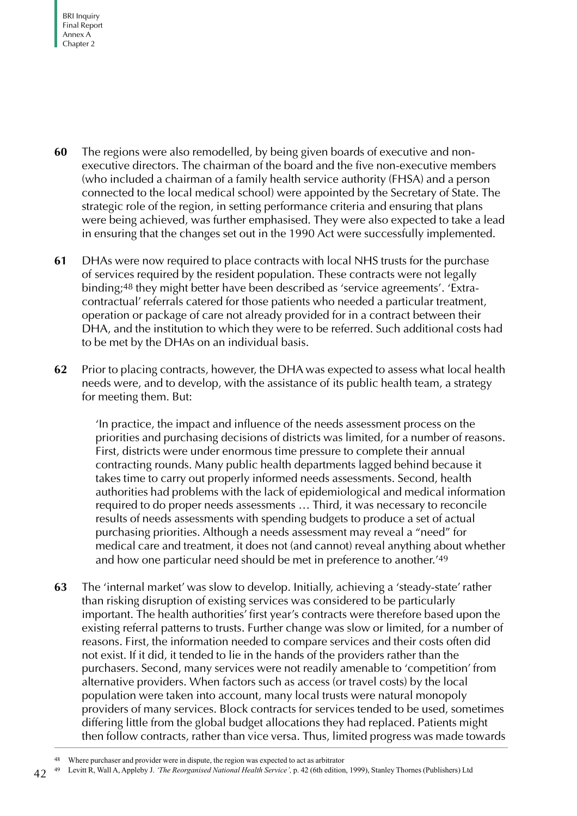- **60** The regions were also remodelled, by being given boards of executive and nonexecutive directors. The chairman of the board and the five non-executive members (who included a chairman of a family health service authority (FHSA) and a person connected to the local medical school) were appointed by the Secretary of State. The strategic role of the region, in setting performance criteria and ensuring that plans were being achieved, was further emphasised. They were also expected to take a lead in ensuring that the changes set out in the 1990 Act were successfully implemented.
- **61** DHAs were now required to place contracts with local NHS trusts for the purchase of services required by the resident population. These contracts were not legally binding;48 they might better have been described as 'service agreements'. 'Extracontractual' referrals catered for those patients who needed a particular treatment, operation or package of care not already provided for in a contract between their DHA, and the institution to which they were to be referred. Such additional costs had to be met by the DHAs on an individual basis.
- **62** Prior to placing contracts, however, the DHA was expected to assess what local health needs were, and to develop, with the assistance of its public health team, a strategy for meeting them. But:

'In practice, the impact and influence of the needs assessment process on the priorities and purchasing decisions of districts was limited, for a number of reasons. First, districts were under enormous time pressure to complete their annual contracting rounds. Many public health departments lagged behind because it takes time to carry out properly informed needs assessments. Second, health authorities had problems with the lack of epidemiological and medical information required to do proper needs assessments … Third, it was necessary to reconcile results of needs assessments with spending budgets to produce a set of actual purchasing priorities. Although a needs assessment may reveal a "need" for medical care and treatment, it does not (and cannot) reveal anything about whether and how one particular need should be met in preference to another.'49

- **63** The 'internal market' was slow to develop. Initially, achieving a 'steady-state' rather than risking disruption of existing services was considered to be particularly important. The health authorities' first year's contracts were therefore based upon the existing referral patterns to trusts. Further change was slow or limited, for a number of reasons. First, the information needed to compare services and their costs often did not exist. If it did, it tended to lie in the hands of the providers rather than the purchasers. Second, many services were not readily amenable to 'competition' from alternative providers. When factors such as access (or travel costs) by the local population were taken into account, many local trusts were natural monopoly providers of many services. Block contracts for services tended to be used, sometimes differing little from the global budget allocations they had replaced. Patients might then follow contracts, rather than vice versa. Thus, limited progress was made towards
- Where purchaser and provider were in dispute, the region was expected to act as arbitrator
- 42 49 Levitt R, Wall A, Appleby J. *'The Reorganised National Health Service',* p. 42 (6th edition, 1999), Stanley Thornes (Publishers) Ltd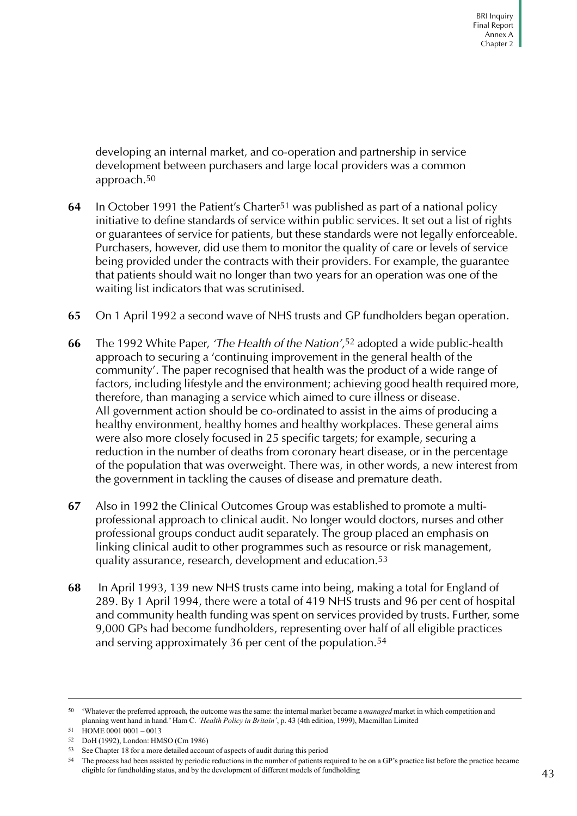developing an internal market, and co-operation and partnership in service development between purchasers and large local providers was a common approach.50

- **64** In October 1991 the Patient's Charter51 was published as part of a national policy initiative to define standards of service within public services. It set out a list of rights or guarantees of service for patients, but these standards were not legally enforceable. Purchasers, however, did use them to monitor the quality of care or levels of service being provided under the contracts with their providers. For example, the guarantee that patients should wait no longer than two years for an operation was one of the waiting list indicators that was scrutinised.
- **65** On 1 April 1992 a second wave of NHS trusts and GP fundholders began operation.
- **66** The 1992 White Paper, 'The Health of the Nation',52 adopted a wide public-health approach to securing a 'continuing improvement in the general health of the community'. The paper recognised that health was the product of a wide range of factors, including lifestyle and the environment; achieving good health required more, therefore, than managing a service which aimed to cure illness or disease. All government action should be co-ordinated to assist in the aims of producing a healthy environment, healthy homes and healthy workplaces. These general aims were also more closely focused in 25 specific targets; for example, securing a reduction in the number of deaths from coronary heart disease, or in the percentage of the population that was overweight. There was, in other words, a new interest from the government in tackling the causes of disease and premature death.
- **67** Also in 1992 the Clinical Outcomes Group was established to promote a multiprofessional approach to clinical audit. No longer would doctors, nurses and other professional groups conduct audit separately. The group placed an emphasis on linking clinical audit to other programmes such as resource or risk management, quality assurance, research, development and education.53
- <span id="page-42-0"></span>**68** In April 1993, 139 new NHS trusts came into being, making a total for England of 289. By 1 April 1994, there were a total of 419 NHS trusts and 96 per cent of hospital and community health funding was spent on services provided by trusts. Further, some 9,000 GPs had become fundholders, representing over half of all eligible practices and serving approximately 36 per cent of the population.54

<sup>50</sup> 'Whatever the preferred approach, the outcome was the same: the internal market became a *managed* market in which competition and planning went hand in hand.' Ham C. *'Health Policy in Britain'*, p. 43 (4th edition, 1999), Macmillan Limited

<sup>51</sup> HOME 0001 0001 – 0013

<sup>52</sup> DoH (1992), London: HMSO (Cm 1986)

<sup>53</sup> See Chapter 18 for a more detailed account of aspects of audit during this period

<sup>&</sup>lt;sup>54</sup> The process had been assisted by periodic reductions in the number of patients required to be on a GP's practice list before the practice became eligible for fundholding status, and by the development of different models of fundholding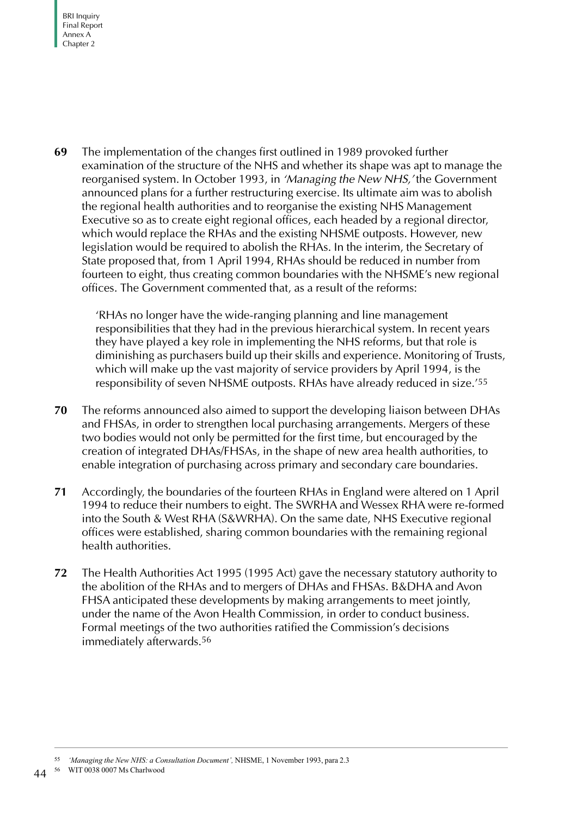**69** The implementation of the changes first outlined in 1989 provoked further examination of the structure of the NHS and whether its shape was apt to manage the reorganised system. In October 1993, in 'Managing the New NHS,' the Government announced plans for a further restructuring exercise. Its ultimate aim was to abolish the regional health authorities and to reorganise the existing NHS Management Executive so as to create eight regional offices, each headed by a regional director, which would replace the RHAs and the existing NHSME outposts. However, new legislation would be required to abolish the RHAs. In the interim, the Secretary of State proposed that, from 1 April 1994, RHAs should be reduced in number from fourteen to eight, thus creating common boundaries with the NHSME's new regional offices. The Government commented that, as a result of the reforms:

'RHAs no longer have the wide-ranging planning and line management responsibilities that they had in the previous hierarchical system. In recent years they have played a key role in implementing the NHS reforms, but that role is diminishing as purchasers build up their skills and experience. Monitoring of Trusts, which will make up the vast majority of service providers by April 1994, is the responsibility of seven NHSME outposts. RHAs have already reduced in size.'55

- **70** The reforms announced also aimed to support the developing liaison between DHAs and FHSAs, in order to strengthen local purchasing arrangements. Mergers of these two bodies would not only be permitted for the first time, but encouraged by the creation of integrated DHAs/FHSAs, in the shape of new area health authorities, to enable integration of purchasing across primary and secondary care boundaries.
- **71** Accordingly, the boundaries of the fourteen RHAs in England were altered on 1 April 1994 to reduce their numbers to eight. The SWRHA and Wessex RHA were re-formed into the South & West RHA (S&WRHA). On the same date, NHS Executive regional offices were established, sharing common boundaries with the remaining regional health authorities.
- **72** The Health Authorities Act 1995 (1995 Act) gave the necessary statutory authority to the abolition of the RHAs and to mergers of DHAs and FHSAs. B&DHA and Avon FHSA anticipated these developments by making arrangements to meet jointly, under the name of the Avon Health Commission, in order to conduct business. Formal meetings of the two authorities ratified the Commission's decisions immediately afterwards.56

55 *'Managing the New NHS: a Consultation Document',* NHSME, 1 November 1993, para 2.3

 $\Delta\Delta$ 56 WIT 0038 0007 Ms Charlwood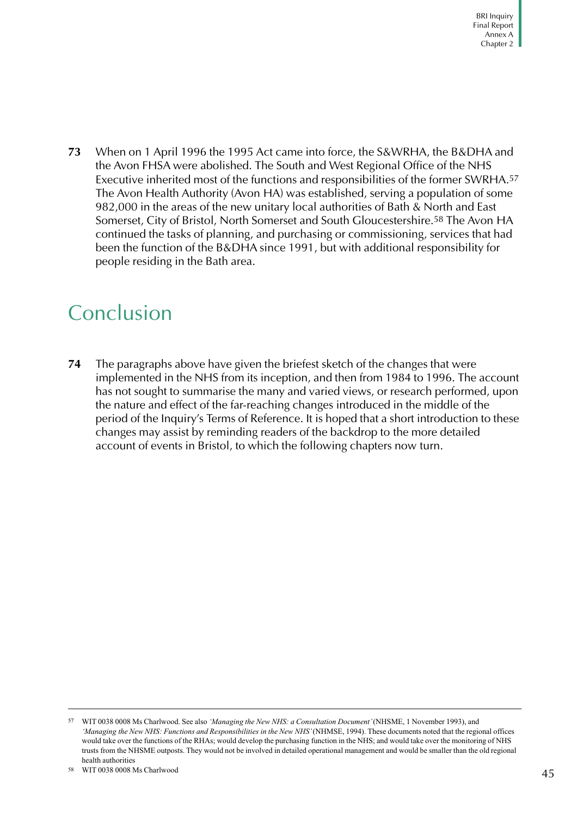**73** When on 1 April 1996 the 1995 Act came into force, the S&WRHA, the B&DHA and the Avon FHSA were abolished. The South and West Regional Office of the NHS Executive inherited most of the functions and responsibilities of the former SWRHA.57 The Avon Health Authority (Avon HA) was established, serving a population of some 982,000 in the areas of the new unitary local authorities of Bath & North and East Somerset, City of Bristol, North Somerset and South Gloucestershire.58 The Avon HA continued the tasks of planning, and purchasing or commissioning, services that had been the function of the B&DHA since 1991, but with additional responsibility for people residing in the Bath area.

## Conclusion

**74** The paragraphs above have given the briefest sketch of the changes that were implemented in the NHS from its inception, and then from 1984 to 1996. The account has not sought to summarise the many and varied views, or research performed, upon the nature and effect of the far-reaching changes introduced in the middle of the period of the Inquiry's Terms of Reference. It is hoped that a short introduction to these changes may assist by reminding readers of the backdrop to the more detailed account of events in Bristol, to which the following chapters now turn.

<sup>57</sup> WIT 0038 0008 Ms Charlwood. See also *'Managing the New NHS: a Consultation Document'* (NHSME, 1 November 1993), and *'Managing the New NHS: Functions and Responsibilities in the New NHS'* (NHMSE, 1994). These documents noted that the regional offices would take over the functions of the RHAs; would develop the purchasing function in the NHS; and would take over the monitoring of NHS trusts from the NHSME outposts. They would not be involved in detailed operational management and would be smaller than the old regional health authorities

<sup>58</sup> WIT 0038 0008 Ms Charlwood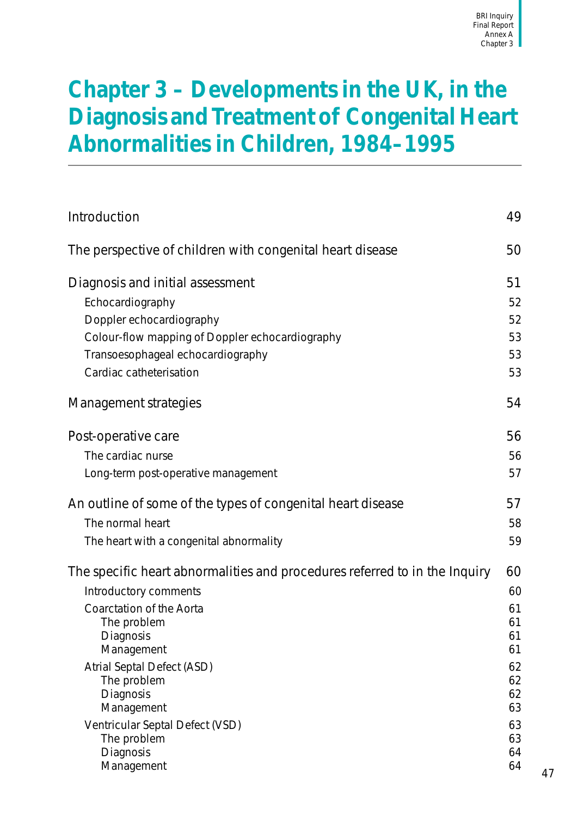# **Chapter 3 – Developments in the UK, in the Diagnosis and Treatment of Congenital Heart Abnormalities in Children, 1984–1995**

| Introduction                                                               | 49 |
|----------------------------------------------------------------------------|----|
| The perspective of children with congenital heart disease                  | 50 |
| Diagnosis and initial assessment                                           | 51 |
| Echocardiography                                                           | 52 |
| Doppler echocardiography                                                   | 52 |
| Colour-flow mapping of Doppler echocardiography                            | 53 |
| Transoesophageal echocardiography                                          | 53 |
| Cardiac catheterisation                                                    | 53 |
| Management strategies                                                      | 54 |
| Post-operative care                                                        | 56 |
| The cardiac nurse                                                          | 56 |
| Long-term post-operative management                                        | 57 |
| An outline of some of the types of congenital heart disease                | 57 |
| The normal heart                                                           | 58 |
| The heart with a congenital abnormality                                    | 59 |
| The specific heart abnormalities and procedures referred to in the Inquiry | 60 |
| Introductory comments                                                      | 60 |
| <b>Coarctation of the Aorta</b>                                            | 61 |
| The problem                                                                | 61 |
| Diagnosis                                                                  | 61 |
| Management                                                                 | 61 |
| Atrial Septal Defect (ASD)                                                 | 62 |
| The problem                                                                | 62 |
| Diagnosis                                                                  | 62 |
| Management                                                                 | 63 |
| Ventricular Septal Defect (VSD)                                            | 63 |
| The problem                                                                | 63 |
| Diagnosis                                                                  | 64 |
| Management                                                                 | 64 |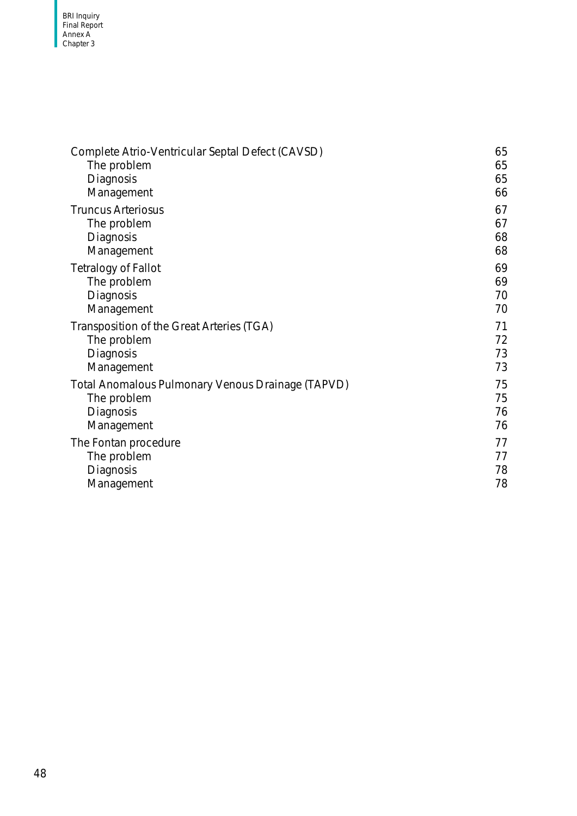| Complete Atrio-Ventricular Septal Defect (CAVSD)  | 65 |
|---------------------------------------------------|----|
| The problem                                       | 65 |
| Diagnosis                                         | 65 |
| Management                                        | 66 |
| <b>Truncus Arteriosus</b>                         | 67 |
| The problem                                       | 67 |
| Diagnosis                                         | 68 |
| Management                                        | 68 |
| <b>Tetralogy of Fallot</b>                        | 69 |
| The problem                                       | 69 |
| Diagnosis                                         | 70 |
| Management                                        | 70 |
| Transposition of the Great Arteries (TGA)         | 71 |
| The problem                                       | 72 |
| Diagnosis                                         | 73 |
| Management                                        | 73 |
| Total Anomalous Pulmonary Venous Drainage (TAPVD) | 75 |
| The problem                                       | 75 |
| Diagnosis                                         | 76 |
| Management                                        | 76 |
| The Fontan procedure                              | 77 |
| The problem                                       | 77 |
| Diagnosis                                         | 78 |
| Management                                        | 78 |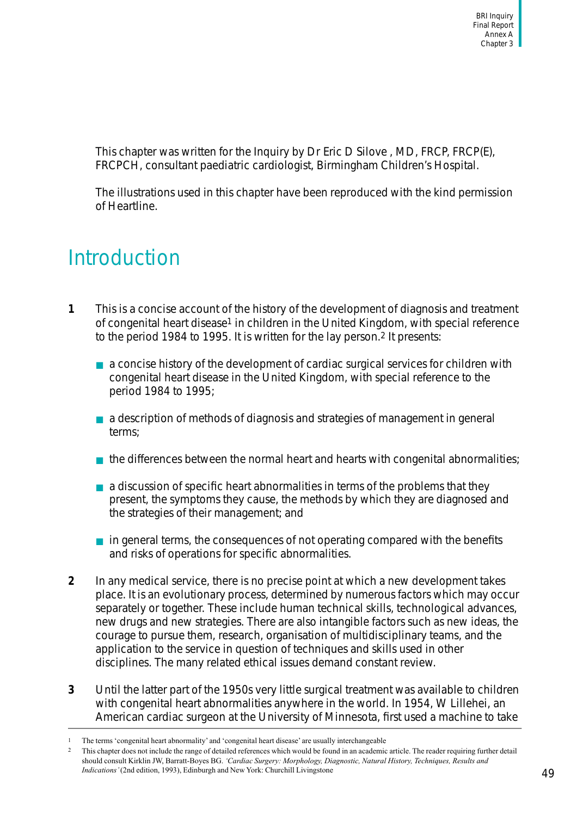This chapter was written for the Inquiry by Dr Eric D Silove , MD, FRCP, FRCP(E), FRCPCH, consultant paediatric cardiologist, Birmingham Children's Hospital.

The illustrations used in this chapter have been reproduced with the kind permission of Heartline.

## Introduction

- **1** This is a concise account of the history of the development of diagnosis and treatment of congenital heart disease<sup>1</sup> in children in the United Kingdom, with special reference to the period 1984 to 1995. It is written for the lay person.2 It presents:
	- a concise history of the development of cardiac surgical services for children with congenital heart disease in the United Kingdom, with special reference to the period 1984 to 1995;
	- a description of methods of diagnosis and strategies of management in general terms;
	- $\blacksquare$  the differences between the normal heart and hearts with congenital abnormalities;
	- a discussion of specific heart abnormalities in terms of the problems that they present, the symptoms they cause, the methods by which they are diagnosed and the strategies of their management; and
	- $\blacksquare$  in general terms, the consequences of not operating compared with the benefits and risks of operations for specific abnormalities.
- **2** In any medical service, there is no precise point at which a new development takes place. It is an evolutionary process, determined by numerous factors which may occur separately or together. These include human technical skills, technological advances, new drugs and new strategies. There are also intangible factors such as new ideas, the courage to pursue them, research, organisation of multidisciplinary teams, and the application to the service in question of techniques and skills used in other disciplines. The many related ethical issues demand constant review.
- **3** Until the latter part of the 1950s very little surgical treatment was available to children with congenital heart abnormalities anywhere in the world. In 1954, W Lillehei, an American cardiac surgeon at the University of Minnesota, first used a machine to take

<sup>1</sup> The terms 'congenital heart abnormality' and 'congenital heart disease' are usually interchangeable

<sup>&</sup>lt;sup>2</sup> This chapter does not include the range of detailed references which would be found in an academic article. The reader requiring further detail should consult Kirklin JW, Barratt-Boyes BG. *'Cardiac Surgery: Morphology, Diagnostic, Natural History, Techniques, Results and Indications'* (2nd edition, 1993), Edinburgh and New York: Churchill Livingstone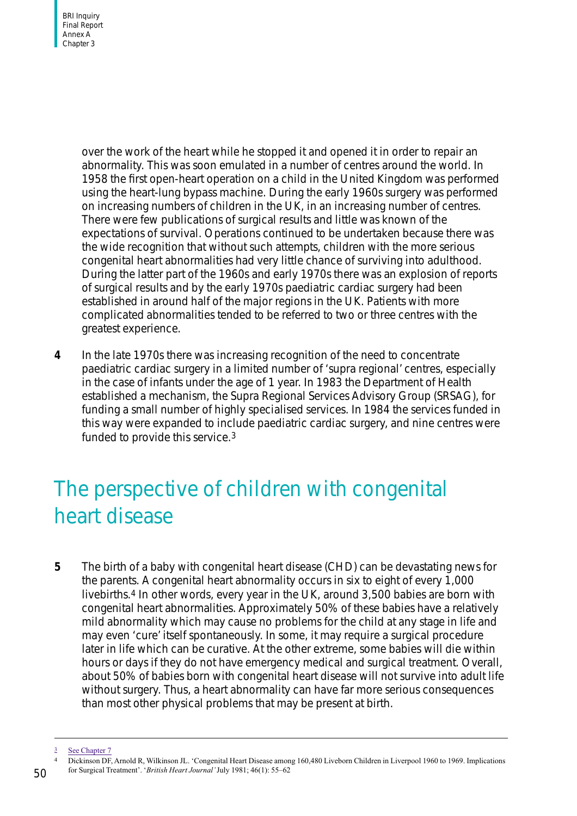over the work of the heart while he stopped it and opened it in order to repair an abnormality. This was soon emulated in a number of centres around the world. In 1958 the first open-heart operation on a child in the United Kingdom was performed using the heart-lung bypass machine. During the early 1960s surgery was performed on increasing numbers of children in the UK, in an increasing number of centres. There were few publications of surgical results and little was known of the expectations of survival. Operations continued to be undertaken because there was the wide recognition that without such attempts, children with the more serious congenital heart abnormalities had very little chance of surviving into adulthood. During the latter part of the 1960s and early 1970s there was an explosion of reports of surgical results and by the early 1970s paediatric cardiac surgery had been established in around half of the major regions in the UK. Patients with more complicated abnormalities tended to be referred to two or three centres with the greatest experience.

**4** In the late 1970s there was increasing recognition of the need to concentrate paediatric cardiac surgery in a limited number of 'supra regional' centres, especially in the case of infants under the age of 1 year. In 1983 the Department of Health established a mechanism, the Supra Regional Services Advisory Group (SRSAG), for funding a small number of highly specialised services. In 1984 the services funded in this way were expanded to include paediatric cardiac surgery, and nine centres were funded to provide this service.3

# The perspective of children with congenital heart disease

**5** The birth of a baby with congenital heart disease (CHD) can be devastating news for the parents. A congenital heart abnormality occurs in six to eight of every 1,000 livebirths.4 In other words, every year in the UK, around 3,500 babies are born with congenital heart abnormalities. Approximately 50% of these babies have a relatively mild abnormality which may cause no problems for the child at any stage in life and may even 'cure' itself spontaneously. In some, it may require a surgical procedure later in life which can be curative. At the other extreme, some babies will die within hours or days if they do not have emergency medical and surgical treatment. Overall, about 50% of babies born with congenital heart disease will not survive into adult life without surgery. Thus, a heart abnormality can have far more serious consequences than most other physical problems that may be present at birth.

See Chapter 7

<sup>4</sup> Dickinson DF, Arnold R, Wilkinson JL. 'Congenital Heart Disease among 160,480 Liveborn Children in Liverpool 1960 to 1969. Implications for Surgical Treatment'. '*British Heart Journal'* July 1981; 46(1): 55–62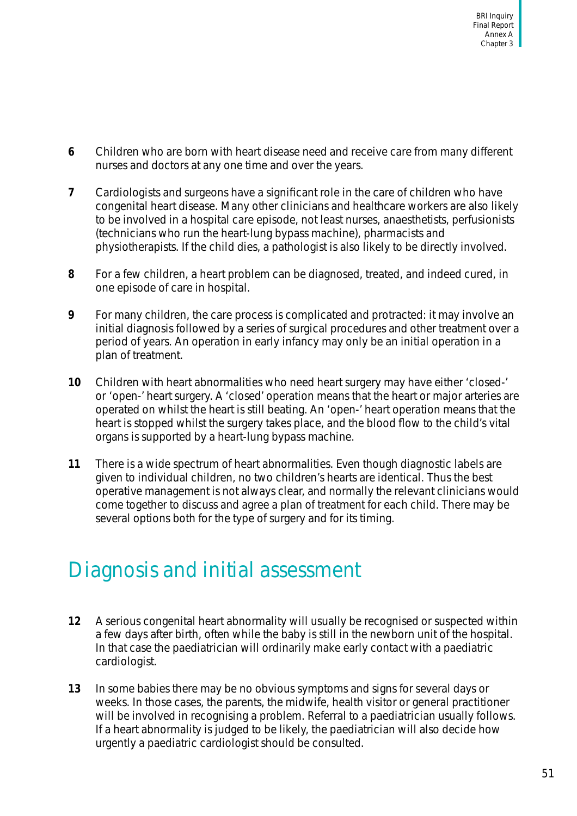- **6** Children who are born with heart disease need and receive care from many different nurses and doctors at any one time and over the years.
- **7** Cardiologists and surgeons have a significant role in the care of children who have congenital heart disease. Many other clinicians and healthcare workers are also likely to be involved in a hospital care episode, not least nurses, anaesthetists, perfusionists (technicians who run the heart-lung bypass machine), pharmacists and physiotherapists. If the child dies, a pathologist is also likely to be directly involved.
- **8** For a few children, a heart problem can be diagnosed, treated, and indeed cured, in one episode of care in hospital.
- **9** For many children, the care process is complicated and protracted: it may involve an initial diagnosis followed by a series of surgical procedures and other treatment over a period of years. An operation in early infancy may only be an initial operation in a plan of treatment.
- **10** Children with heart abnormalities who need heart surgery may have either 'closed-' or 'open-' heart surgery. A 'closed' operation means that the heart or major arteries are operated on whilst the heart is still beating. An 'open-' heart operation means that the heart is stopped whilst the surgery takes place, and the blood flow to the child's vital organs is supported by a heart-lung bypass machine.
- **11** There is a wide spectrum of heart abnormalities. Even though diagnostic labels are given to individual children, no two children's hearts are identical. Thus the best operative management is not always clear, and normally the relevant clinicians would come together to discuss and agree a plan of treatment for each child. There may be several options both for the type of surgery and for its timing.

## Diagnosis and initial assessment

- **12** A serious congenital heart abnormality will usually be recognised or suspected within a few days after birth, often while the baby is still in the newborn unit of the hospital. In that case the paediatrician will ordinarily make early contact with a paediatric cardiologist.
- **13** In some babies there may be no obvious symptoms and signs for several days or weeks. In those cases, the parents, the midwife, health visitor or general practitioner will be involved in recognising a problem. Referral to a paediatrician usually follows. If a heart abnormality is judged to be likely, the paediatrician will also decide how urgently a paediatric cardiologist should be consulted.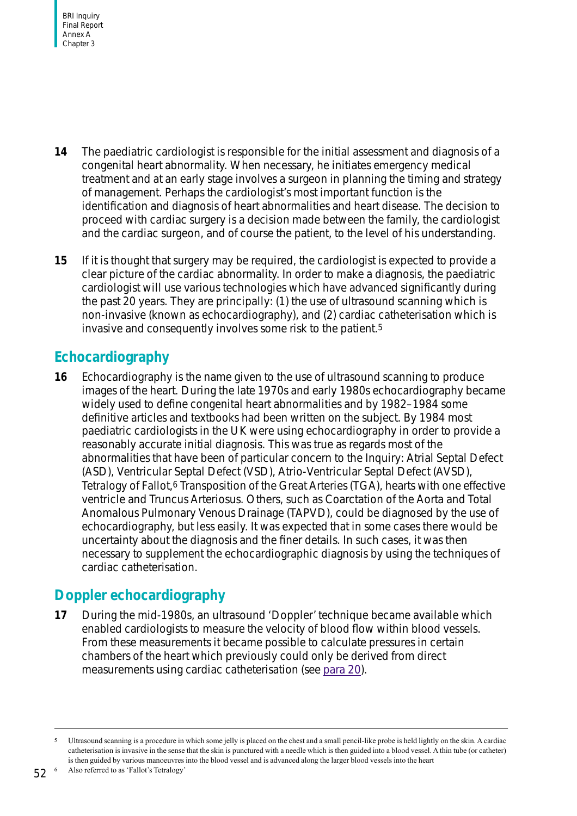- **14** The paediatric cardiologist is responsible for the initial assessment and diagnosis of a congenital heart abnormality. When necessary, he initiates emergency medical treatment and at an early stage involves a surgeon in planning the timing and strategy of management. Perhaps the cardiologist's most important function is the identification and diagnosis of heart abnormalities and heart disease. The decision to proceed with cardiac surgery is a decision made between the family, the cardiologist and the cardiac surgeon, and of course the patient, to the level of his understanding.
- **15** If it is thought that surgery may be required, the cardiologist is expected to provide a clear picture of the cardiac abnormality. In order to make a diagnosis, the paediatric cardiologist will use various technologies which have advanced significantly during the past 20 years. They are principally: (1) the use of ultrasound scanning which is non-invasive (known as echocardiography), and (2) cardiac catheterisation which is invasive and consequently involves some risk to the patient.5

## **Echocardiography**

**16** Echocardiography is the name given to the use of ultrasound scanning to produce images of the heart. During the late 1970s and early 1980s echocardiography became widely used to define congenital heart abnormalities and by 1982–1984 some definitive articles and textbooks had been written on the subject. By 1984 most paediatric cardiologists in the UK were using echocardiography in order to provide a reasonably accurate initial diagnosis. This was true as regards most of the abnormalities that have been of particular concern to the Inquiry: Atrial Septal Defect (ASD), Ventricular Septal Defect (VSD), Atrio-Ventricular Septal Defect (AVSD), Tetralogy of Fallot,<sup>6</sup> Transposition of the Great Arteries (TGA), hearts with one effective ventricle and Truncus Arteriosus. Others, such as Coarctation of the Aorta and Total Anomalous Pulmonary Venous Drainage (TAPVD), could be diagnosed by the use of echocardiography, but less easily. It was expected that in some cases there would be uncertainty about the diagnosis and the finer details. In such cases, it was then necessary to supplement the echocardiographic diagnosis by using the techniques of cardiac catheterisation.

## **Doppler echocardiography**

**17** During the mid-1980s, an ultrasound 'Doppler' technique became available which enabled cardiologists to measure the velocity of blood flow within blood vessels. From these measurements it became possible to calculate pressures in certain chambers of the heart which previously could only be derived from direct measurements using cardiac catheterisation (see [para 20](#page-22-0)).

<sup>5</sup> Ultrasound scanning is a procedure in which some jelly is placed on the chest and a small pencil-like probe is held lightly on the skin. A cardiac catheterisation is invasive in the sense that the skin is punctured with a needle which is then guided into a blood vessel. A thin tube (or catheter) is then guided by various manoeuvres into the blood vessel and is advanced along the larger blood vessels into the heart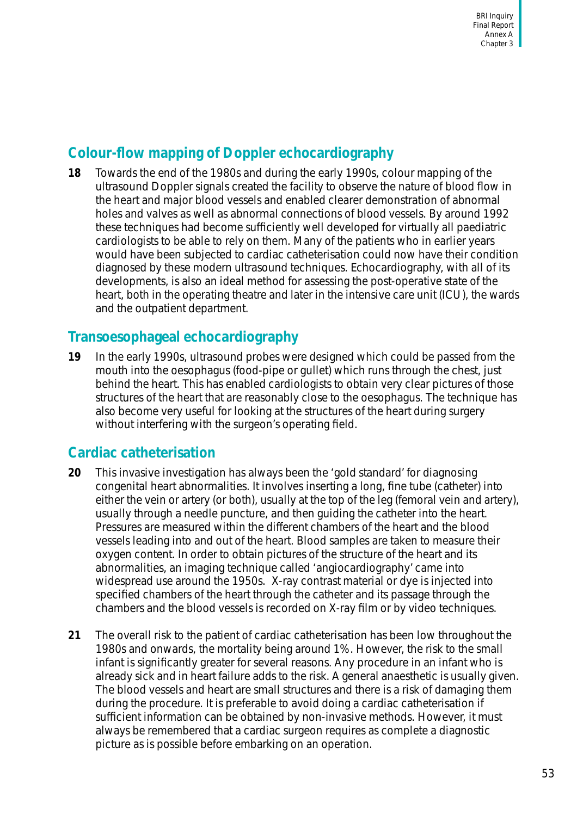## **Colour-flow mapping of Doppler echocardiography**

**18** Towards the end of the 1980s and during the early 1990s, colour mapping of the ultrasound Doppler signals created the facility to observe the nature of blood flow in the heart and major blood vessels and enabled clearer demonstration of abnormal holes and valves as well as abnormal connections of blood vessels. By around 1992 these techniques had become sufficiently well developed for virtually all paediatric cardiologists to be able to rely on them. Many of the patients who in earlier years would have been subjected to cardiac catheterisation could now have their condition diagnosed by these modern ultrasound techniques. Echocardiography, with all of its developments, is also an ideal method for assessing the post-operative state of the heart, both in the operating theatre and later in the intensive care unit (ICU), the wards and the outpatient department.

## **Transoesophageal echocardiography**

**19** In the early 1990s, ultrasound probes were designed which could be passed from the mouth into the oesophagus (food-pipe or gullet) which runs through the chest, just behind the heart. This has enabled cardiologists to obtain very clear pictures of those structures of the heart that are reasonably close to the oesophagus. The technique has also become very useful for looking at the structures of the heart during surgery without interfering with the surgeon's operating field.

## **Cardiac catheterisation**

- **20** This invasive investigation has always been the 'gold standard' for diagnosing congenital heart abnormalities. It involves inserting a long, fine tube (catheter) into either the vein or artery (or both), usually at the top of the leg (femoral vein and artery), usually through a needle puncture, and then guiding the catheter into the heart. Pressures are measured within the different chambers of the heart and the blood vessels leading into and out of the heart. Blood samples are taken to measure their oxygen content. In order to obtain pictures of the structure of the heart and its abnormalities, an imaging technique called 'angiocardiography' came into widespread use around the 1950s. X-ray contrast material or dye is injected into specified chambers of the heart through the catheter and its passage through the chambers and the blood vessels is recorded on X-ray film or by video techniques.
- **21** The overall risk to the patient of cardiac catheterisation has been low throughout the 1980s and onwards, the mortality being around 1%. However, the risk to the small infant is significantly greater for several reasons. Any procedure in an infant who is already sick and in heart failure adds to the risk. A general anaesthetic is usually given. The blood vessels and heart are small structures and there is a risk of damaging them during the procedure. It is preferable to avoid doing a cardiac catheterisation if sufficient information can be obtained by non-invasive methods. However, it must always be remembered that a cardiac surgeon requires as complete a diagnostic picture as is possible before embarking on an operation.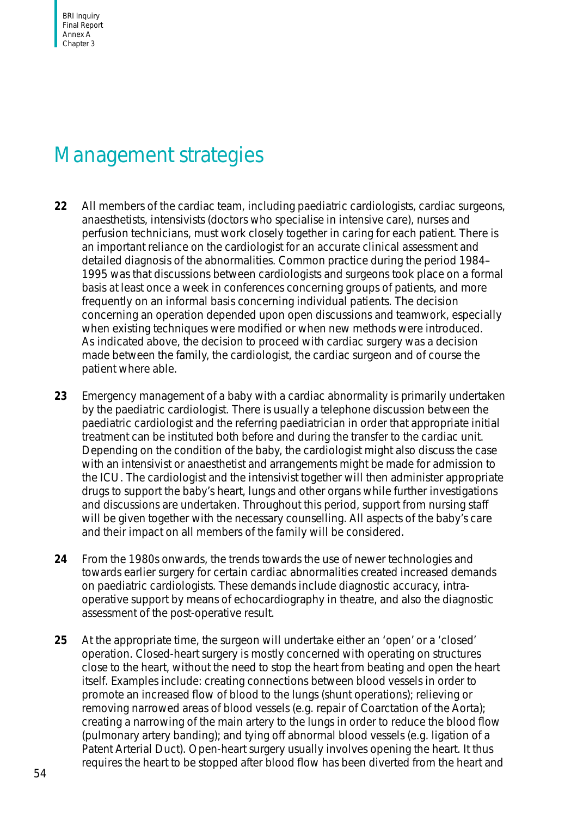## Management strategies

- **22** All members of the cardiac team, including paediatric cardiologists, cardiac surgeons, anaesthetists, intensivists (doctors who specialise in intensive care), nurses and perfusion technicians, must work closely together in caring for each patient. There is an important reliance on the cardiologist for an accurate clinical assessment and detailed diagnosis of the abnormalities. Common practice during the period 1984– 1995 was that discussions between cardiologists and surgeons took place on a formal basis at least once a week in conferences concerning groups of patients, and more frequently on an informal basis concerning individual patients. The decision concerning an operation depended upon open discussions and teamwork, especially when existing techniques were modified or when new methods were introduced. As indicated above, the decision to proceed with cardiac surgery was a decision made between the family, the cardiologist, the cardiac surgeon and of course the patient where able.
- **23** Emergency management of a baby with a cardiac abnormality is primarily undertaken by the paediatric cardiologist. There is usually a telephone discussion between the paediatric cardiologist and the referring paediatrician in order that appropriate initial treatment can be instituted both before and during the transfer to the cardiac unit. Depending on the condition of the baby, the cardiologist might also discuss the case with an intensivist or anaesthetist and arrangements might be made for admission to the ICU. The cardiologist and the intensivist together will then administer appropriate drugs to support the baby's heart, lungs and other organs while further investigations and discussions are undertaken. Throughout this period, support from nursing staff will be given together with the necessary counselling. All aspects of the baby's care and their impact on all members of the family will be considered.
- **24** From the 1980s onwards, the trends towards the use of newer technologies and towards earlier surgery for certain cardiac abnormalities created increased demands on paediatric cardiologists. These demands include diagnostic accuracy, intraoperative support by means of echocardiography in theatre, and also the diagnostic assessment of the post-operative result.
- **25** At the appropriate time, the surgeon will undertake either an 'open' or a 'closed' operation. Closed-heart surgery is mostly concerned with operating on structures close to the heart, without the need to stop the heart from beating and open the heart itself. Examples include: creating connections between blood vessels in order to promote an increased flow of blood to the lungs (shunt operations); relieving or removing narrowed areas of blood vessels (e.g. repair of Coarctation of the Aorta); creating a narrowing of the main artery to the lungs in order to reduce the blood flow (pulmonary artery banding); and tying off abnormal blood vessels (e.g. ligation of a Patent Arterial Duct). Open-heart surgery usually involves opening the heart. It thus requires the heart to be stopped after blood flow has been diverted from the heart and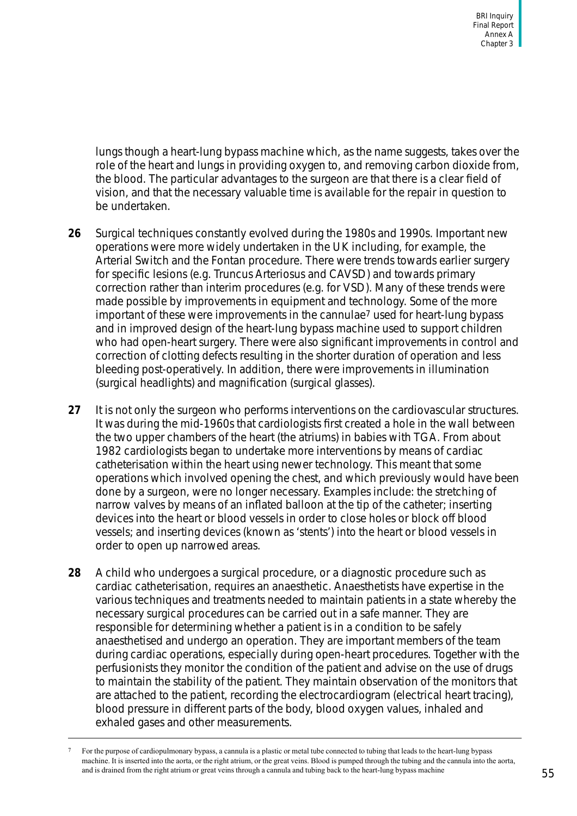lungs though a heart-lung bypass machine which, as the name suggests, takes over the role of the heart and lungs in providing oxygen to, and removing carbon dioxide from, the blood. The particular advantages to the surgeon are that there is a clear field of vision, and that the necessary valuable time is available for the repair in question to be undertaken.

- **26** Surgical techniques constantly evolved during the 1980s and 1990s. Important new operations were more widely undertaken in the UK including, for example, the Arterial Switch and the Fontan procedure. There were trends towards earlier surgery for specific lesions (e.g. Truncus Arteriosus and CAVSD) and towards primary correction rather than interim procedures (e.g. for VSD). Many of these trends were made possible by improvements in equipment and technology. Some of the more important of these were improvements in the cannulae<sup>7</sup> used for heart-lung bypass and in improved design of the heart-lung bypass machine used to support children who had open-heart surgery. There were also significant improvements in control and correction of clotting defects resulting in the shorter duration of operation and less bleeding post-operatively. In addition, there were improvements in illumination (surgical headlights) and magnification (surgical glasses).
- **27** It is not only the surgeon who performs interventions on the cardiovascular structures. It was during the mid-1960s that cardiologists first created a hole in the wall between the two upper chambers of the heart (the atriums) in babies with TGA. From about 1982 cardiologists began to undertake more interventions by means of cardiac catheterisation within the heart using newer technology. This meant that some operations which involved opening the chest, and which previously would have been done by a surgeon, were no longer necessary. Examples include: the stretching of narrow valves by means of an inflated balloon at the tip of the catheter; inserting devices into the heart or blood vessels in order to close holes or block off blood vessels; and inserting devices (known as 'stents') into the heart or blood vessels in order to open up narrowed areas.
- **28** A child who undergoes a surgical procedure, or a diagnostic procedure such as cardiac catheterisation, requires an anaesthetic. Anaesthetists have expertise in the various techniques and treatments needed to maintain patients in a state whereby the necessary surgical procedures can be carried out in a safe manner. They are responsible for determining whether a patient is in a condition to be safely anaesthetised and undergo an operation. They are important members of the team during cardiac operations, especially during open-heart procedures. Together with the perfusionists they monitor the condition of the patient and advise on the use of drugs to maintain the stability of the patient. They maintain observation of the monitors that are attached to the patient, recording the electrocardiogram (electrical heart tracing), blood pressure in different parts of the body, blood oxygen values, inhaled and exhaled gases and other measurements.

<sup>7</sup> For the purpose of cardiopulmonary bypass, a cannula is a plastic or metal tube connected to tubing that leads to the heart-lung bypass machine. It is inserted into the aorta, or the right atrium, or the great veins. Blood is pumped through the tubing and the cannula into the aorta, and is drained from the right atrium or great veins through a cannula and tubing back to the heart-lung bypass machine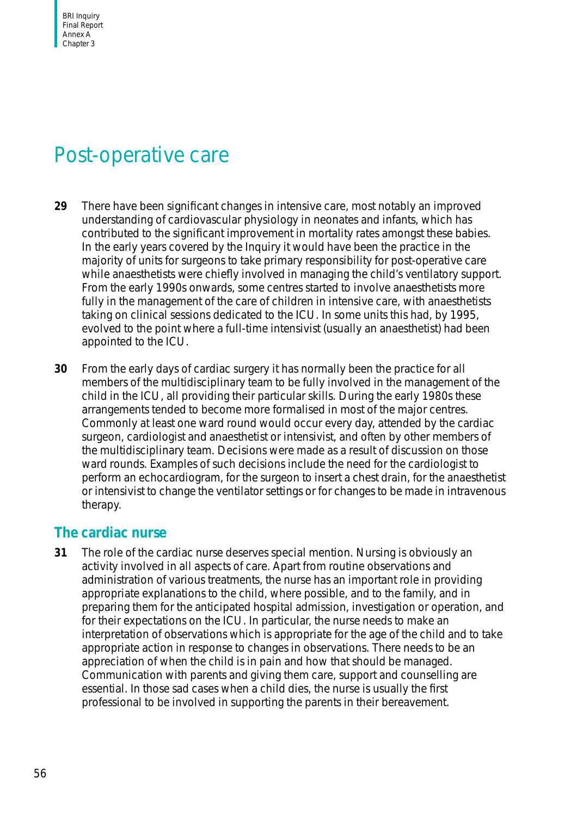## Post-operative care

- **29** There have been significant changes in intensive care, most notably an improved understanding of cardiovascular physiology in neonates and infants, which has contributed to the significant improvement in mortality rates amongst these babies. In the early years covered by the Inquiry it would have been the practice in the majority of units for surgeons to take primary responsibility for post-operative care while anaesthetists were chiefly involved in managing the child's ventilatory support. From the early 1990s onwards, some centres started to involve anaesthetists more fully in the management of the care of children in intensive care, with anaesthetists taking on clinical sessions dedicated to the ICU. In some units this had, by 1995, evolved to the point where a full-time intensivist (usually an anaesthetist) had been appointed to the ICU.
- **30** From the early days of cardiac surgery it has normally been the practice for all members of the multidisciplinary team to be fully involved in the management of the child in the ICU, all providing their particular skills. During the early 1980s these arrangements tended to become more formalised in most of the major centres. Commonly at least one ward round would occur every day, attended by the cardiac surgeon, cardiologist and anaesthetist or intensivist, and often by other members of the multidisciplinary team. Decisions were made as a result of discussion on those ward rounds. Examples of such decisions include the need for the cardiologist to perform an echocardiogram, for the surgeon to insert a chest drain, for the anaesthetist or intensivist to change the ventilator settings or for changes to be made in intravenous therapy.

### **The cardiac nurse**

**31** The role of the cardiac nurse deserves special mention. Nursing is obviously an activity involved in all aspects of care. Apart from routine observations and administration of various treatments, the nurse has an important role in providing appropriate explanations to the child, where possible, and to the family, and in preparing them for the anticipated hospital admission, investigation or operation, and for their expectations on the ICU. In particular, the nurse needs to make an interpretation of observations which is appropriate for the age of the child and to take appropriate action in response to changes in observations. There needs to be an appreciation of when the child is in pain and how that should be managed. Communication with parents and giving them care, support and counselling are essential. In those sad cases when a child dies, the nurse is usually the first professional to be involved in supporting the parents in their bereavement.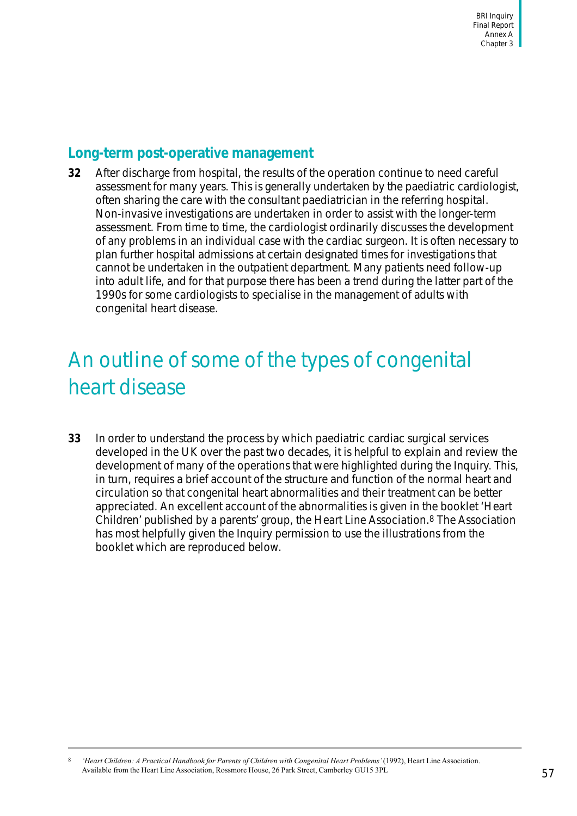### **Long-term post-operative management**

**32** After discharge from hospital, the results of the operation continue to need careful assessment for many years. This is generally undertaken by the paediatric cardiologist, often sharing the care with the consultant paediatrician in the referring hospital. Non-invasive investigations are undertaken in order to assist with the longer-term assessment. From time to time, the cardiologist ordinarily discusses the development of any problems in an individual case with the cardiac surgeon. It is often necessary to plan further hospital admissions at certain designated times for investigations that cannot be undertaken in the outpatient department. Many patients need follow-up into adult life, and for that purpose there has been a trend during the latter part of the 1990s for some cardiologists to specialise in the management of adults with congenital heart disease.

## An outline of some of the types of congenital heart disease

**33** In order to understand the process by which paediatric cardiac surgical services developed in the UK over the past two decades, it is helpful to explain and review the development of many of the operations that were highlighted during the Inquiry. This, in turn, requires a brief account of the structure and function of the normal heart and circulation so that congenital heart abnormalities and their treatment can be better appreciated. An excellent account of the abnormalities is given in the booklet '*Heart Children'* published by a parents' group, the Heart Line Association.8 The Association has most helpfully given the Inquiry permission to use the illustrations from the booklet which are reproduced below.

<sup>8</sup> *'Heart Children: A Practical Handbook for Parents of Children with Congenital Heart Problems'* (1992), Heart Line Association. Available from the Heart Line Association, Rossmore House, 26 Park Street, Camberley GU15 3PL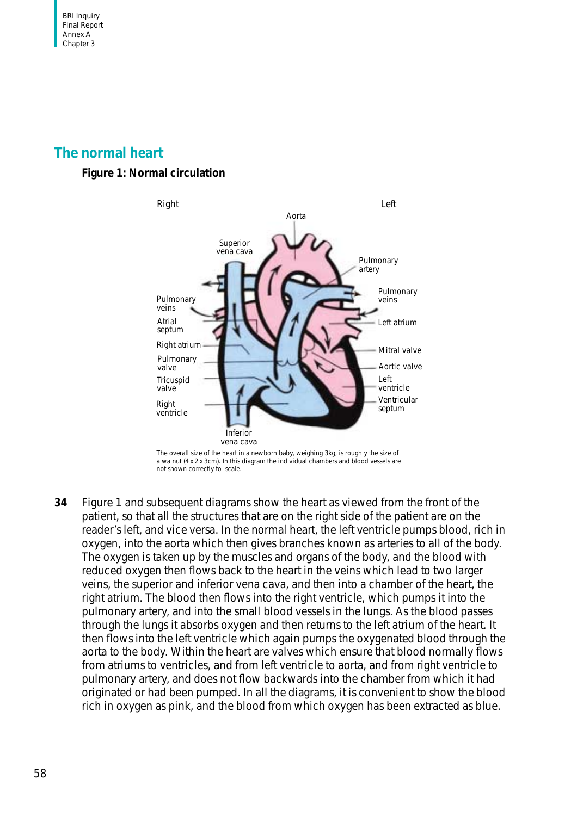### **The normal heart**

#### **Figure 1: Normal circulation**



The overall size of the heart in a newborn baby, weighing 3kg, is roughly the size of a walnut (4 x 2 x 3cm). In this diagram the individual chambers and blood vessels are not shown correctly to scale.

**34** Figure 1 and subsequent diagrams show the heart as viewed from the front of the patient, so that all the structures that are on the right side of the patient are on the reader's left, and vice versa. In the normal heart, the left ventricle pumps blood, rich in oxygen, into the aorta which then gives branches known as arteries to all of the body. The oxygen is taken up by the muscles and organs of the body, and the blood with reduced oxygen then flows back to the heart in the veins which lead to two larger veins, the superior and inferior vena cava, and then into a chamber of the heart, the right atrium. The blood then flows into the right ventricle, which pumps it into the pulmonary artery, and into the small blood vessels in the lungs. As the blood passes through the lungs it absorbs oxygen and then returns to the left atrium of the heart. It then flows into the left ventricle which again pumps the oxygenated blood through the aorta to the body. Within the heart are valves which ensure that blood normally flows from atriums to ventricles, and from left ventricle to aorta, and from right ventricle to pulmonary artery, and does not flow backwards into the chamber from which it had originated or had been pumped. In all the diagrams, it is convenient to show the blood rich in oxygen as pink, and the blood from which oxygen has been extracted as blue.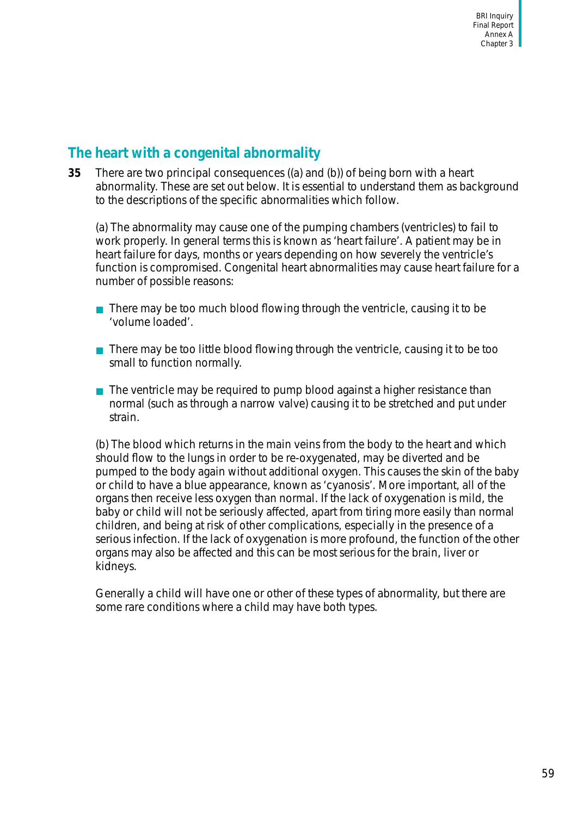### **The heart with a congenital abnormality**

**35** There are two principal consequences ((a) and (b)) of being born with a heart abnormality. These are set out below. It is essential to understand them as background to the descriptions of the specific abnormalities which follow.

(a) The abnormality may cause one of the pumping chambers (ventricles) to fail to work properly. In general terms this is known as 'heart failure'. A patient may be in heart failure for days, months or years depending on how severely the ventricle's function is compromised. Congenital heart abnormalities may cause heart failure for a number of possible reasons:

- There may be too much blood flowing through the ventricle, causing it to be 'volume loaded'.
- There may be too little blood flowing through the ventricle, causing it to be too small to function normally.
- The ventricle may be required to pump blood against a higher resistance than normal (such as through a narrow valve) causing it to be stretched and put under strain.

(b) The blood which returns in the main veins from the body to the heart and which should flow to the lungs in order to be re-oxygenated, may be diverted and be pumped to the body again without additional oxygen. This causes the skin of the baby or child to have a blue appearance, known as 'cyanosis'. More important, all of the organs then receive less oxygen than normal. If the lack of oxygenation is mild, the baby or child will not be seriously affected, apart from tiring more easily than normal children, and being at risk of other complications, especially in the presence of a serious infection. If the lack of oxygenation is more profound, the function of the other organs may also be affected and this can be most serious for the brain, liver or kidneys.

Generally a child will have one or other of these types of abnormality, but there are some rare conditions where a child may have both types.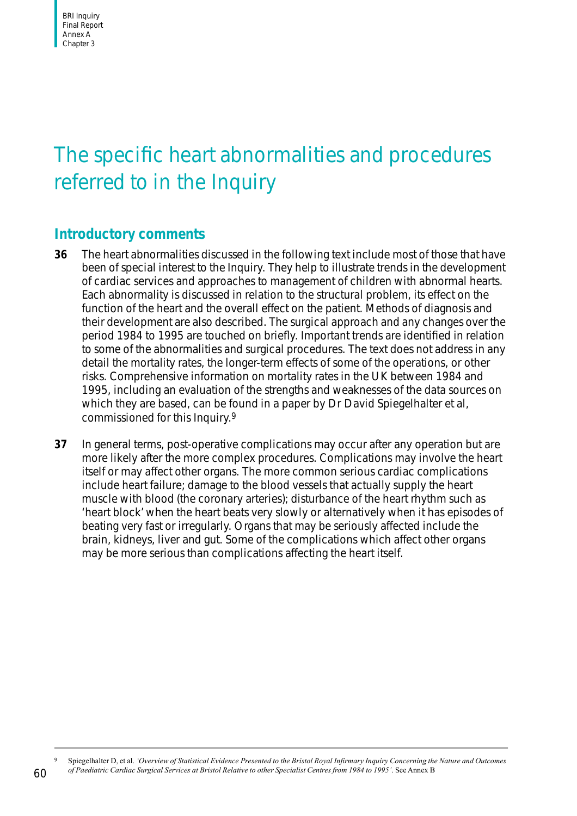# The specific heart abnormalities and procedures referred to in the Inquiry

## **Introductory comments**

- **36** The heart abnormalities discussed in the following text include most of those that have been of special interest to the Inquiry. They help to illustrate trends in the development of cardiac services and approaches to management of children with abnormal hearts. Each abnormality is discussed in relation to the structural problem, its effect on the function of the heart and the overall effect on the patient. Methods of diagnosis and their development are also described. The surgical approach and any changes over the period 1984 to 1995 are touched on briefly. Important trends are identified in relation to some of the abnormalities and surgical procedures. The text does not address in any detail the mortality rates, the longer-term effects of some of the operations, or other risks. Comprehensive information on mortality rates in the UK between 1984 and 1995, including an evaluation of the strengths and weaknesses of the data sources on which they are based, can be found in a paper by Dr David Spiegelhalter et al, commissioned for this Inquiry.9
- **37** In general terms, post-operative complications may occur after any operation but are more likely after the more complex procedures. Complications may involve the heart itself or may affect other organs. The more common serious cardiac complications include heart failure; damage to the blood vessels that actually supply the heart muscle with blood (the coronary arteries); disturbance of the heart rhythm such as 'heart block' when the heart beats very slowly or alternatively when it has episodes of beating very fast or irregularly. Organs that may be seriously affected include the brain, kidneys, liver and gut. Some of the complications which affect other organs may be more serious than complications affecting the heart itself.

<sup>9</sup> Spiegelhalter D, et al. *'Overview of Statistical Evidence Presented to the Bristol Royal Infirmary Inquiry Concerning the Nature and Outcomes of Paediatric Cardiac Surgical Services at Bristol Relative to other Specialist Centres from 1984 to 1995'*. See Annex B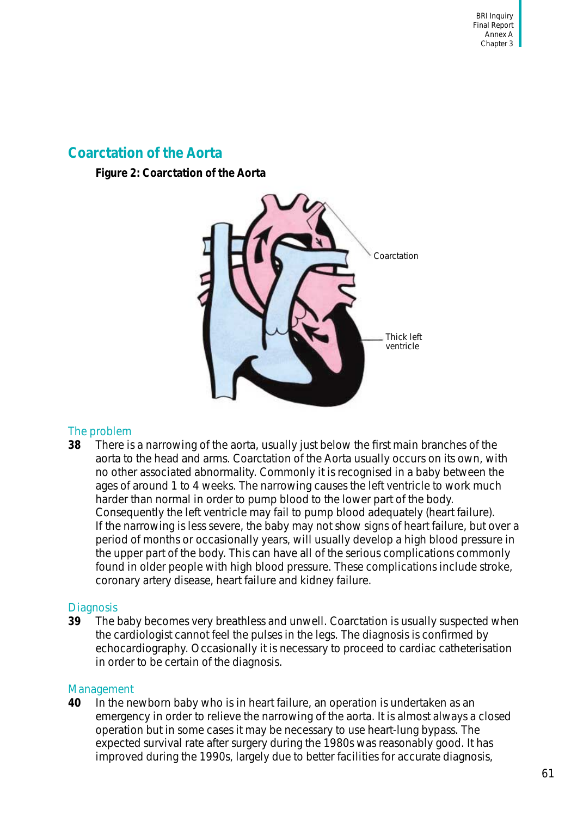### **Coarctation of the Aorta**

**Figure 2: Coarctation of the Aorta**



#### The problem

**38** There is a narrowing of the aorta, usually just below the first main branches of the aorta to the head and arms. Coarctation of the Aorta usually occurs on its own, with no other associated abnormality. Commonly it is recognised in a baby between the ages of around 1 to 4 weeks. The narrowing causes the left ventricle to work much harder than normal in order to pump blood to the lower part of the body. Consequently the left ventricle may fail to pump blood adequately (heart failure). If the narrowing is less severe, the baby may not show signs of heart failure, but over a period of months or occasionally years, will usually develop a high blood pressure in the upper part of the body. This can have all of the serious complications commonly found in older people with high blood pressure. These complications include stroke, coronary artery disease, heart failure and kidney failure.

#### **Diagnosis**

**39** The baby becomes very breathless and unwell. Coarctation is usually suspected when the cardiologist cannot feel the pulses in the legs. The diagnosis is confirmed by echocardiography. Occasionally it is necessary to proceed to cardiac catheterisation in order to be certain of the diagnosis.

#### Management

**40** In the newborn baby who is in heart failure, an operation is undertaken as an emergency in order to relieve the narrowing of the aorta. It is almost always a closed operation but in some cases it may be necessary to use heart-lung bypass. The expected survival rate after surgery during the 1980s was reasonably good. It has improved during the 1990s, largely due to better facilities for accurate diagnosis,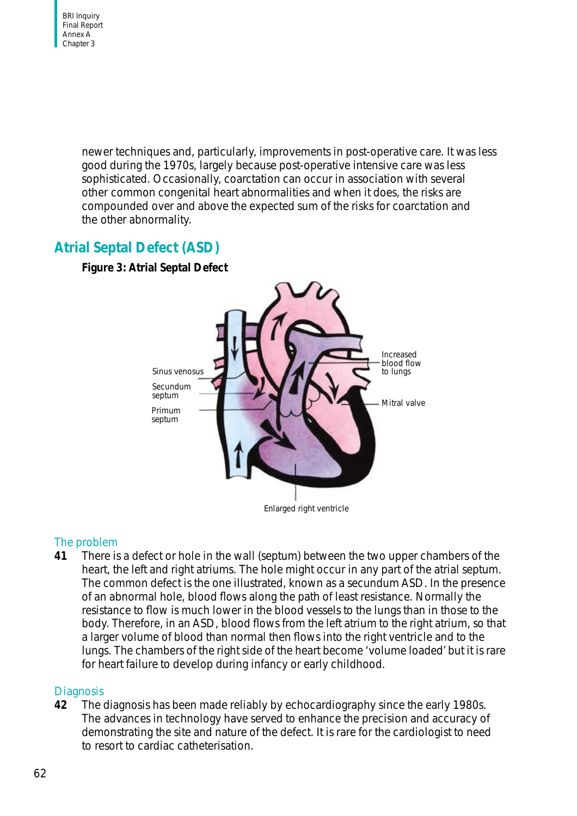newer techniques and, particularly, improvements in post-operative care. It was less good during the 1970s, largely because post-operative intensive care was less sophisticated. Occasionally, coarctation can occur in association with several other common congenital heart abnormalities and when it does, the risks are compounded over and above the expected sum of the risks for coarctation and the other abnormality.

## **Atrial Septal Defect (ASD)**



**Figure 3: Atrial Septal Defect**

#### The problem

**41** There is a defect or hole in the wall (septum) between the two upper chambers of the heart, the left and right atriums. The hole might occur in any part of the atrial septum. The common defect is the one illustrated, known as a secundum ASD. In the presence of an abnormal hole, blood flows along the path of least resistance. Normally the resistance to flow is much lower in the blood vessels to the lungs than in those to the body. Therefore, in an ASD, blood flows from the left atrium to the right atrium, so that a larger volume of blood than normal then flows into the right ventricle and to the lungs. The chambers of the right side of the heart become 'volume loaded' but it is rare for heart failure to develop during infancy or early childhood.

#### **Diagnosis**

**42** The diagnosis has been made reliably by echocardiography since the early 1980s. The advances in technology have served to enhance the precision and accuracy of demonstrating the site and nature of the defect. It is rare for the cardiologist to need to resort to cardiac catheterisation.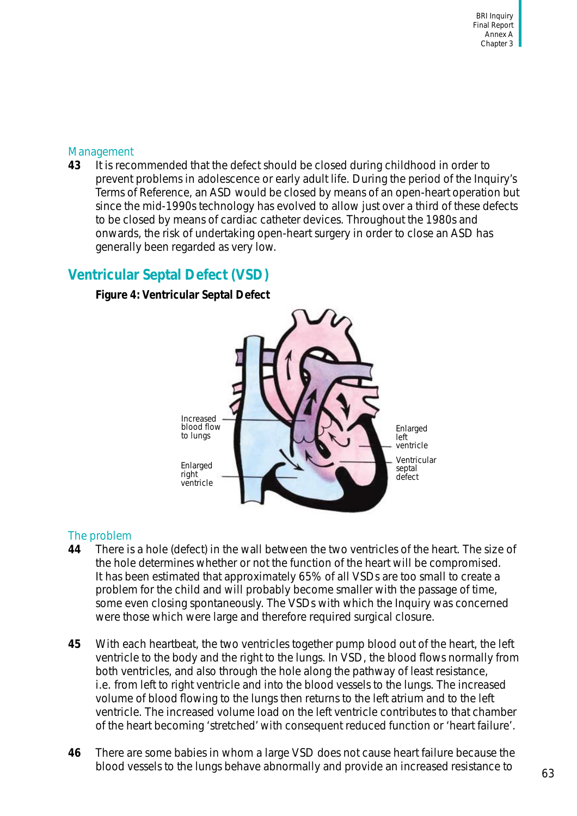#### Management

**43** It is recommended that the defect should be closed during childhood in order to prevent problems in adolescence or early adult life. During the period of the Inquiry's Terms of Reference, an ASD would be closed by means of an open-heart operation but since the mid-1990s technology has evolved to allow just over a third of these defects to be closed by means of cardiac catheter devices. Throughout the 1980s and onwards, the risk of undertaking open-heart surgery in order to close an ASD has generally been regarded as very low.

## **Ventricular Septal Defect (VSD)**

#### **Figure 4: Ventricular Septal Defect**



#### The problem

- **44** There is a hole (defect) in the wall between the two ventricles of the heart. The size of the hole determines whether or not the function of the heart will be compromised. It has been estimated that approximately 65% of all VSDs are too small to create a problem for the child and will probably become smaller with the passage of time, some even closing spontaneously. The VSDs with which the Inquiry was concerned were those which were large and therefore required surgical closure.
- **45** With each heartbeat, the two ventricles together pump blood out of the heart, the left ventricle to the body and the right to the lungs. In VSD, the blood flows normally from both ventricles, and also through the hole along the pathway of least resistance, i.e. from left to right ventricle and into the blood vessels to the lungs. The increased volume of blood flowing to the lungs then returns to the left atrium and to the left ventricle. The increased volume load on the left ventricle contributes to that chamber of the heart becoming 'stretched' with consequent reduced function or 'heart failure'.
- **46** There are some babies in whom a large VSD does not cause heart failure because the blood vessels to the lungs behave abnormally and provide an increased resistance to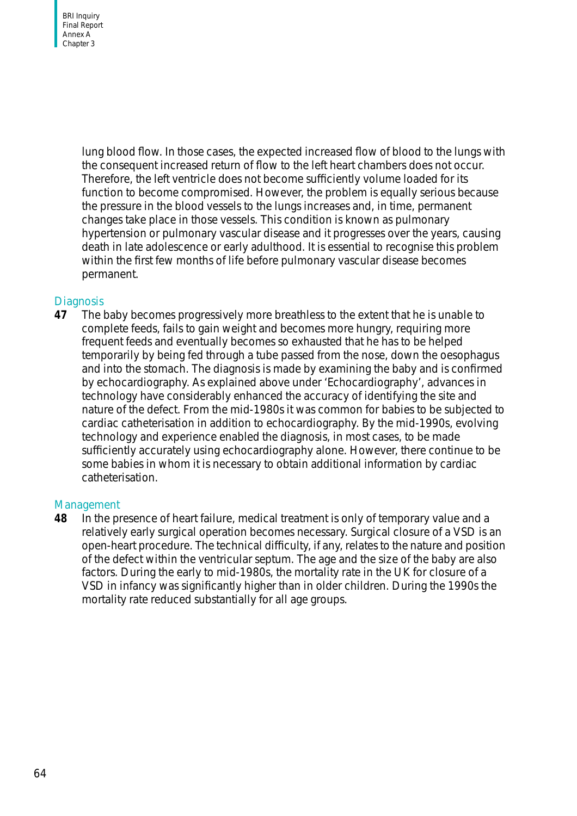> lung blood flow. In those cases, the expected increased flow of blood to the lungs with the consequent increased return of flow to the left heart chambers does not occur. Therefore, the left ventricle does not become sufficiently volume loaded for its function to become compromised. However, the problem is equally serious because the pressure in the blood vessels to the lungs increases and, in time, permanent changes take place in those vessels. This condition is known as pulmonary hypertension or pulmonary vascular disease and it progresses over the years, causing death in late adolescence or early adulthood. It is essential to recognise this problem within the first few months of life before pulmonary vascular disease becomes permanent.

#### **Diagnosis**

**47** The baby becomes progressively more breathless to the extent that he is unable to complete feeds, fails to gain weight and becomes more hungry, requiring more frequent feeds and eventually becomes so exhausted that he has to be helped temporarily by being fed through a tube passed from the nose, down the oesophagus and into the stomach. The diagnosis is made by examining the baby and is confirmed by echocardiography. As explained above under 'Echocardiography', advances in technology have considerably enhanced the accuracy of identifying the site and nature of the defect. From the mid-1980s it was common for babies to be subjected to cardiac catheterisation in addition to echocardiography. By the mid-1990s, evolving technology and experience enabled the diagnosis, in most cases, to be made sufficiently accurately using echocardiography alone. However, there continue to be some babies in whom it is necessary to obtain additional information by cardiac catheterisation.

#### **Management**

**48** In the presence of heart failure, medical treatment is only of temporary value and a relatively early surgical operation becomes necessary. Surgical closure of a VSD is an open-heart procedure. The technical difficulty, if any, relates to the nature and position of the defect within the ventricular septum. The age and the size of the baby are also factors. During the early to mid-1980s, the mortality rate in the UK for closure of a VSD in infancy was significantly higher than in older children. During the 1990s the mortality rate reduced substantially for all age groups.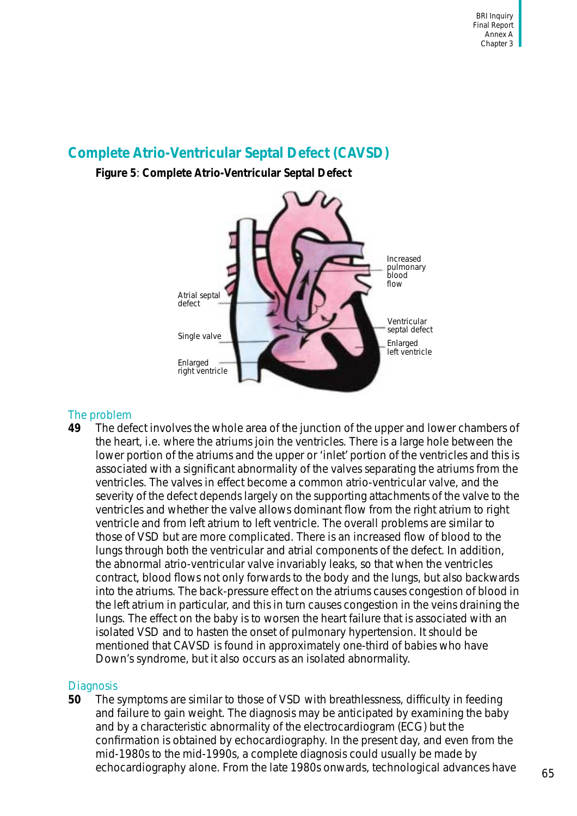## **Complete Atrio-Ventricular Septal Defect (CAVSD)**

**Figure 5**: **Complete Atrio-Ventricular Septal Defect**



#### The problem

**49** The defect involves the whole area of the junction of the upper and lower chambers of the heart, i.e. where the atriums join the ventricles. There is a large hole between the lower portion of the atriums and the upper or 'inlet' portion of the ventricles and this is associated with a significant abnormality of the valves separating the atriums from the ventricles. The valves in effect become a common atrio-ventricular valve, and the severity of the defect depends largely on the supporting attachments of the valve to the ventricles and whether the valve allows dominant flow from the right atrium to right ventricle and from left atrium to left ventricle. The overall problems are similar to those of VSD but are more complicated. There is an increased flow of blood to the lungs through both the ventricular and atrial components of the defect. In addition, the abnormal atrio-ventricular valve invariably leaks, so that when the ventricles contract, blood flows not only forwards to the body and the lungs, but also backwards into the atriums. The back-pressure effect on the atriums causes congestion of blood in the left atrium in particular, and this in turn causes congestion in the veins draining the lungs. The effect on the baby is to worsen the heart failure that is associated with an isolated VSD and to hasten the onset of pulmonary hypertension. It should be mentioned that CAVSD is found in approximately one-third of babies who have Down's syndrome, but it also occurs as an isolated abnormality.

#### **Diagnosis**

**50** The symptoms are similar to those of VSD with breathlessness, difficulty in feeding and failure to gain weight. The diagnosis may be anticipated by examining the baby and by a characteristic abnormality of the electrocardiogram (ECG) but the confirmation is obtained by echocardiography. In the present day, and even from the mid-1980s to the mid-1990s, a complete diagnosis could usually be made by echocardiography alone. From the late 1980s onwards, technological advances have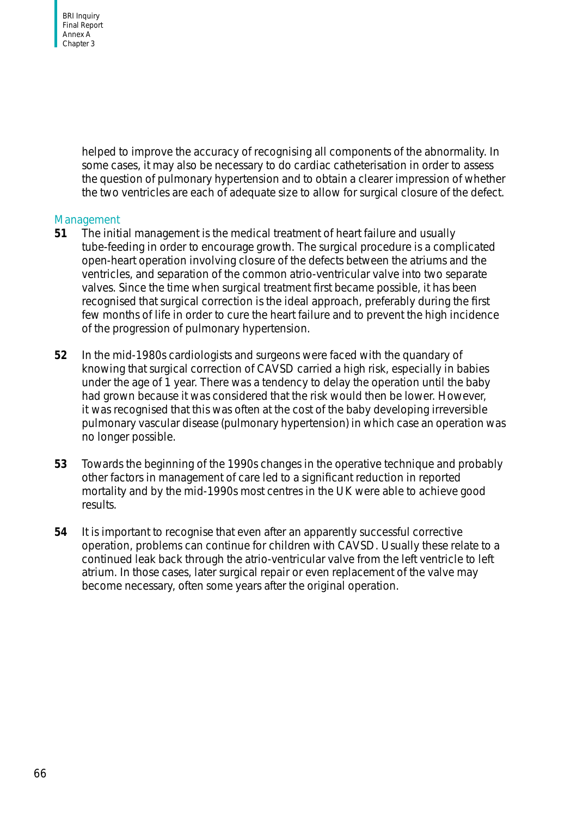> helped to improve the accuracy of recognising all components of the abnormality. In some cases, it may also be necessary to do cardiac catheterisation in order to assess the question of pulmonary hypertension and to obtain a clearer impression of whether the two ventricles are each of adequate size to allow for surgical closure of the defect.

#### Management

- **51** The initial management is the medical treatment of heart failure and usually tube-feeding in order to encourage growth. The surgical procedure is a complicated open-heart operation involving closure of the defects between the atriums and the ventricles, and separation of the common atrio-ventricular valve into two separate valves. Since the time when surgical treatment first became possible, it has been recognised that surgical correction is the ideal approach, preferably during the first few months of life in order to cure the heart failure and to prevent the high incidence of the progression of pulmonary hypertension.
- **52** In the mid-1980s cardiologists and surgeons were faced with the quandary of knowing that surgical correction of CAVSD carried a high risk, especially in babies under the age of 1 year. There was a tendency to delay the operation until the baby had grown because it was considered that the risk would then be lower. However, it was recognised that this was often at the cost of the baby developing irreversible pulmonary vascular disease (pulmonary hypertension) in which case an operation was no longer possible.
- **53** Towards the beginning of the 1990s changes in the operative technique and probably other factors in management of care led to a significant reduction in reported mortality and by the mid-1990s most centres in the UK were able to achieve good results.
- **54** It is important to recognise that even after an apparently successful corrective operation, problems can continue for children with CAVSD. Usually these relate to a continued leak back through the atrio-ventricular valve from the left ventricle to left atrium. In those cases, later surgical repair or even replacement of the valve may become necessary, often some years after the original operation.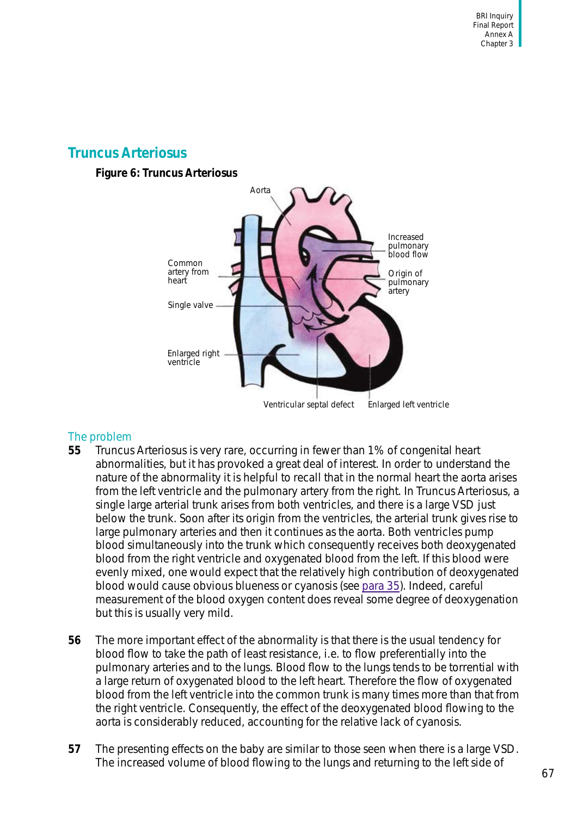### **Truncus Arteriosus**

#### **Figure 6: Truncus Arteriosus**



#### The problem

- **55** Truncus Arteriosus is very rare, occurring in fewer than 1% of congenital heart abnormalities, but it has provoked a great deal of interest. In order to understand the nature of the abnormality it is helpful to recall that in the normal heart the aorta arises from the left ventricle and the pulmonary artery from the right. In Truncus Arteriosus, a single large arterial trunk arises from both ventricles, and there is a large VSD just below the trunk. Soon after its origin from the ventricles, the arterial trunk gives rise to large pulmonary arteries and then it continues as the aorta. Both ventricles pump blood simultaneously into the trunk which consequently receives both deoxygenated blood from the right ventricle and oxygenated blood from the left. If this blood were evenly mixed, one would expect that the relatively high contribution of deoxygenated blood would cause obvious blueness or cyanosis (see [para 35](#page--1-36)). Indeed, careful measurement of the blood oxygen content does reveal some degree of deoxygenation but this is usually very mild.
- **56** The more important effect of the abnormality is that there is the usual tendency for blood flow to take the path of least resistance, i.e. to flow preferentially into the pulmonary arteries and to the lungs. Blood flow to the lungs tends to be torrential with a large return of oxygenated blood to the left heart. Therefore the flow of oxygenated blood from the left ventricle into the common trunk is many times more than that from the right ventricle. Consequently, the effect of the deoxygenated blood flowing to the aorta is considerably reduced, accounting for the relative lack of cyanosis.
- **57** The presenting effects on the baby are similar to those seen when there is a large VSD. The increased volume of blood flowing to the lungs and returning to the left side of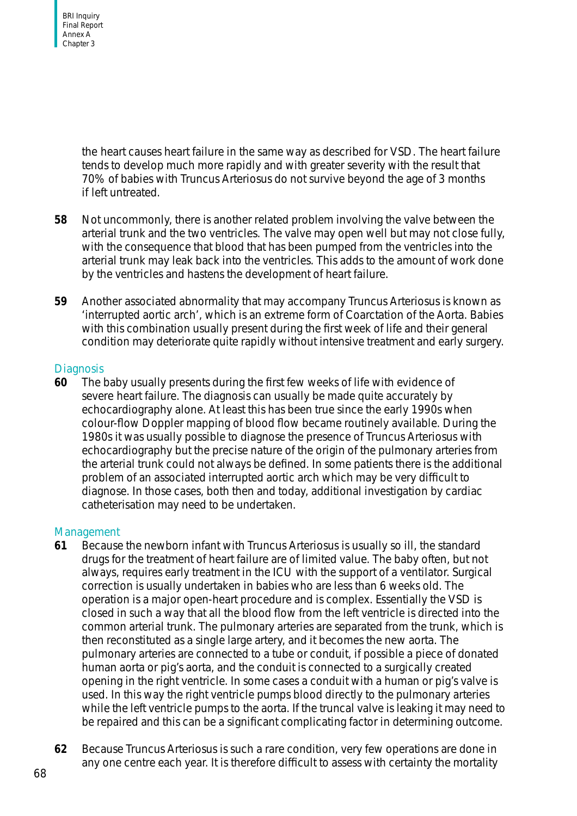the heart causes heart failure in the same way as described for VSD. The heart failure tends to develop much more rapidly and with greater severity with the result that 70% of babies with Truncus Arteriosus do not survive beyond the age of 3 months if left untreated.

- **58** Not uncommonly, there is another related problem involving the valve between the arterial trunk and the two ventricles. The valve may open well but may not close fully, with the consequence that blood that has been pumped from the ventricles into the arterial trunk may leak back into the ventricles. This adds to the amount of work done by the ventricles and hastens the development of heart failure.
- **59** Another associated abnormality that may accompany Truncus Arteriosus is known as 'interrupted aortic arch', which is an extreme form of Coarctation of the Aorta. Babies with this combination usually present during the first week of life and their general condition may deteriorate quite rapidly without intensive treatment and early surgery.

#### **Diagnosis**

**60** The baby usually presents during the first few weeks of life with evidence of severe heart failure. The diagnosis can usually be made quite accurately by echocardiography alone. At least this has been true since the early 1990s when colour-flow Doppler mapping of blood flow became routinely available. During the 1980s it was usually possible to diagnose the presence of Truncus Arteriosus with echocardiography but the precise nature of the origin of the pulmonary arteries from the arterial trunk could not always be defined. In some patients there is the additional problem of an associated interrupted aortic arch which may be very difficult to diagnose. In those cases, both then and today, additional investigation by cardiac catheterisation may need to be undertaken.

#### Management

- **61** Because the newborn infant with Truncus Arteriosus is usually so ill, the standard drugs for the treatment of heart failure are of limited value. The baby often, but not always, requires early treatment in the ICU with the support of a ventilator. Surgical correction is usually undertaken in babies who are less than 6 weeks old. The operation is a major open-heart procedure and is complex. Essentially the VSD is closed in such a way that all the blood flow from the left ventricle is directed into the common arterial trunk. The pulmonary arteries are separated from the trunk, which is then reconstituted as a single large artery, and it becomes the new aorta. The pulmonary arteries are connected to a tube or conduit, if possible a piece of donated human aorta or pig's aorta, and the conduit is connected to a surgically created opening in the right ventricle. In some cases a conduit with a human or pig's valve is used. In this way the right ventricle pumps blood directly to the pulmonary arteries while the left ventricle pumps to the aorta. If the truncal valve is leaking it may need to be repaired and this can be a significant complicating factor in determining outcome.
- **62** Because Truncus Arteriosus is such a rare condition, very few operations are done in any one centre each year. It is therefore difficult to assess with certainty the mortality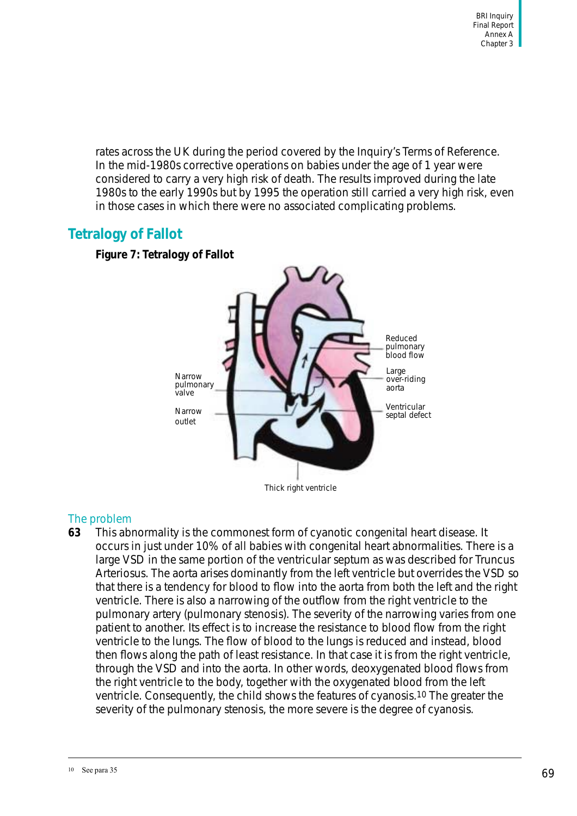rates across the UK during the period covered by the Inquiry's Terms of Reference. In the mid-1980s corrective operations on babies under the age of 1 year were considered to carry a very high risk of death. The results improved during the late 1980s to the early 1990s but by 1995 the operation still carried a very high risk, even in those cases in which there were no associated complicating problems.

## **Tetralogy of Fallot**



#### **Figure 7: Tetralogy of Fallot**

#### The problem

**63** This abnormality is the commonest form of cyanotic congenital heart disease. It occurs in just under 10% of all babies with congenital heart abnormalities. There is a large VSD in the same portion of the ventricular septum as was described for Truncus Arteriosus. The aorta arises dominantly from the left ventricle but overrides the VSD so that there is a tendency for blood to flow into the aorta from both the left and the right ventricle. There is also a narrowing of the outflow from the right ventricle to the pulmonary artery (pulmonary stenosis). The severity of the narrowing varies from one patient to another. Its effect is to increase the resistance to blood flow from the right ventricle to the lungs. The flow of blood to the lungs is reduced and instead, blood then flows along the path of least resistance. In that case it is from the right ventricle, through the VSD and into the aorta. In other words, deoxygenated blood flows from the right ventricle to the body, together with the oxygenated blood from the left ventricle. Consequently, the child shows the features of cyanosis.10 The greater the severity of the pulmonary stenosis, the more severe is the degree of cyanosis.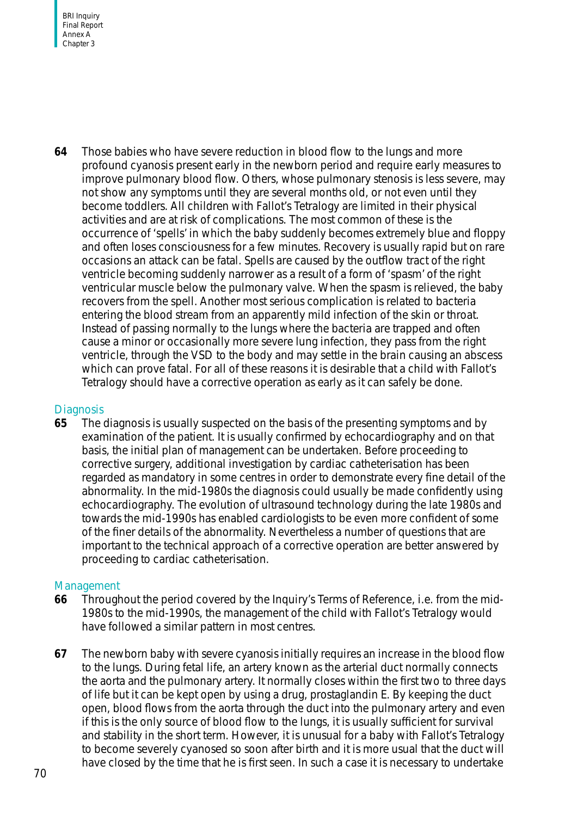**64** Those babies who have severe reduction in blood flow to the lungs and more profound cyanosis present early in the newborn period and require early measures to improve pulmonary blood flow. Others, whose pulmonary stenosis is less severe, may not show any symptoms until they are several months old, or not even until they become toddlers. All children with Fallot's Tetralogy are limited in their physical activities and are at risk of complications. The most common of these is the occurrence of 'spells' in which the baby suddenly becomes extremely blue and floppy and often loses consciousness for a few minutes. Recovery is usually rapid but on rare occasions an attack can be fatal. Spells are caused by the outflow tract of the right ventricle becoming suddenly narrower as a result of a form of 'spasm' of the right ventricular muscle below the pulmonary valve. When the spasm is relieved, the baby recovers from the spell. Another most serious complication is related to bacteria entering the blood stream from an apparently mild infection of the skin or throat. Instead of passing normally to the lungs where the bacteria are trapped and often cause a minor or occasionally more severe lung infection, they pass from the right ventricle, through the VSD to the body and may settle in the brain causing an abscess which can prove fatal. For all of these reasons it is desirable that a child with Fallot's Tetralogy should have a corrective operation as early as it can safely be done.

#### **Diagnosis**

**65** The diagnosis is usually suspected on the basis of the presenting symptoms and by examination of the patient. It is usually confirmed by echocardiography and on that basis, the initial plan of management can be undertaken. Before proceeding to corrective surgery, additional investigation by cardiac catheterisation has been regarded as mandatory in some centres in order to demonstrate every fine detail of the abnormality. In the mid-1980s the diagnosis could usually be made confidently using echocardiography. The evolution of ultrasound technology during the late 1980s and towards the mid-1990s has enabled cardiologists to be even more confident of some of the finer details of the abnormality. Nevertheless a number of questions that are important to the technical approach of a corrective operation are better answered by proceeding to cardiac catheterisation.

#### Management

- **66** Throughout the period covered by the Inquiry's Terms of Reference, i.e. from the mid-1980s to the mid-1990s, the management of the child with Fallot's Tetralogy would have followed a similar pattern in most centres.
- **67** The newborn baby with severe cyanosis initially requires an increase in the blood flow to the lungs. During fetal life, an artery known as the arterial duct normally connects the aorta and the pulmonary artery. It normally closes within the first two to three days of life but it can be kept open by using a drug, prostaglandin E. By keeping the duct open, blood flows from the aorta through the duct into the pulmonary artery and even if this is the only source of blood flow to the lungs, it is usually sufficient for survival and stability in the short term. However, it is unusual for a baby with Fallot's Tetralogy to become severely cyanosed so soon after birth and it is more usual that the duct will have closed by the time that he is first seen. In such a case it is necessary to undertake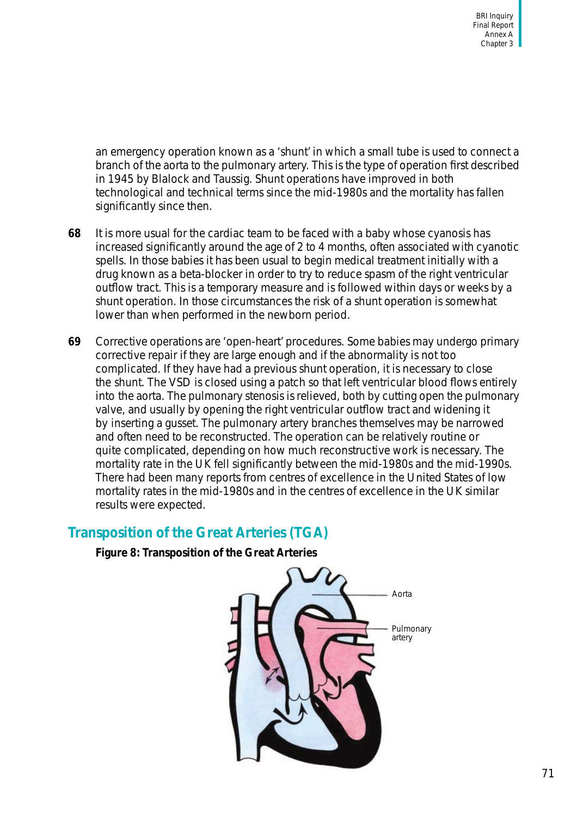an emergency operation known as a 'shunt' in which a small tube is used to connect a branch of the aorta to the pulmonary artery. This is the type of operation first described in 1945 by Blalock and Taussig. Shunt operations have improved in both technological and technical terms since the mid-1980s and the mortality has fallen significantly since then.

- **68** It is more usual for the cardiac team to be faced with a baby whose cyanosis has increased significantly around the age of 2 to 4 months, often associated with cyanotic spells. In those babies it has been usual to begin medical treatment initially with a drug known as a beta-blocker in order to try to reduce spasm of the right ventricular outflow tract. This is a temporary measure and is followed within days or weeks by a shunt operation. In those circumstances the risk of a shunt operation is somewhat lower than when performed in the newborn period.
- **69** Corrective operations are 'open-heart' procedures. Some babies may undergo primary corrective repair if they are large enough and if the abnormality is not too complicated. If they have had a previous shunt operation, it is necessary to close the shunt. The VSD is closed using a patch so that left ventricular blood flows entirely into the aorta. The pulmonary stenosis is relieved, both by cutting open the pulmonary valve, and usually by opening the right ventricular outflow tract and widening it by inserting a gusset. The pulmonary artery branches themselves may be narrowed and often need to be reconstructed. The operation can be relatively routine or quite complicated, depending on how much reconstructive work is necessary. The mortality rate in the UK fell significantly between the mid-1980s and the mid-1990s. There had been many reports from centres of excellence in the United States of low mortality rates in the mid-1980s and in the centres of excellence in the UK similar results were expected.

### **Transposition of the Great Arteries (TGA)**

**Figure 8: Transposition of the Great Arteries**

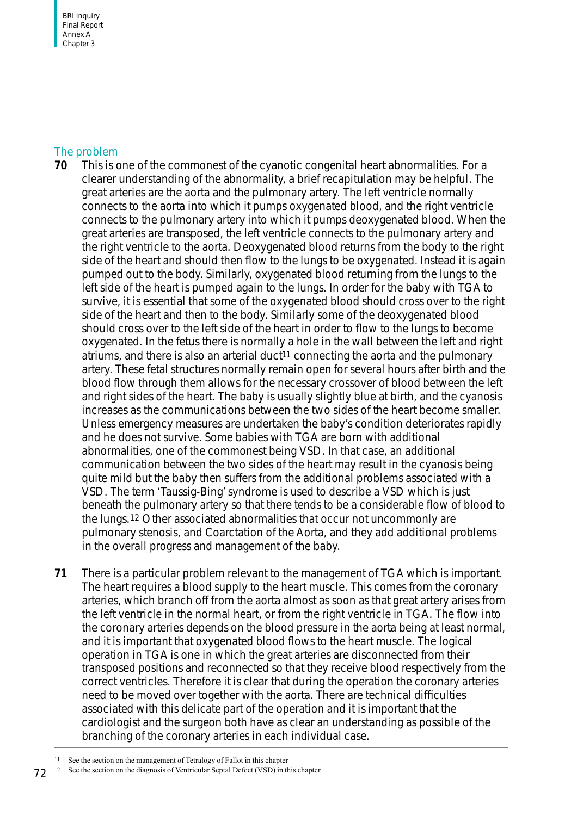#### The problem

- **70** This is one of the commonest of the cyanotic congenital heart abnormalities. For a clearer understanding of the abnormality, a brief recapitulation may be helpful. The great arteries are the aorta and the pulmonary artery. The left ventricle normally connects to the aorta into which it pumps oxygenated blood, and the right ventricle connects to the pulmonary artery into which it pumps deoxygenated blood. When the great arteries are transposed, the left ventricle connects to the pulmonary artery and the right ventricle to the aorta. Deoxygenated blood returns from the body to the right side of the heart and should then flow to the lungs to be oxygenated. Instead it is again pumped out to the body. Similarly, oxygenated blood returning from the lungs to the left side of the heart is pumped again to the lungs. In order for the baby with TGA to survive, it is essential that some of the oxygenated blood should cross over to the right side of the heart and then to the body. Similarly some of the deoxygenated blood should cross over to the left side of the heart in order to flow to the lungs to become oxygenated. In the fetus there is normally a hole in the wall between the left and right atriums, and there is also an arterial duct<sup>11</sup> connecting the aorta and the pulmonary artery. These fetal structures normally remain open for several hours after birth and the blood flow through them allows for the necessary crossover of blood between the left and right sides of the heart. The baby is usually slightly blue at birth, and the cyanosis increases as the communications between the two sides of the heart become smaller. Unless emergency measures are undertaken the baby's condition deteriorates rapidly and he does not survive. Some babies with TGA are born with additional abnormalities, one of the commonest being VSD. In that case, an additional communication between the two sides of the heart may result in the cyanosis being quite mild but the baby then suffers from the additional problems associated with a VSD. The term 'Taussig-Bing' syndrome is used to describe a VSD which is just beneath the pulmonary artery so that there tends to be a considerable flow of blood to the lungs.12 Other associated abnormalities that occur not uncommonly are pulmonary stenosis, and Coarctation of the Aorta, and they add additional problems in the overall progress and management of the baby.
- **71** There is a particular problem relevant to the management of TGA which is important. The heart requires a blood supply to the heart muscle. This comes from the coronary arteries, which branch off from the aorta almost as soon as that great artery arises from the left ventricle in the normal heart, or from the right ventricle in TGA. The flow into the coronary arteries depends on the blood pressure in the aorta being at least normal, and it is important that oxygenated blood flows to the heart muscle. The logical operation in TGA is one in which the great arteries are disconnected from their transposed positions and reconnected so that they receive blood respectively from the correct ventricles. Therefore it is clear that during the operation the coronary arteries need to be moved over together with the aorta. There are technical difficulties associated with this delicate part of the operation and it is important that the cardiologist and the surgeon both have as clear an understanding as possible of the branching of the coronary arteries in each individual case.

See the section on the management of [Tetralogy of Fallot](#page--1-25) in this chapter

<sup>12</sup> See the section on the diagnosis of [Ventricular Septal Defect \(VSD\)](#page--1-17) in this chapter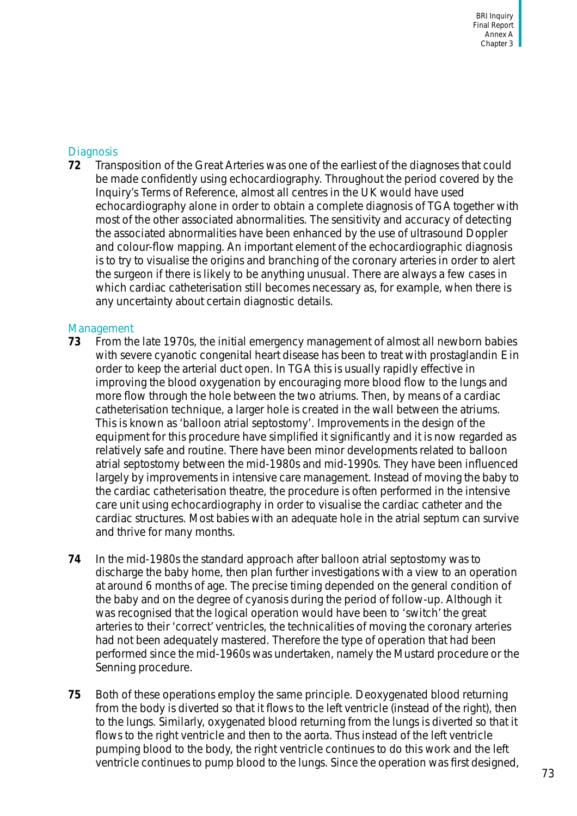### **Diagnosis**

**72** Transposition of the Great Arteries was one of the earliest of the diagnoses that could be made confidently using echocardiography. Throughout the period covered by the Inquiry's Terms of Reference, almost all centres in the UK would have used echocardiography alone in order to obtain a complete diagnosis of TGA together with most of the other associated abnormalities. The sensitivity and accuracy of detecting the associated abnormalities have been enhanced by the use of ultrasound Doppler and colour-flow mapping. An important element of the echocardiographic diagnosis is to try to visualise the origins and branching of the coronary arteries in order to alert the surgeon if there is likely to be anything unusual. There are always a few cases in which cardiac catheterisation still becomes necessary as, for example, when there is any uncertainty about certain diagnostic details.

### **Management**

- **73** From the late 1970s, the initial emergency management of almost all newborn babies with severe cyanotic congenital heart disease has been to treat with prostaglandin E in order to keep the arterial duct open. In TGA this is usually rapidly effective in improving the blood oxygenation by encouraging more blood flow to the lungs and more flow through the hole between the two atriums. Then, by means of a cardiac catheterisation technique, a larger hole is created in the wall between the atriums. This is known as 'balloon atrial septostomy'. Improvements in the design of the equipment for this procedure have simplified it significantly and it is now regarded as relatively safe and routine. There have been minor developments related to balloon atrial septostomy between the mid-1980s and mid-1990s. They have been influenced largely by improvements in intensive care management. Instead of moving the baby to the cardiac catheterisation theatre, the procedure is often performed in the intensive care unit using echocardiography in order to visualise the cardiac catheter and the cardiac structures. Most babies with an adequate hole in the atrial septum can survive and thrive for many months.
- **74** In the mid-1980s the standard approach after balloon atrial septostomy was to discharge the baby home, then plan further investigations with a view to an operation at around 6 months of age. The precise timing depended on the general condition of the baby and on the degree of cyanosis during the period of follow-up. Although it was recognised that the logical operation would have been to 'switch' the great arteries to their 'correct' ventricles, the technicalities of moving the coronary arteries had not been adequately mastered. Therefore the type of operation that had been performed since the mid-1960s was undertaken, namely the Mustard procedure or the Senning procedure.
- **75** Both of these operations employ the same principle. Deoxygenated blood returning from the body is diverted so that it flows to the left ventricle (instead of the right), then to the lungs. Similarly, oxygenated blood returning from the lungs is diverted so that it flows to the right ventricle and then to the aorta. Thus instead of the left ventricle pumping blood to the body, the right ventricle continues to do this work and the left ventricle continues to pump blood to the lungs. Since the operation was first designed,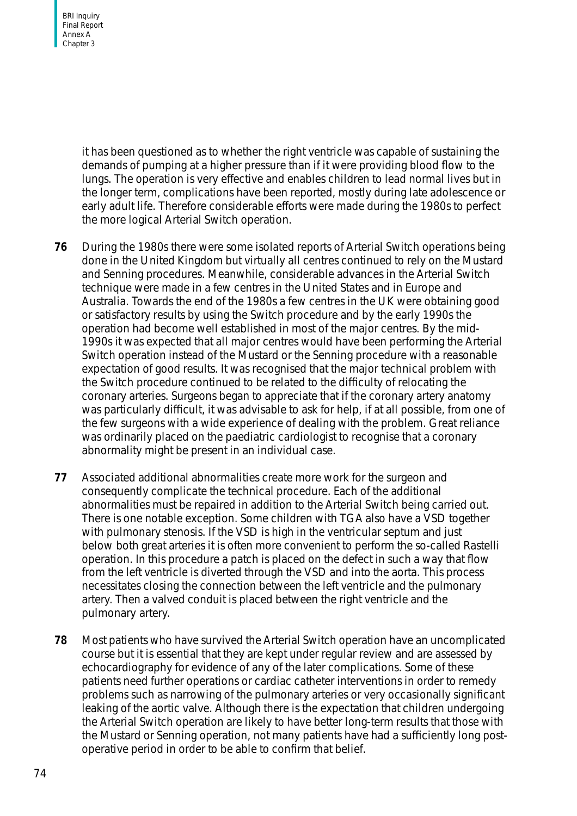BRI Inquiry Final Report Annex A Chapter 3

> it has been questioned as to whether the right ventricle was capable of sustaining the demands of pumping at a higher pressure than if it were providing blood flow to the lungs. The operation is very effective and enables children to lead normal lives but in the longer term, complications have been reported, mostly during late adolescence or early adult life. Therefore considerable efforts were made during the 1980s to perfect the more logical Arterial Switch operation.

- **76** During the 1980s there were some isolated reports of Arterial Switch operations being done in the United Kingdom but virtually all centres continued to rely on the Mustard and Senning procedures. Meanwhile, considerable advances in the Arterial Switch technique were made in a few centres in the United States and in Europe and Australia. Towards the end of the 1980s a few centres in the UK were obtaining good or satisfactory results by using the Switch procedure and by the early 1990s the operation had become well established in most of the major centres. By the mid-1990s it was expected that all major centres would have been performing the Arterial Switch operation instead of the Mustard or the Senning procedure with a reasonable expectation of good results. It was recognised that the major technical problem with the Switch procedure continued to be related to the difficulty of relocating the coronary arteries. Surgeons began to appreciate that if the coronary artery anatomy was particularly difficult, it was advisable to ask for help, if at all possible, from one of the few surgeons with a wide experience of dealing with the problem. Great reliance was ordinarily placed on the paediatric cardiologist to recognise that a coronary abnormality might be present in an individual case.
- **77** Associated additional abnormalities create more work for the surgeon and consequently complicate the technical procedure. Each of the additional abnormalities must be repaired in addition to the Arterial Switch being carried out. There is one notable exception. Some children with TGA also have a VSD together with pulmonary stenosis. If the VSD is high in the ventricular septum and just below both great arteries it is often more convenient to perform the so-called Rastelli operation. In this procedure a patch is placed on the defect in such a way that flow from the left ventricle is diverted through the VSD and into the aorta. This process necessitates closing the connection between the left ventricle and the pulmonary artery. Then a valved conduit is placed between the right ventricle and the pulmonary artery.
- **78** Most patients who have survived the Arterial Switch operation have an uncomplicated course but it is essential that they are kept under regular review and are assessed by echocardiography for evidence of any of the later complications. Some of these patients need further operations or cardiac catheter interventions in order to remedy problems such as narrowing of the pulmonary arteries or very occasionally significant leaking of the aortic valve. Although there is the expectation that children undergoing the Arterial Switch operation are likely to have better long-term results that those with the Mustard or Senning operation, not many patients have had a sufficiently long postoperative period in order to be able to confirm that belief.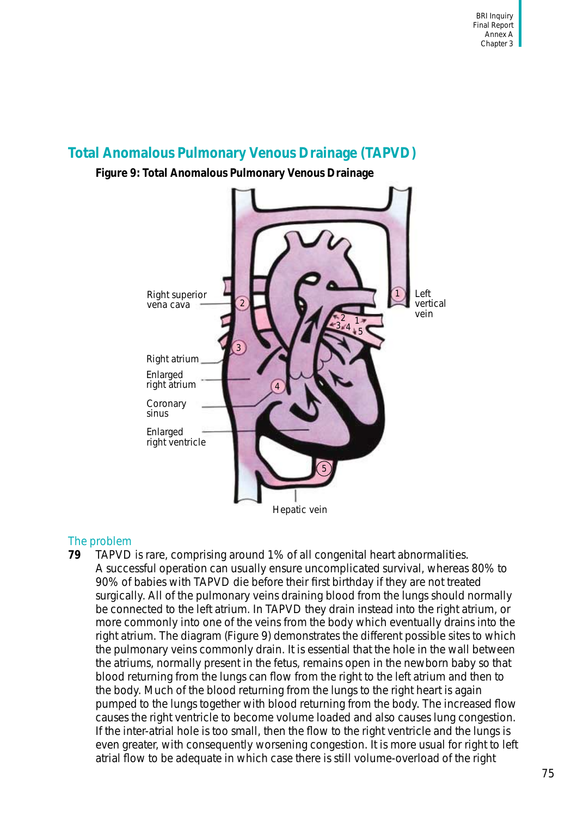## **Total Anomalous Pulmonary Venous Drainage (TAPVD)**

**Figure 9: Total Anomalous Pulmonary Venous Drainage**



### The problem

**79** TAPVD is rare, comprising around 1% of all congenital heart abnormalities. A successful operation can usually ensure uncomplicated survival, whereas 80% to 90% of babies with TAPVD die before their first birthday if they are not treated surgically. All of the pulmonary veins draining blood from the lungs should normally be connected to the left atrium. In TAPVD they drain instead into the right atrium, or more commonly into one of the veins from the body which eventually drains into the right atrium. The diagram (Figure 9) demonstrates the different possible sites to which the pulmonary veins commonly drain. It is essential that the hole in the wall between the atriums, normally present in the fetus, remains open in the newborn baby so that blood returning from the lungs can flow from the right to the left atrium and then to the body. Much of the blood returning from the lungs to the right heart is again pumped to the lungs together with blood returning from the body. The increased flow causes the right ventricle to become volume loaded and also causes lung congestion. If the inter-atrial hole is too small, then the flow to the right ventricle and the lungs is even greater, with consequently worsening congestion. It is more usual for right to left atrial flow to be adequate in which case there is still volume-overload of the right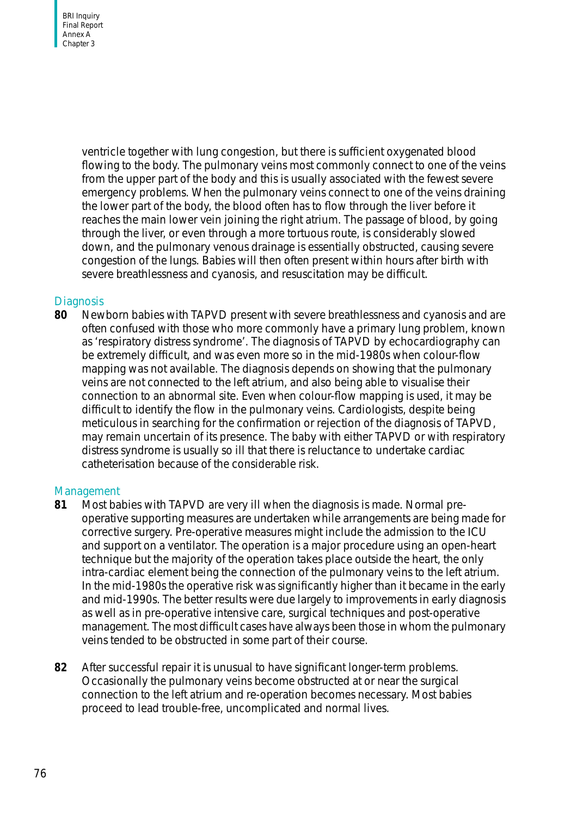BRI Inquiry Final Report Annex A Chapter 3

> ventricle together with lung congestion, but there is sufficient oxygenated blood flowing to the body. The pulmonary veins most commonly connect to one of the veins from the upper part of the body and this is usually associated with the fewest severe emergency problems. When the pulmonary veins connect to one of the veins draining the lower part of the body, the blood often has to flow through the liver before it reaches the main lower vein joining the right atrium. The passage of blood, by going through the liver, or even through a more tortuous route, is considerably slowed down, and the pulmonary venous drainage is essentially obstructed, causing severe congestion of the lungs. Babies will then often present within hours after birth with severe breathlessness and cyanosis, and resuscitation may be difficult.

#### **Diagnosis**

**80** Newborn babies with TAPVD present with severe breathlessness and cyanosis and are often confused with those who more commonly have a primary lung problem, known as 'respiratory distress syndrome'. The diagnosis of TAPVD by echocardiography can be extremely difficult, and was even more so in the mid-1980s when colour-flow mapping was not available. The diagnosis depends on showing that the pulmonary veins are not connected to the left atrium, and also being able to visualise their connection to an abnormal site. Even when colour-flow mapping is used, it may be difficult to identify the flow in the pulmonary veins. Cardiologists, despite being meticulous in searching for the confirmation or rejection of the diagnosis of TAPVD, may remain uncertain of its presence. The baby with either TAPVD or with respiratory distress syndrome is usually so ill that there is reluctance to undertake cardiac catheterisation because of the considerable risk.

#### Management

- **81** Most babies with TAPVD are very ill when the diagnosis is made. Normal preoperative supporting measures are undertaken while arrangements are being made for corrective surgery. Pre-operative measures might include the admission to the ICU and support on a ventilator. The operation is a major procedure using an open-heart technique but the majority of the operation takes place outside the heart, the only intra-cardiac element being the connection of the pulmonary veins to the left atrium. In the mid-1980s the operative risk was significantly higher than it became in the early and mid-1990s. The better results were due largely to improvements in early diagnosis as well as in pre-operative intensive care, surgical techniques and post-operative management. The most difficult cases have always been those in whom the pulmonary veins tended to be obstructed in some part of their course.
- **82** After successful repair it is unusual to have significant longer-term problems. Occasionally the pulmonary veins become obstructed at or near the surgical connection to the left atrium and re-operation becomes necessary. Most babies proceed to lead trouble-free, uncomplicated and normal lives.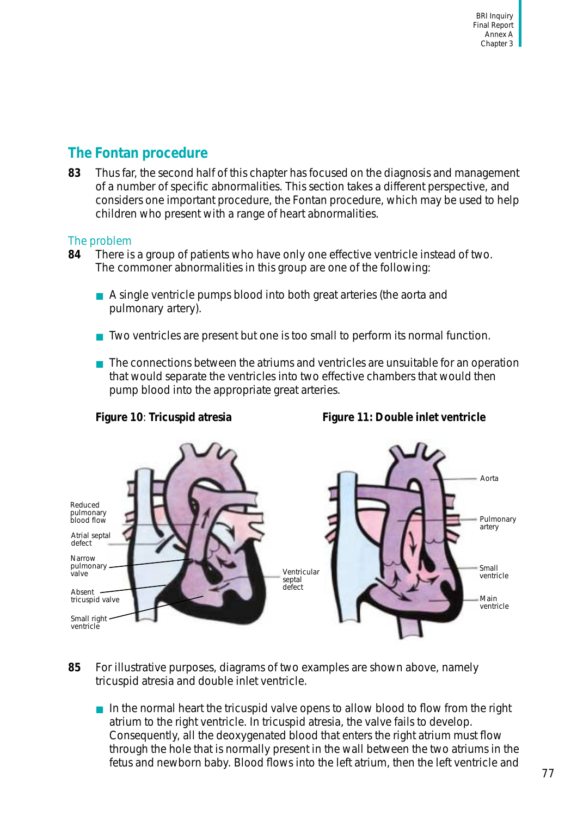# **The Fontan procedure**

**83** Thus far, the second half of this chapter has focused on the diagnosis and management of a number of specific abnormalities. This section takes a different perspective, and considers one important procedure, the Fontan procedure, which may be used to help children who present with a range of heart abnormalities.

### The problem

- **84** There is a group of patients who have only one effective ventricle instead of two. The commoner abnormalities in this group are one of the following:
	- A single ventricle pumps blood into both great arteries (the aorta and pulmonary artery).
	- Two ventricles are present but one is too small to perform its normal function.
	- The connections between the atriums and ventricles are unsuitable for an operation that would separate the ventricles into two effective chambers that would then pump blood into the appropriate great arteries.



### **Figure 10: Tricuspid atresia Figure 11: Double inlet ventricle**

- **85** For illustrative purposes, diagrams of two examples are shown above, namely tricuspid atresia and double inlet ventricle.
	- In the normal heart the tricuspid valve opens to allow blood to flow from the right atrium to the right ventricle. In tricuspid atresia, the valve fails to develop. Consequently, all the deoxygenated blood that enters the right atrium must flow through the hole that is normally present in the wall between the two atriums in the fetus and newborn baby. Blood flows into the left atrium, then the left ventricle and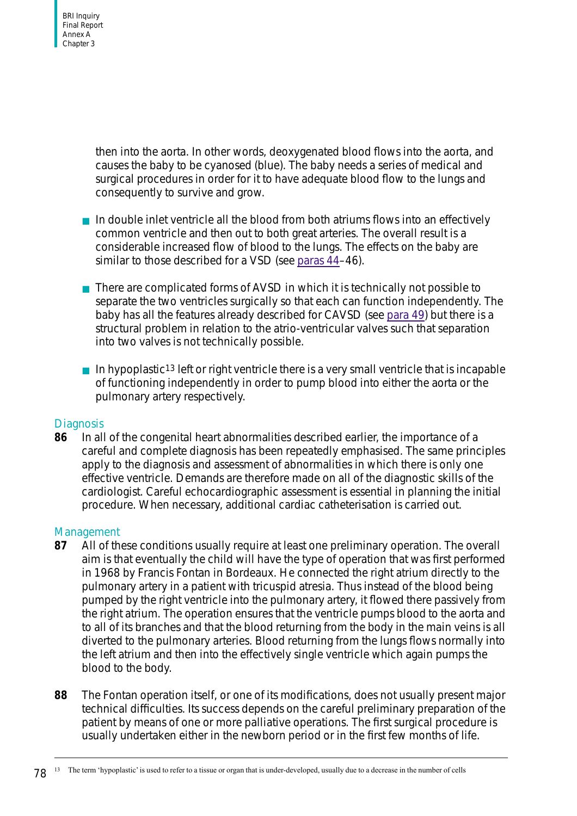then into the aorta. In other words, deoxygenated blood flows into the aorta, and causes the baby to be cyanosed (blue). The baby needs a series of medical and surgical procedures in order for it to have adequate blood flow to the lungs and consequently to survive and grow.

- In double inlet ventricle all the blood from both atriums flows into an effectively common ventricle and then out to both great arteries. The overall result is a considerable increased flow of blood to the lungs. The effects on the baby are similar to those described for a VSD (see [paras 44](#page--1-0)–46).
- There are complicated forms of AVSD in which it is technically not possible to separate the two ventricles surgically so that each can function independently. The baby has all the features already described for CAVSD (see [para 49\)](#page-78-0) but there is a structural problem in relation to the atrio-ventricular valves such that separation into two valves is not technically possible.
- $\blacksquare$  In hypoplastic<sup>13</sup> left or right ventricle there is a very small ventricle that is incapable of functioning independently in order to pump blood into either the aorta or the pulmonary artery respectively.

### **Diagnosis**

**86** In all of the congenital heart abnormalities described earlier, the importance of a careful and complete diagnosis has been repeatedly emphasised. The same principles apply to the diagnosis and assessment of abnormalities in which there is only one effective ventricle. Demands are therefore made on all of the diagnostic skills of the cardiologist. Careful echocardiographic assessment is essential in planning the initial procedure. When necessary, additional cardiac catheterisation is carried out.

### **Management**

- **87** All of these conditions usually require at least one preliminary operation. The overall aim is that eventually the child will have the type of operation that was first performed in 1968 by Francis Fontan in Bordeaux. He connected the right atrium directly to the pulmonary artery in a patient with tricuspid atresia. Thus instead of the blood being pumped by the right ventricle into the pulmonary artery, it flowed there passively from the right atrium. The operation ensures that the ventricle pumps blood to the aorta and to all of its branches and that the blood returning from the body in the main veins is all diverted to the pulmonary arteries. Blood returning from the lungs flows normally into the left atrium and then into the effectively single ventricle which again pumps the blood to the body.
- **88** The Fontan operation itself, or one of its modifications, does not usually present major technical difficulties. Its success depends on the careful preliminary preparation of the patient by means of one or more palliative operations. The first surgical procedure is usually undertaken either in the newborn period or in the first few months of life.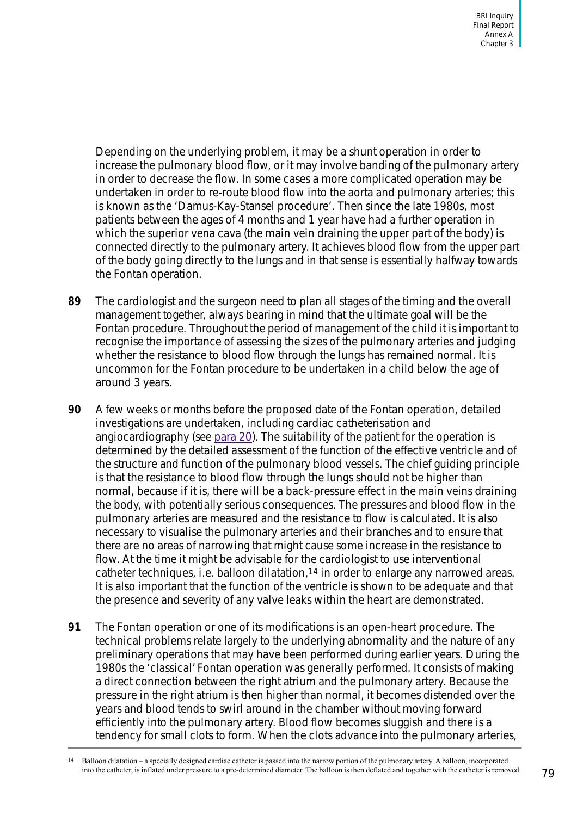Depending on the underlying problem, it may be a shunt operation in order to increase the pulmonary blood flow, or it may involve banding of the pulmonary artery in order to decrease the flow. In some cases a more complicated operation may be undertaken in order to re-route blood flow into the aorta and pulmonary arteries; this is known as the 'Damus-Kay-Stansel procedure'. Then since the late 1980s, most patients between the ages of 4 months and 1 year have had a further operation in which the superior vena cava (the main vein draining the upper part of the body) is connected directly to the pulmonary artery. It achieves blood flow from the upper part of the body going directly to the lungs and in that sense is essentially halfway towards the Fontan operation.

- **89** The cardiologist and the surgeon need to plan all stages of the timing and the overall management together, always bearing in mind that the ultimate goal will be the Fontan procedure. Throughout the period of management of the child it is important to recognise the importance of assessing the sizes of the pulmonary arteries and judging whether the resistance to blood flow through the lungs has remained normal. It is uncommon for the Fontan procedure to be undertaken in a child below the age of around 3 years.
- <span id="page-78-0"></span>**90** A few weeks or months before the proposed date of the Fontan operation, detailed investigations are undertaken, including cardiac catheterisation and angiocardiography (see [para 20\)](#page-22-0). The suitability of the patient for the operation is determined by the detailed assessment of the function of the effective ventricle and of the structure and function of the pulmonary blood vessels. The chief guiding principle is that the resistance to blood flow through the lungs should not be higher than normal, because if it is, there will be a back-pressure effect in the main veins draining the body, with potentially serious consequences. The pressures and blood flow in the pulmonary arteries are measured and the resistance to flow is calculated. It is also necessary to visualise the pulmonary arteries and their branches and to ensure that there are no areas of narrowing that might cause some increase in the resistance to flow. At the time it might be advisable for the cardiologist to use interventional catheter techniques, i.e. balloon dilatation,14 in order to enlarge any narrowed areas. It is also important that the function of the ventricle is shown to be adequate and that the presence and severity of any valve leaks within the heart are demonstrated.
- **91** The Fontan operation or one of its modifications is an open-heart procedure. The technical problems relate largely to the underlying abnormality and the nature of any preliminary operations that may have been performed during earlier years. During the 1980s the 'classical' Fontan operation was generally performed. It consists of making a direct connection between the right atrium and the pulmonary artery. Because the pressure in the right atrium is then higher than normal, it becomes distended over the years and blood tends to swirl around in the chamber without moving forward efficiently into the pulmonary artery. Blood flow becomes sluggish and there is a tendency for small clots to form. When the clots advance into the pulmonary arteries,

<sup>14</sup> Balloon dilatation – a specially designed cardiac catheter is passed into the narrow portion of the pulmonary artery. A balloon, incorporated into the catheter, is inflated under pressure to a pre-determined diameter. The balloon is then deflated and together with the catheter is removed